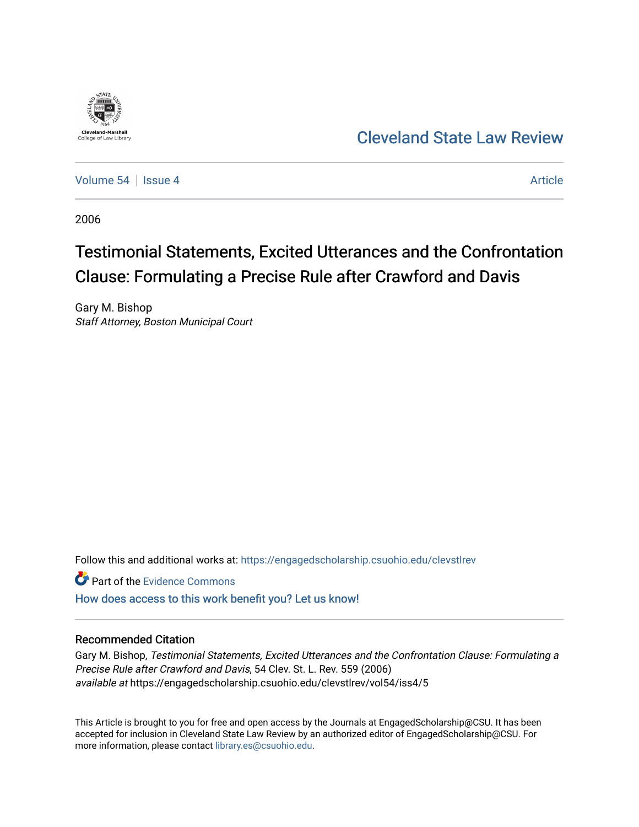

## [Cleveland State Law Review](https://engagedscholarship.csuohio.edu/clevstlrev)

[Volume 54](https://engagedscholarship.csuohio.edu/clevstlrev/vol54) Session 4 [Article](https://engagedscholarship.csuohio.edu/clevstlrev/vol54/iss4/5) 34 Article

2006

# Testimonial Statements, Excited Utterances and the Confrontation Clause: Formulating a Precise Rule after Crawford and Davis

Gary M. Bishop Staff Attorney, Boston Municipal Court

Follow this and additional works at: [https://engagedscholarship.csuohio.edu/clevstlrev](https://engagedscholarship.csuohio.edu/clevstlrev?utm_source=engagedscholarship.csuohio.edu%2Fclevstlrev%2Fvol54%2Fiss4%2F5&utm_medium=PDF&utm_campaign=PDFCoverPages)

Part of the [Evidence Commons](http://network.bepress.com/hgg/discipline/601?utm_source=engagedscholarship.csuohio.edu%2Fclevstlrev%2Fvol54%2Fiss4%2F5&utm_medium=PDF&utm_campaign=PDFCoverPages) 

[How does access to this work benefit you? Let us know!](http://library.csuohio.edu/engaged/)

### Recommended Citation

Gary M. Bishop, Testimonial Statements, Excited Utterances and the Confrontation Clause: Formulating a Precise Rule after Crawford and Davis, 54 Clev. St. L. Rev. 559 (2006) available at https://engagedscholarship.csuohio.edu/clevstlrev/vol54/iss4/5

This Article is brought to you for free and open access by the Journals at EngagedScholarship@CSU. It has been accepted for inclusion in Cleveland State Law Review by an authorized editor of EngagedScholarship@CSU. For more information, please contact [library.es@csuohio.edu](mailto:library.es@csuohio.edu).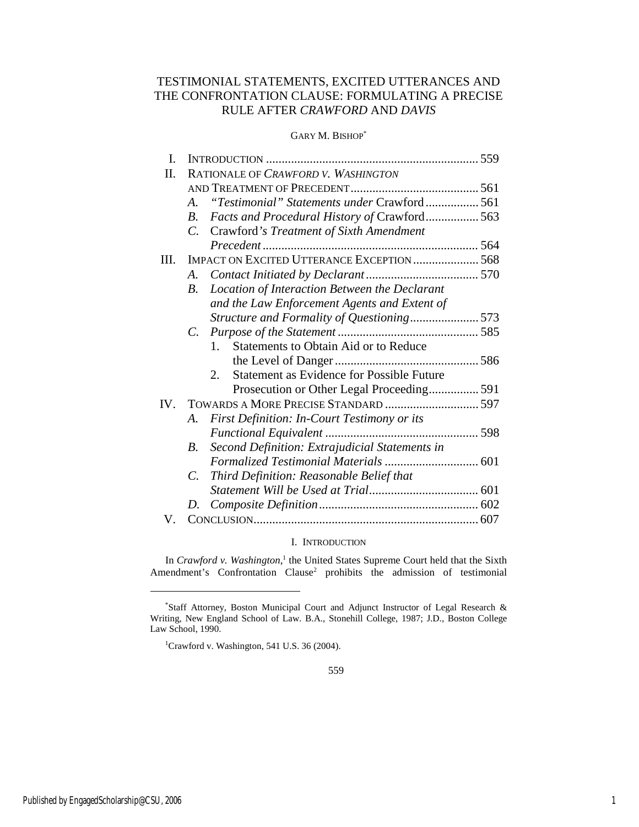## TESTIMONIAL STATEMENTS, EXCITED UTTERANCES AND THE CONFRONTATION CLAUSE: FORMULATING A PRECISE RULE AFTER *CRAWFORD* AND *DAVIS*

#### GARY M. BISHOP\*

| I.   |                                                                     |  |
|------|---------------------------------------------------------------------|--|
| Π.   | RATIONALE OF CRAWFORD V. WASHINGTON                                 |  |
|      |                                                                     |  |
|      | "Testimonial" Statements under Crawford561<br>$\mathcal{A}_{\cdot}$ |  |
|      | Facts and Procedural History of Crawford 563<br>B.                  |  |
|      | Crawford's Treatment of Sixth Amendment<br>$C_{\cdot}$              |  |
|      |                                                                     |  |
| III. | <b>IMPACT ON EXCITED UTTERANCE EXCEPTION  568</b>                   |  |
|      | A.                                                                  |  |
|      | Location of Interaction Between the Declarant<br><i>B</i> .         |  |
|      | and the Law Enforcement Agents and Extent of                        |  |
|      | Structure and Formality of Questioning 573                          |  |
|      | $C_{\cdot}$                                                         |  |
|      | Statements to Obtain Aid or to Reduce<br>$1_{-}$                    |  |
|      |                                                                     |  |
|      | <b>Statement as Evidence for Possible Future</b><br>2.              |  |
|      | Prosecution or Other Legal Proceeding 591                           |  |
| IV.  |                                                                     |  |
|      | First Definition: In-Court Testimony or its<br>A.                   |  |
|      |                                                                     |  |
|      | Second Definition: Extrajudicial Statements in<br>В.                |  |
|      |                                                                     |  |
|      | Third Definition: Reasonable Belief that<br>$C_{\cdot}$             |  |
|      |                                                                     |  |
|      | D.                                                                  |  |
| V.   |                                                                     |  |

#### I. INTRODUCTION

In *Crawford v. Washington*,<sup>1</sup> the United States Supreme Court held that the Sixth Amendment's Confrontation Clause<sup>2</sup> prohibits the admission of testimonial

<sup>\*</sup> Staff Attorney, Boston Municipal Court and Adjunct Instructor of Legal Research & Writing, New England School of Law. B.A., Stonehill College, 1987; J.D., Boston College Law School, 1990.

<sup>&</sup>lt;sup>1</sup>Crawford v. Washington, 541 U.S. 36 (2004).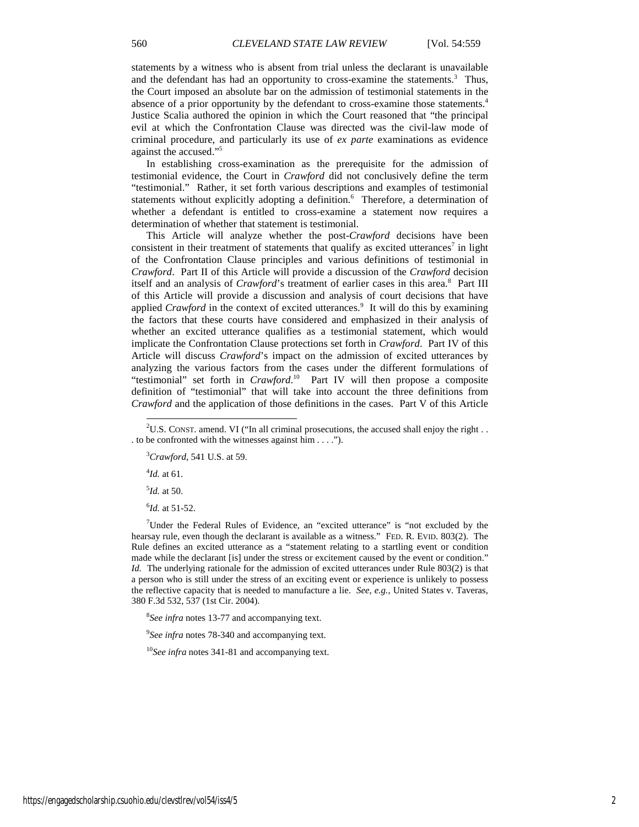statements by a witness who is absent from trial unless the declarant is unavailable and the defendant has had an opportunity to cross-examine the statements.<sup>3</sup> Thus, the Court imposed an absolute bar on the admission of testimonial statements in the absence of a prior opportunity by the defendant to cross-examine those statements.<sup>4</sup> Justice Scalia authored the opinion in which the Court reasoned that "the principal evil at which the Confrontation Clause was directed was the civil-law mode of criminal procedure, and particularly its use of *ex parte* examinations as evidence against the accused."<sup>5</sup>

In establishing cross-examination as the prerequisite for the admission of testimonial evidence, the Court in *Crawford* did not conclusively define the term "testimonial." Rather, it set forth various descriptions and examples of testimonial statements without explicitly adopting a definition.<sup>6</sup> Therefore, a determination of whether a defendant is entitled to cross-examine a statement now requires a determination of whether that statement is testimonial.

This Article will analyze whether the post-*Crawford* decisions have been consistent in their treatment of statements that qualify as excited utterances<sup>7</sup> in light of the Confrontation Clause principles and various definitions of testimonial in *Crawford*. Part II of this Article will provide a discussion of the *Crawford* decision itself and an analysis of *Crawford*'s treatment of earlier cases in this area.<sup>8</sup> Part III of this Article will provide a discussion and analysis of court decisions that have applied *Crawford* in the context of excited utterances.<sup>9</sup> It will do this by examining the factors that these courts have considered and emphasized in their analysis of whether an excited utterance qualifies as a testimonial statement, which would implicate the Confrontation Clause protections set forth in *Crawford*. Part IV of this Article will discuss *Crawford*'s impact on the admission of excited utterances by analyzing the various factors from the cases under the different formulations of "testimonial" set forth in *Crawford*.<sup>10</sup> Part IV will then propose a composite definition of "testimonial" that will take into account the three definitions from *Crawford* and the application of those definitions in the cases. Part V of this Article

4 *Id.* at 61.

-

5 *Id.* at 50.

6 *Id.* at 51-52.

<sup>7</sup>Under the Federal Rules of Evidence, an "excited utterance" is "not excluded by the hearsay rule, even though the declarant is available as a witness." FED. R. EVID. 803(2). The Rule defines an excited utterance as a "statement relating to a startling event or condition made while the declarant [is] under the stress or excitement caused by the event or condition." *Id.* The underlying rationale for the admission of excited utterances under Rule 803(2) is that a person who is still under the stress of an exciting event or experience is unlikely to possess the reflective capacity that is needed to manufacture a lie. *See, e.g.*, United States v. Taveras, 380 F.3d 532, 537 (1st Cir. 2004).

8 *See infra* notes 13-77 and accompanying text.

9 *See infra* notes 78-340 and accompanying text.

<sup>10</sup>*See infra* notes 341-81 and accompanying text.

 $2^2$ U.S. CONST. amend. VI ("In all criminal prosecutions, the accused shall enjoy the right . . . to be confronted with the witnesses against him . . . .").

<sup>3</sup>*Crawford*, 541 U.S. at 59.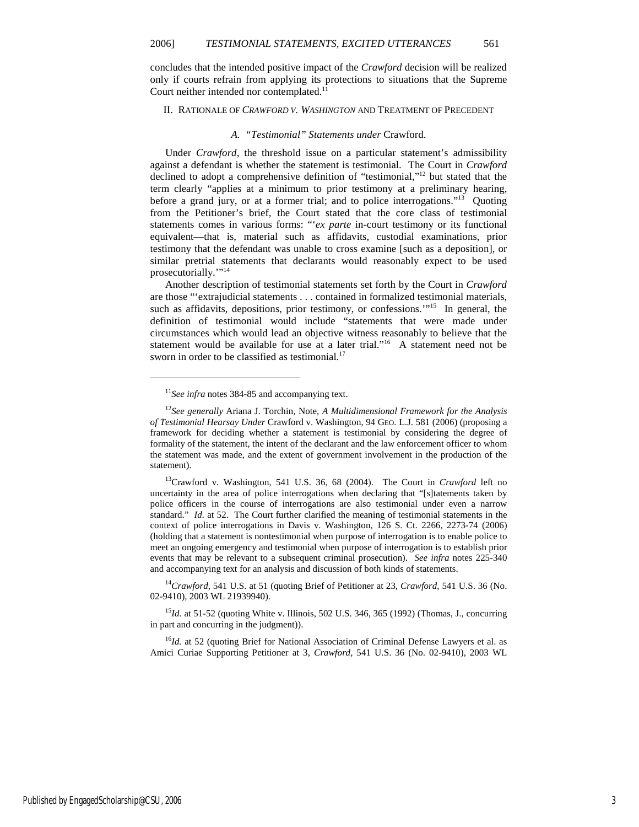concludes that the intended positive impact of the *Crawford* decision will be realized only if courts refrain from applying its protections to situations that the Supreme Court neither intended nor contemplated.<sup>11</sup>

#### II. RATIONALE OF *CRAWFORD V. WASHINGTON* AND TREATMENT OF PRECEDENT

#### *A. "Testimonial" Statements under* Crawford.

Under *Crawford*, the threshold issue on a particular statement's admissibility against a defendant is whether the statement is testimonial. The Court in *Crawford* declined to adopt a comprehensive definition of "testimonial,"<sup>12</sup> but stated that the term clearly "applies at a minimum to prior testimony at a preliminary hearing, before a grand jury, or at a former trial; and to police interrogations."<sup>13</sup> Quoting from the Petitioner's brief, the Court stated that the core class of testimonial statements comes in various forms: "'*ex parte* in-court testimony or its functional equivalent—that is, material such as affidavits, custodial examinations, prior testimony that the defendant was unable to cross examine [such as a deposition], or similar pretrial statements that declarants would reasonably expect to be used prosecutorially.""<sup>14</sup>

Another description of testimonial statements set forth by the Court in *Crawford* are those "'extrajudicial statements . . . contained in formalized testimonial materials, such as affidavits, depositions, prior testimony, or confessions."<sup>15</sup> In general, the definition of testimonial would include "statements that were made under circumstances which would lead an objective witness reasonably to believe that the statement would be available for use at a later trial."<sup>16</sup> A statement need not be sworn in order to be classified as testimonial.<sup>17</sup>

1

<sup>13</sup>Crawford v. Washington, 541 U.S. 36, 68 (2004). The Court in *Crawford* left no uncertainty in the area of police interrogations when declaring that "[s]tatements taken by police officers in the course of interrogations are also testimonial under even a narrow standard." *Id.* at 52. The Court further clarified the meaning of testimonial statements in the context of police interrogations in Davis v. Washington, 126 S. Ct. 2266, 2273-74 (2006) (holding that a statement is nontestimonial when purpose of interrogation is to enable police to meet an ongoing emergency and testimonial when purpose of interrogation is to establish prior events that may be relevant to a subsequent criminal prosecution). *See infra* notes 225-340 and accompanying text for an analysis and discussion of both kinds of statements.

<sup>14</sup>*Crawford*, 541 U.S. at 51 (quoting Brief of Petitioner at 23, *Crawford*, 541 U.S. 36 (No. 02-9410), 2003 WL 21939940).

<sup>15</sup>*Id.* at 51-52 (quoting White v. Illinois, 502 U.S. 346, 365 (1992) (Thomas, J., concurring in part and concurring in the judgment)).

<sup>16</sup>Id. at 52 (quoting Brief for National Association of Criminal Defense Lawyers et al. as Amici Curiae Supporting Petitioner at 3, *Crawford*, 541 U.S. 36 (No. 02-9410), 2003 WL

<sup>&</sup>lt;sup>11</sup>See infra notes 384-85 and accompanying text.

<sup>12</sup>*See generally* Ariana J. Torchin, Note, *A Multidimensional Framework for the Analysis of Testimonial Hearsay Under* Crawford v. Washington, 94 GEO. L.J. 581 (2006) (proposing a framework for deciding whether a statement is testimonial by considering the degree of formality of the statement, the intent of the declarant and the law enforcement officer to whom the statement was made, and the extent of government involvement in the production of the statement).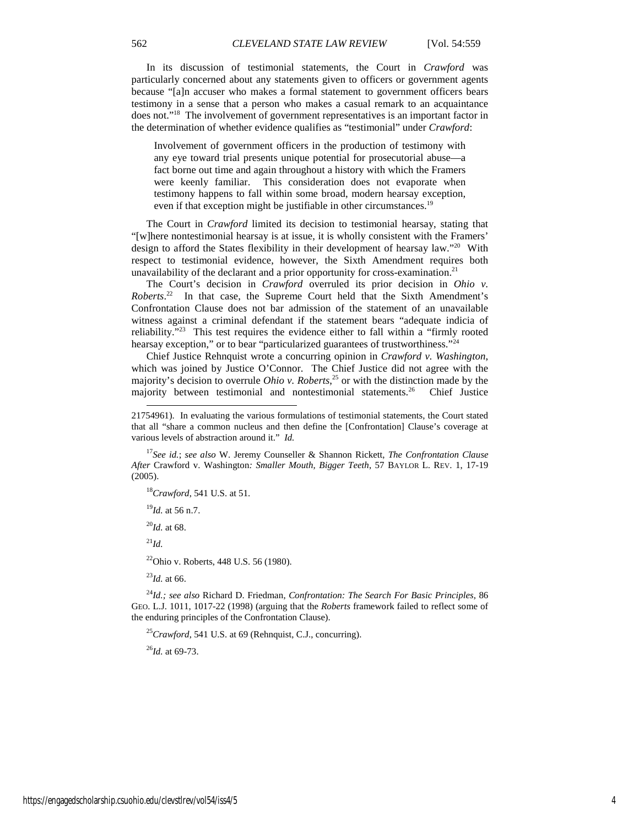In its discussion of testimonial statements, the Court in *Crawford* was particularly concerned about any statements given to officers or government agents because "[a]n accuser who makes a formal statement to government officers bears testimony in a sense that a person who makes a casual remark to an acquaintance does not."<sup>18</sup> The involvement of government representatives is an important factor in the determination of whether evidence qualifies as "testimonial" under *Crawford*:

Involvement of government officers in the production of testimony with any eye toward trial presents unique potential for prosecutorial abuse—a fact borne out time and again throughout a history with which the Framers were keenly familiar. This consideration does not evaporate when testimony happens to fall within some broad, modern hearsay exception, even if that exception might be justifiable in other circumstances.<sup>19</sup>

The Court in *Crawford* limited its decision to testimonial hearsay, stating that "[w]here nontestimonial hearsay is at issue, it is wholly consistent with the Framers' design to afford the States flexibility in their development of hearsay law."<sup>20</sup> With respect to testimonial evidence, however, the Sixth Amendment requires both unavailability of the declarant and a prior opportunity for cross-examination.<sup>21</sup>

The Court's decision in *Crawford* overruled its prior decision in *Ohio v. Roberts*. <sup>22</sup> In that case, the Supreme Court held that the Sixth Amendment's Confrontation Clause does not bar admission of the statement of an unavailable witness against a criminal defendant if the statement bears "adequate indicia of reliability."<sup>23</sup> This test requires the evidence either to fall within a "firmly rooted hearsay exception," or to bear "particularized guarantees of trustworthiness."<sup>24</sup>

Chief Justice Rehnquist wrote a concurring opinion in *Crawford v. Washington*, which was joined by Justice O'Connor. The Chief Justice did not agree with the majority's decision to overrule *Ohio v. Roberts*, <sup>25</sup> or with the distinction made by the majority between testimonial and nontestimonial statements.<sup>26</sup> Chief Justice

<sup>17</sup>*See id.*; *see also* W. Jeremy Counseller & Shannon Rickett, *The Confrontation Clause After* Crawford v. Washington*: Smaller Mouth, Bigger Teeth*, 57 BAYLOR L. REV. 1, 17-19 (2005).

<sup>18</sup>*Crawford*, 541 U.S. at 51.

<sup>19</sup>*Id.* at 56 n.7.

<sup>20</sup>*Id.* at 68.

<sup>21</sup>*Id.*

-

<sup>22</sup>Ohio v. Roberts, 448 U.S. 56 (1980).

<sup>23</sup>*Id.* at 66.

<sup>24</sup>*Id.; see also* Richard D. Friedman, *Confrontation: The Search For Basic Principles*, 86 GEO. L.J. 1011, 1017-22 (1998) (arguing that the *Roberts* framework failed to reflect some of the enduring principles of the Confrontation Clause).

<sup>25</sup>*Crawford*, 541 U.S. at 69 (Rehnquist, C.J., concurring).

<sup>26</sup>*Id.* at 69-73.

<sup>21754961).</sup> In evaluating the various formulations of testimonial statements, the Court stated that all "share a common nucleus and then define the [Confrontation] Clause's coverage at various levels of abstraction around it." *Id.*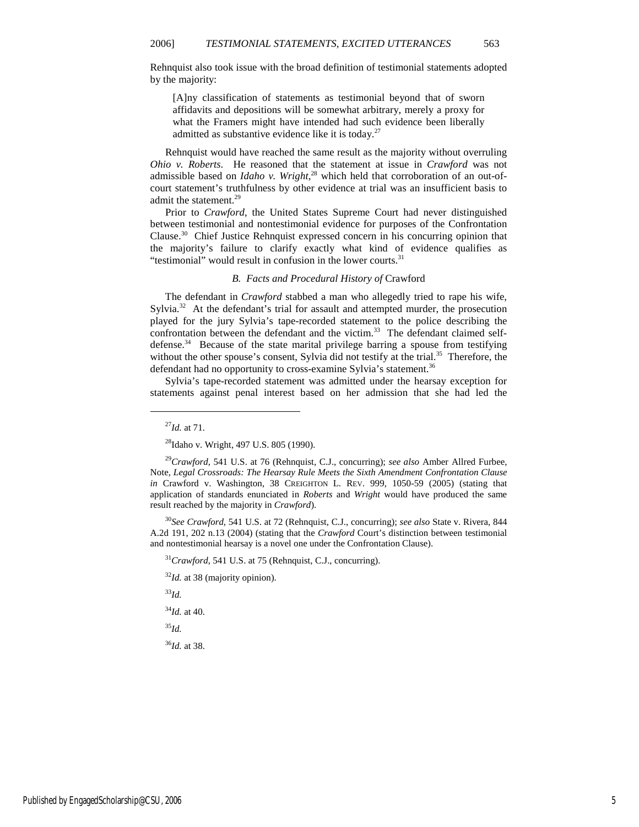Rehnquist also took issue with the broad definition of testimonial statements adopted by the majority:

[A]ny classification of statements as testimonial beyond that of sworn affidavits and depositions will be somewhat arbitrary, merely a proxy for what the Framers might have intended had such evidence been liberally admitted as substantive evidence like it is today.<sup>27</sup>

Rehnquist would have reached the same result as the majority without overruling *Ohio v. Roberts*. He reasoned that the statement at issue in *Crawford* was not admissible based on *Idaho v. Wright*, 28 which held that corroboration of an out-ofcourt statement's truthfulness by other evidence at trial was an insufficient basis to admit the statement.<sup>29</sup>

Prior to *Crawford*, the United States Supreme Court had never distinguished between testimonial and nontestimonial evidence for purposes of the Confrontation Clause.<sup>30</sup> Chief Justice Rehnquist expressed concern in his concurring opinion that the majority's failure to clarify exactly what kind of evidence qualifies as "testimonial" would result in confusion in the lower courts.<sup>31</sup>

#### *B. Facts and Procedural History of* Crawford

The defendant in *Crawford* stabbed a man who allegedly tried to rape his wife, Sylvia.<sup>32</sup> At the defendant's trial for assault and attempted murder, the prosecution played for the jury Sylvia's tape-recorded statement to the police describing the confrontation between the defendant and the victim.<sup>33</sup> The defendant claimed selfdefense.<sup>34</sup> Because of the state marital privilege barring a spouse from testifying without the other spouse's consent, Sylvia did not testify at the trial.<sup>35</sup> Therefore, the defendant had no opportunity to cross-examine Sylvia's statement.<sup>36</sup>

Sylvia's tape-recorded statement was admitted under the hearsay exception for statements against penal interest based on her admission that she had led the

<sup>27</sup>*Id.* at 71.

1

<sup>28</sup>Idaho v. Wright, 497 U.S. 805 (1990).

<sup>29</sup>*Crawford*, 541 U.S. at 76 (Rehnquist, C.J., concurring); *see also* Amber Allred Furbee, Note, *Legal Crossroads: The Hearsay Rule Meets the Sixth Amendment Confrontation Clause in* Crawford v. Washington, 38 CREIGHTON L. REV. 999, 1050-59 (2005) (stating that application of standards enunciated in *Roberts* and *Wright* would have produced the same result reached by the majority in *Crawford*).

<sup>30</sup>*See Crawford*, 541 U.S. at 72 (Rehnquist, C.J., concurring); *see also* State v. Rivera, 844 A.2d 191, 202 n.13 (2004) (stating that the *Crawford* Court's distinction between testimonial and nontestimonial hearsay is a novel one under the Confrontation Clause).

<sup>31</sup>Crawford, 541 U.S. at 75 (Rehnquist, C.J., concurring).

<sup>32</sup>*Id.* at 38 (majority opinion).

<sup>33</sup>*Id.*

<sup>34</sup>*Id.* at 40.

<sup>35</sup>*Id.*

<sup>36</sup>*Id.* at 38.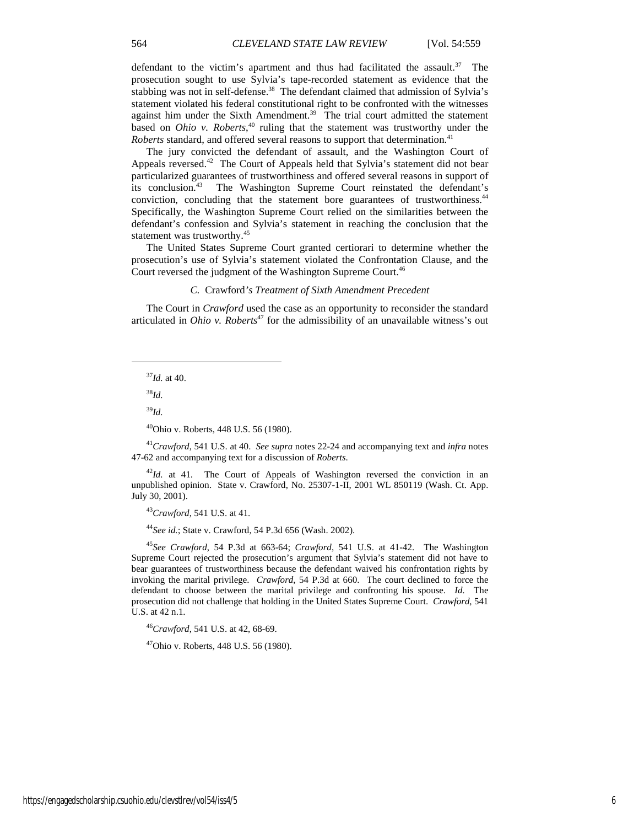defendant to the victim's apartment and thus had facilitated the assault.<sup>37</sup> The prosecution sought to use Sylvia's tape-recorded statement as evidence that the stabbing was not in self-defense.<sup>38</sup> The defendant claimed that admission of Sylvia's statement violated his federal constitutional right to be confronted with the witnesses against him under the Sixth Amendment.<sup>39</sup> The trial court admitted the statement based on *Ohio v. Roberts*,<sup>40</sup> ruling that the statement was trustworthy under the *Roberts* standard, and offered several reasons to support that determination.<sup>41</sup>

The jury convicted the defendant of assault, and the Washington Court of Appeals reversed.<sup>42</sup> The Court of Appeals held that Sylvia's statement did not bear particularized guarantees of trustworthiness and offered several reasons in support of its conclusion.<sup>43</sup> The Washington Supreme Court reinstated the defendant's conviction, concluding that the statement bore guarantees of trustworthiness.<sup>44</sup> Specifically, the Washington Supreme Court relied on the similarities between the defendant's confession and Sylvia's statement in reaching the conclusion that the statement was trustworthy.<sup>45</sup>

The United States Supreme Court granted certiorari to determine whether the prosecution's use of Sylvia's statement violated the Confrontation Clause, and the Court reversed the judgment of the Washington Supreme Court.<sup>46</sup>

#### *C.* Crawford*'s Treatment of Sixth Amendment Precedent*

The Court in *Crawford* used the case as an opportunity to reconsider the standard articulated in *Ohio v. Roberts*<sup>47</sup> for the admissibility of an unavailable witness's out

<sup>37</sup>*Id.* at 40.

<sup>38</sup>*Id.*

1

<sup>39</sup>*Id.*

<sup>40</sup>Ohio v. Roberts, 448 U.S. 56 (1980).

<sup>41</sup>*Crawford*, 541 U.S. at 40. *See supra* notes 22-24 and accompanying text and *infra* notes 47-62 and accompanying text for a discussion of *Roberts*.

 $^{42}$ *Id.* at 41. The Court of Appeals of Washington reversed the conviction in an unpublished opinion. State v. Crawford, No. 25307-1-II, 2001 WL 850119 (Wash. Ct. App. July 30, 2001).

<sup>43</sup>*Crawford*, 541 U.S. at 41.

<sup>44</sup>*See id.*; State v. Crawford, 54 P.3d 656 (Wash. 2002).

<sup>45</sup>*See Crawford*, 54 P.3d at 663-64; *Crawford*, 541 U.S. at 41-42. The Washington Supreme Court rejected the prosecution's argument that Sylvia's statement did not have to bear guarantees of trustworthiness because the defendant waived his confrontation rights by invoking the marital privilege. *Crawford*, 54 P.3d at 660. The court declined to force the defendant to choose between the marital privilege and confronting his spouse. *Id.* The prosecution did not challenge that holding in the United States Supreme Court. *Crawford*, 541 U.S. at 42 n.1.

<sup>46</sup>*Crawford*, 541 U.S. at 42, 68-69.

<sup>47</sup>Ohio v. Roberts, 448 U.S. 56 (1980).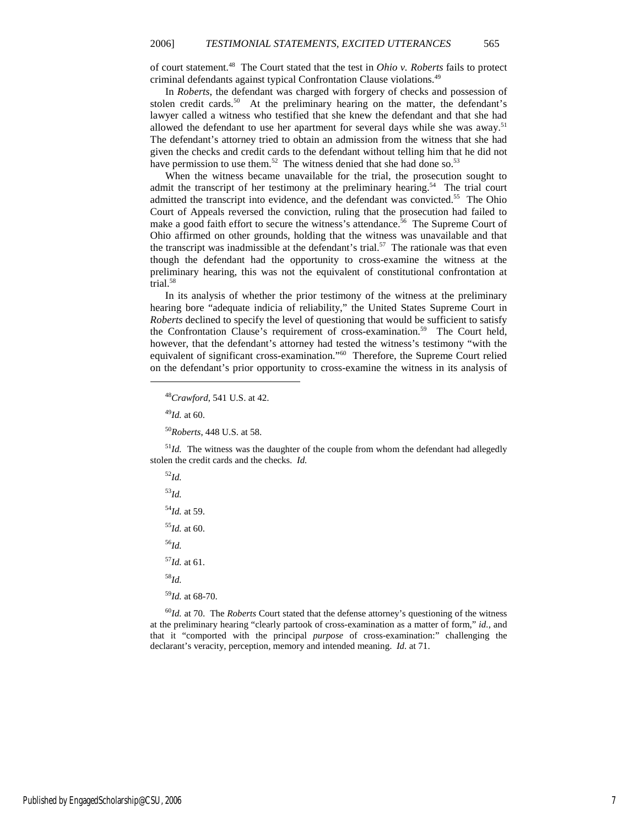of court statement.<sup>48</sup> The Court stated that the test in *Ohio v. Roberts* fails to protect criminal defendants against typical Confrontation Clause violations.<sup>49</sup>

In *Roberts*, the defendant was charged with forgery of checks and possession of stolen credit cards.<sup>50</sup> At the preliminary hearing on the matter, the defendant's lawyer called a witness who testified that she knew the defendant and that she had allowed the defendant to use her apartment for several days while she was away.<sup>51</sup> The defendant's attorney tried to obtain an admission from the witness that she had given the checks and credit cards to the defendant without telling him that he did not have permission to use them.<sup>52</sup> The witness denied that she had done so.<sup>53</sup>

When the witness became unavailable for the trial, the prosecution sought to admit the transcript of her testimony at the preliminary hearing.<sup>54</sup> The trial court admitted the transcript into evidence, and the defendant was convicted.<sup>55</sup> The Ohio Court of Appeals reversed the conviction, ruling that the prosecution had failed to make a good faith effort to secure the witness's attendance.<sup>56</sup> The Supreme Court of Ohio affirmed on other grounds, holding that the witness was unavailable and that the transcript was inadmissible at the defendant's trial.<sup>57</sup> The rationale was that even though the defendant had the opportunity to cross-examine the witness at the preliminary hearing, this was not the equivalent of constitutional confrontation at trial.<sup>58</sup>

In its analysis of whether the prior testimony of the witness at the preliminary hearing bore "adequate indicia of reliability," the United States Supreme Court in *Roberts* declined to specify the level of questioning that would be sufficient to satisfy the Confrontation Clause's requirement of cross-examination.<sup>59</sup> The Court held, however, that the defendant's attorney had tested the witness's testimony "with the equivalent of significant cross-examination."<sup>60</sup> Therefore, the Supreme Court relied on the defendant's prior opportunity to cross-examine the witness in its analysis of

<sup>52</sup>*Id.*

1

 $<sup>51</sup>Id$ . The witness was the daughter of the couple from whom the defendant had allegedly</sup> stolen the credit cards and the checks. *Id.*

<sup>53</sup>*Id.* <sup>54</sup>*Id.* at 59. <sup>55</sup>*Id.* at 60. <sup>56</sup>*Id.* <sup>57</sup>*Id.* at 61. <sup>58</sup>*Id.* <sup>59</sup>*Id.* at 68-70.

<sup>60</sup>*Id.* at 70. The *Roberts* Court stated that the defense attorney's questioning of the witness at the preliminary hearing "clearly partook of cross-examination as a matter of form," *id.*, and that it "comported with the principal *purpose* of cross-examination:" challenging the declarant's veracity, perception, memory and intended meaning. *Id.* at 71.

<sup>48</sup>*Crawford*, 541 U.S. at 42.

<sup>49</sup>*Id.* at 60.

<sup>50</sup>*Roberts*, 448 U.S. at 58.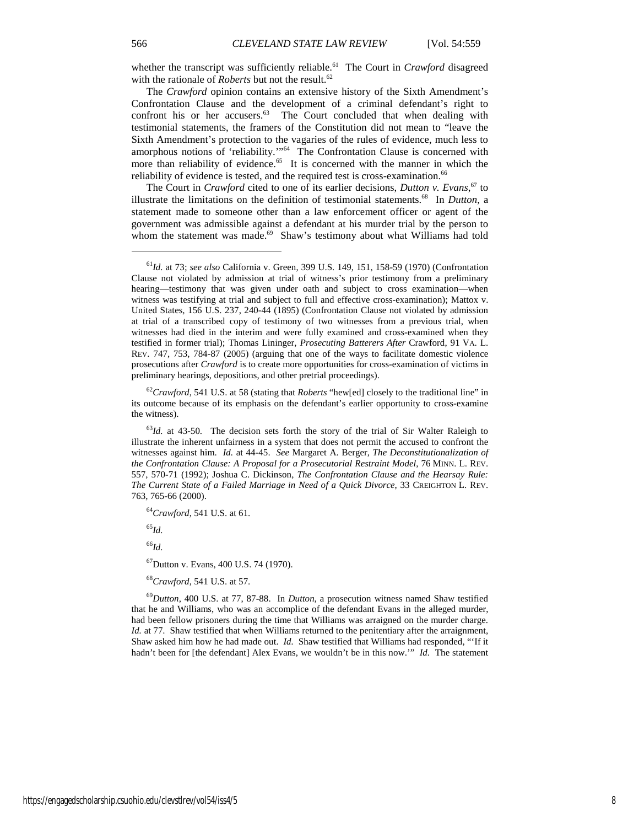whether the transcript was sufficiently reliable.<sup>61</sup> The Court in *Crawford* disagreed with the rationale of *Roberts* but not the result.<sup>62</sup>

The *Crawford* opinion contains an extensive history of the Sixth Amendment's Confrontation Clause and the development of a criminal defendant's right to confront his or her accusers. $63$  The Court concluded that when dealing with testimonial statements, the framers of the Constitution did not mean to "leave the Sixth Amendment's protection to the vagaries of the rules of evidence, much less to amorphous notions of 'reliability.'"<sup>64</sup> The Confrontation Clause is concerned with more than reliability of evidence.<sup>65</sup> It is concerned with the manner in which the reliability of evidence is tested, and the required test is cross-examination.<sup>66</sup>

The Court in *Crawford* cited to one of its earlier decisions, *Dutton v. Evans*, <sup>67</sup> to illustrate the limitations on the definition of testimonial statements.<sup>68</sup> In *Dutton*, a statement made to someone other than a law enforcement officer or agent of the government was admissible against a defendant at his murder trial by the person to whom the statement was made.<sup>69</sup> Shaw's testimony about what Williams had told

<sup>62</sup>*Crawford*, 541 U.S. at 58 (stating that *Roberts* "hew[ed] closely to the traditional line" in its outcome because of its emphasis on the defendant's earlier opportunity to cross-examine the witness).

<sup>64</sup>*Crawford*, 541 U.S. at 61.

<sup>65</sup>*Id.*

<sup>66</sup>*Id.*

<sup>67</sup>Dutton v. Evans, 400 U.S. 74 (1970).

<sup>68</sup>*Crawford*, 541 U.S. at 57.

<sup>69</sup>*Dutton*, 400 U.S. at 77, 87-88. In *Dutton*, a prosecution witness named Shaw testified that he and Williams, who was an accomplice of the defendant Evans in the alleged murder, had been fellow prisoners during the time that Williams was arraigned on the murder charge. *Id.* at 77. Shaw testified that when Williams returned to the penitentiary after the arraignment, Shaw asked him how he had made out. *Id.* Shaw testified that Williams had responded, "'If it hadn't been for [the defendant] Alex Evans, we wouldn't be in this now.'" *Id.* The statement

<sup>61</sup>*Id.* at 73; *see also* California v. Green, 399 U.S. 149, 151, 158-59 (1970) (Confrontation Clause not violated by admission at trial of witness's prior testimony from a preliminary hearing—testimony that was given under oath and subject to cross examination—when witness was testifying at trial and subject to full and effective cross-examination); Mattox v. United States, 156 U.S. 237, 240-44 (1895) (Confrontation Clause not violated by admission at trial of a transcribed copy of testimony of two witnesses from a previous trial, when witnesses had died in the interim and were fully examined and cross-examined when they testified in former trial); Thomas Lininger, *Prosecuting Batterers After* Crawford, 91 VA. L. REV. 747, 753, 784-87 (2005) (arguing that one of the ways to facilitate domestic violence prosecutions after *Crawford* is to create more opportunities for cross-examination of victims in preliminary hearings, depositions, and other pretrial proceedings).

<sup>&</sup>lt;sup>63</sup>Id. at 43-50. The decision sets forth the story of the trial of Sir Walter Raleigh to illustrate the inherent unfairness in a system that does not permit the accused to confront the witnesses against him. *Id.* at 44-45. *See* Margaret A. Berger, *The Deconstitutionalization of the Confrontation Clause: A Proposal for a Prosecutorial Restraint Model*, 76 MINN. L. REV. 557, 570-71 (1992); Joshua C. Dickinson, *The Confrontation Clause and the Hearsay Rule: The Current State of a Failed Marriage in Need of a Quick Divorce*, 33 CREIGHTON L. REV. 763, 765-66 (2000).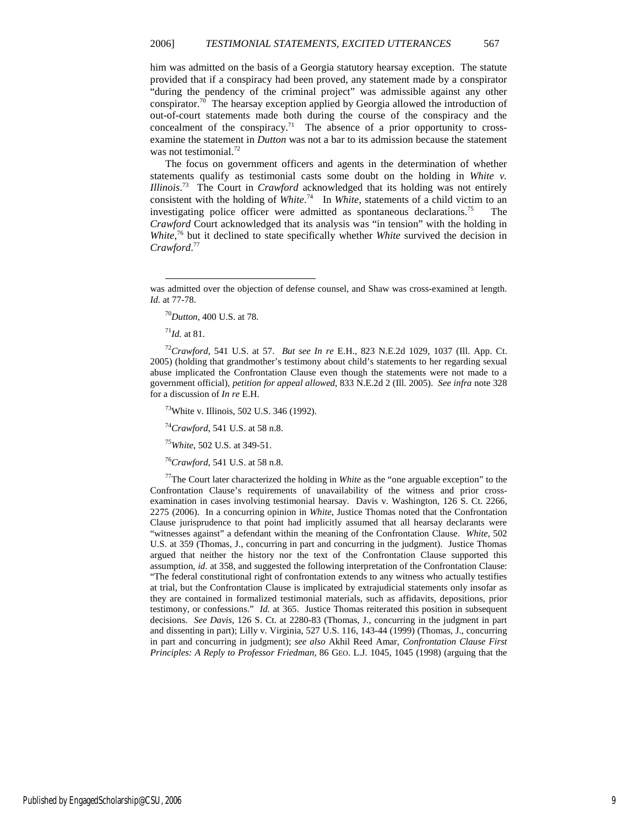him was admitted on the basis of a Georgia statutory hearsay exception. The statute provided that if a conspiracy had been proved, any statement made by a conspirator "during the pendency of the criminal project" was admissible against any other conspirator.<sup>70</sup> The hearsay exception applied by Georgia allowed the introduction of out-of-court statements made both during the course of the conspiracy and the concealment of the conspiracy.<sup>71</sup> The absence of a prior opportunity to crossexamine the statement in *Dutton* was not a bar to its admission because the statement was not testimonial.<sup>72</sup>

The focus on government officers and agents in the determination of whether statements qualify as testimonial casts some doubt on the holding in *White v. Illinois*. <sup>73</sup> The Court in *Crawford* acknowledged that its holding was not entirely consistent with the holding of *White*. <sup>74</sup> In *White*, statements of a child victim to an investigating police officer were admitted as spontaneous declarations.<sup>75</sup> *Crawford* Court acknowledged that its analysis was "in tension" with the holding in *White*,<sup>76</sup> but it declined to state specifically whether *White* survived the decision in *Crawford*. 77

-

<sup>72</sup>*Crawford*, 541 U.S. at 57. *But see In re* E.H., 823 N.E.2d 1029, 1037 (Ill. App. Ct. 2005) (holding that grandmother's testimony about child's statements to her regarding sexual abuse implicated the Confrontation Clause even though the statements were not made to a government official), *petition for appeal allowed*, 833 N.E.2d 2 (Ill. 2005). *See infra* note 328 for a discussion of *In re* E.H.

<sup>73</sup>White v. Illinois, 502 U.S. 346 (1992).

<sup>74</sup>*Crawford*, 541 U.S. at 58 n.8.

<sup>75</sup>*White*, 502 U.S. at 349-51.

<sup>76</sup>*Crawford*, 541 U.S. at 58 n.8.

<sup>77</sup>The Court later characterized the holding in *White* as the "one arguable exception" to the Confrontation Clause's requirements of unavailability of the witness and prior crossexamination in cases involving testimonial hearsay. Davis v. Washington, 126 S. Ct. 2266, 2275 (2006). In a concurring opinion in *White*, Justice Thomas noted that the Confrontation Clause jurisprudence to that point had implicitly assumed that all hearsay declarants were "witnesses against" a defendant within the meaning of the Confrontation Clause. *White*, 502 U.S. at 359 (Thomas, J., concurring in part and concurring in the judgment). Justice Thomas argued that neither the history nor the text of the Confrontation Clause supported this assumption, *id*. at 358, and suggested the following interpretation of the Confrontation Clause: "The federal constitutional right of confrontation extends to any witness who actually testifies at trial, but the Confrontation Clause is implicated by extrajudicial statements only insofar as they are contained in formalized testimonial materials, such as affidavits, depositions, prior testimony, or confessions." *Id.* at 365. Justice Thomas reiterated this position in subsequent decisions. *See Davis*, 126 S. Ct. at 2280-83 (Thomas, J., concurring in the judgment in part and dissenting in part); Lilly v. Virginia, 527 U.S. 116, 143-44 (1999) (Thomas, J., concurring in part and concurring in judgment); *see also* Akhil Reed Amar, *Confrontation Clause First Principles: A Reply to Professor Friedman*, 86 GEO. L.J. 1045, 1045 (1998) (arguing that the

was admitted over the objection of defense counsel, and Shaw was cross-examined at length. *Id.* at 77-78.

<sup>70</sup>*Dutton*, 400 U.S. at 78.

<sup>71</sup>*Id.* at 81.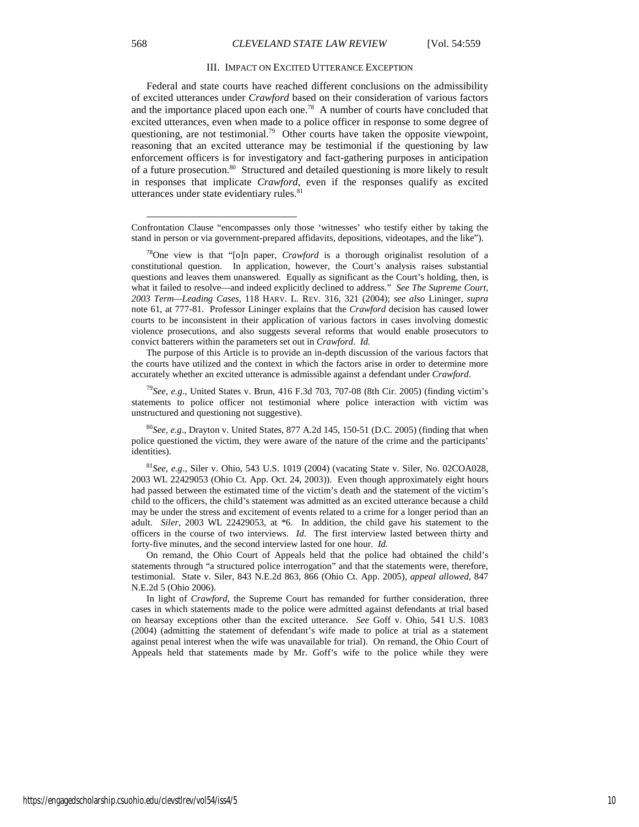#### III. IMPACT ON EXCITED UTTERANCE EXCEPTION

Federal and state courts have reached different conclusions on the admissibility of excited utterances under *Crawford* based on their consideration of various factors and the importance placed upon each one.<sup>78</sup> A number of courts have concluded that excited utterances, even when made to a police officer in response to some degree of questioning, are not testimonial.<sup>79</sup> Other courts have taken the opposite viewpoint, reasoning that an excited utterance may be testimonial if the questioning by law enforcement officers is for investigatory and fact-gathering purposes in anticipation of a future prosecution.<sup>80</sup> Structured and detailed questioning is more likely to result in responses that implicate *Crawford*, even if the responses qualify as excited utterances under state evidentiary rules.<sup>81</sup>

The purpose of this Article is to provide an in-depth discussion of the various factors that the courts have utilized and the context in which the factors arise in order to determine more accurately whether an excited utterance is admissible against a defendant under *Crawford*.

<sup>79</sup>*See, e.g*., United States v. Brun, 416 F.3d 703, 707-08 (8th Cir. 2005) (finding victim's statements to police officer not testimonial where police interaction with victim was unstructured and questioning not suggestive).

<sup>80</sup>*See, e.g*., Drayton v. United States, 877 A.2d 145, 150-51 (D.C. 2005) (finding that when police questioned the victim, they were aware of the nature of the crime and the participants' identities).

<sup>81</sup>*See, e.g*., Siler v. Ohio, 543 U.S. 1019 (2004) (vacating State v. Siler, No. 02COA028, 2003 WL 22429053 (Ohio Ct. App. Oct. 24, 2003)). Even though approximately eight hours had passed between the estimated time of the victim's death and the statement of the victim's child to the officers, the child's statement was admitted as an excited utterance because a child may be under the stress and excitement of events related to a crime for a longer period than an adult. *Siler*, 2003 WL 22429053, at \*6. In addition, the child gave his statement to the officers in the course of two interviews. *Id.* The first interview lasted between thirty and forty-five minutes, and the second interview lasted for one hour. *Id.*

On remand, the Ohio Court of Appeals held that the police had obtained the child's statements through "a structured police interrogation" and that the statements were, therefore, testimonial. State v. Siler, 843 N.E.2d 863, 866 (Ohio Ct. App. 2005), *appeal allowed*, 847 N.E.2d 5 (Ohio 2006).

In light of *Crawford*, the Supreme Court has remanded for further consideration, three cases in which statements made to the police were admitted against defendants at trial based on hearsay exceptions other than the excited utterance. *See* Goff v. Ohio, 541 U.S. 1083 (2004) (admitting the statement of defendant's wife made to police at trial as a statement against penal interest when the wife was unavailable for trial). On remand, the Ohio Court of Appeals held that statements made by Mr. Goff's wife to the police while they were

l

Confrontation Clause "encompasses only those 'witnesses' who testify either by taking the stand in person or via government-prepared affidavits, depositions, videotapes, and the like").

<sup>78</sup>One view is that "[o]n paper, *Crawford* is a thorough originalist resolution of a constitutional question. In application, however, the Court's analysis raises substantial questions and leaves them unanswered. Equally as significant as the Court's holding, then, is what it failed to resolve—and indeed explicitly declined to address." *See The Supreme Court, 2003 Term—Leading Cases*, 118 HARV. L. REV. 316, 321 (2004); *see also* Lininger, *supra* note 61, at 777-81. Professor Lininger explains that the *Crawford* decision has caused lower courts to be inconsistent in their application of various factors in cases involving domestic violence prosecutions, and also suggests several reforms that would enable prosecutors to convict batterers within the parameters set out in *Crawford*. *Id.*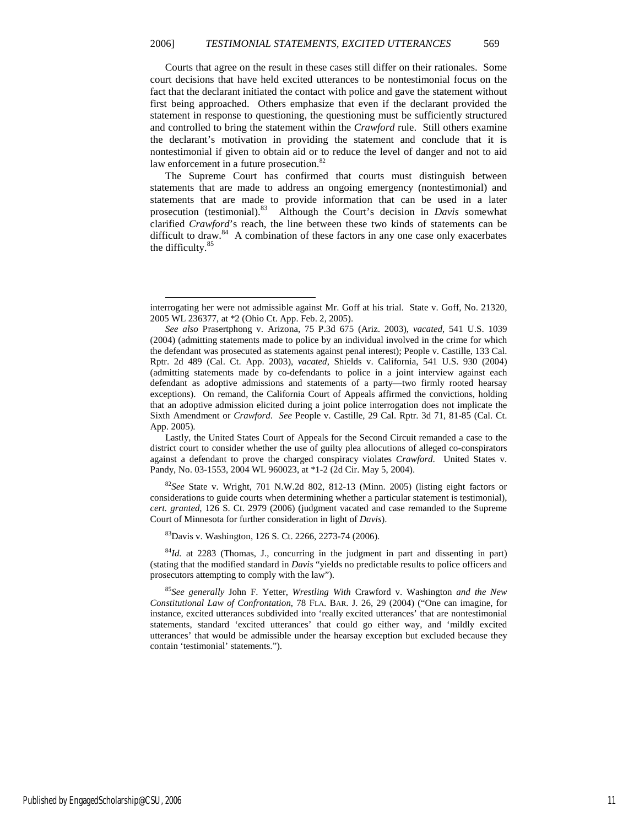Courts that agree on the result in these cases still differ on their rationales. Some court decisions that have held excited utterances to be nontestimonial focus on the fact that the declarant initiated the contact with police and gave the statement without first being approached. Others emphasize that even if the declarant provided the statement in response to questioning, the questioning must be sufficiently structured and controlled to bring the statement within the *Crawford* rule. Still others examine the declarant's motivation in providing the statement and conclude that it is nontestimonial if given to obtain aid or to reduce the level of danger and not to aid law enforcement in a future prosecution.<sup>82</sup>

The Supreme Court has confirmed that courts must distinguish between statements that are made to address an ongoing emergency (nontestimonial) and statements that are made to provide information that can be used in a later prosecution (testimonial).<sup>83</sup> Although the Court's decision in *Davis* somewhat clarified *Crawford*'s reach, the line between these two kinds of statements can be difficult to draw.<sup>84</sup> A combination of these factors in any one case only exacerbates the difficulty.<sup>85</sup>

Lastly, the United States Court of Appeals for the Second Circuit remanded a case to the district court to consider whether the use of guilty plea allocutions of alleged co-conspirators against a defendant to prove the charged conspiracy violates *Crawford*. United States v. Pandy, No. 03-1553, 2004 WL 960023, at \*1-2 (2d Cir. May 5, 2004).

<sup>82</sup>*See* State v. Wright, 701 N.W.2d 802, 812-13 (Minn. 2005) (listing eight factors or considerations to guide courts when determining whether a particular statement is testimonial), *cert. granted*, 126 S. Ct. 2979 (2006) (judgment vacated and case remanded to the Supreme Court of Minnesota for further consideration in light of *Davis*).

<sup>83</sup>Davis v. Washington, 126 S. Ct. 2266, 2273-74 (2006).

-

<sup>84</sup>*Id.* at 2283 (Thomas, J., concurring in the judgment in part and dissenting in part) (stating that the modified standard in *Davis* "yields no predictable results to police officers and prosecutors attempting to comply with the law").

<sup>85</sup>*See generally* John F. Yetter, *Wrestling With* Crawford v. Washington *and the New Constitutional Law of Confrontation*, 78 FLA. BAR. J. 26, 29 (2004) ("One can imagine, for instance, excited utterances subdivided into 'really excited utterances' that are nontestimonial statements, standard 'excited utterances' that could go either way, and 'mildly excited utterances' that would be admissible under the hearsay exception but excluded because they contain 'testimonial' statements.").

interrogating her were not admissible against Mr. Goff at his trial. State v. Goff, No. 21320, 2005 WL 236377, at \*2 (Ohio Ct. App. Feb. 2, 2005).

*See also* Prasertphong v. Arizona, 75 P.3d 675 (Ariz. 2003), *vacated*, 541 U.S. 1039 (2004) (admitting statements made to police by an individual involved in the crime for which the defendant was prosecuted as statements against penal interest); People v. Castille, 133 Cal. Rptr. 2d 489 (Cal. Ct. App. 2003), *vacated*, Shields v. California, 541 U.S. 930 (2004) (admitting statements made by co-defendants to police in a joint interview against each defendant as adoptive admissions and statements of a party—two firmly rooted hearsay exceptions). On remand, the California Court of Appeals affirmed the convictions, holding that an adoptive admission elicited during a joint police interrogation does not implicate the Sixth Amendment or *Crawford*. *See* People v. Castille, 29 Cal. Rptr. 3d 71, 81-85 (Cal. Ct. App. 2005).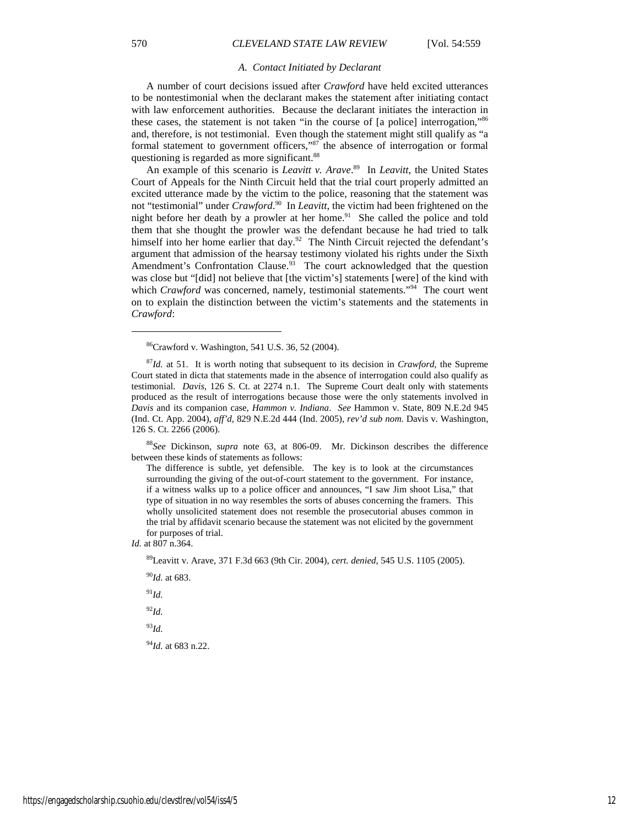#### *A. Contact Initiated by Declarant*

A number of court decisions issued after *Crawford* have held excited utterances to be nontestimonial when the declarant makes the statement after initiating contact with law enforcement authorities. Because the declarant initiates the interaction in these cases, the statement is not taken "in the course of [a police] interrogation,"<sup>86</sup> and, therefore, is not testimonial. Even though the statement might still qualify as "a formal statement to government officers," $87$  the absence of interrogation or formal questioning is regarded as more significant.<sup>88</sup>

An example of this scenario is *Leavitt v. Arave*. <sup>89</sup> In *Leavitt*, the United States Court of Appeals for the Ninth Circuit held that the trial court properly admitted an excited utterance made by the victim to the police, reasoning that the statement was not "testimonial" under *Crawford*. <sup>90</sup> In *Leavitt*, the victim had been frightened on the night before her death by a prowler at her home.<sup>91</sup> She called the police and told them that she thought the prowler was the defendant because he had tried to talk himself into her home earlier that day.<sup>92</sup> The Ninth Circuit rejected the defendant's argument that admission of the hearsay testimony violated his rights under the Sixth Amendment's Confrontation Clause.<sup>93</sup> The court acknowledged that the question was close but "[did] not believe that [the victim's] statements [were] of the kind with which *Crawford* was concerned, namely, testimonial statements."<sup>94</sup> The court went on to explain the distinction between the victim's statements and the statements in *Crawford*:

<sup>88</sup>*See* Dickinson, *supra* note 63, at 806-09. Mr. Dickinson describes the difference between these kinds of statements as follows:

The difference is subtle, yet defensible. The key is to look at the circumstances surrounding the giving of the out-of-court statement to the government. For instance, if a witness walks up to a police officer and announces, "I saw Jim shoot Lisa," that type of situation in no way resembles the sorts of abuses concerning the framers. This wholly unsolicited statement does not resemble the prosecutorial abuses common in the trial by affidavit scenario because the statement was not elicited by the government for purposes of trial.

*Id.* at 807 n.364.

<sup>89</sup>Leavitt v. Arave, 371 F.3d 663 (9th Cir. 2004), *cert. denied*, 545 U.S. 1105 (2005).

<sup>90</sup>*Id.* at 683.

<sup>91</sup>*Id.*

<sup>92</sup>*Id.*

<sup>93</sup>*Id.*

<sup>94</sup>*Id.* at 683 n.22.

<sup>86</sup>Crawford v. Washington, 541 U.S. 36, 52 (2004).

<sup>87</sup>*Id.* at 51. It is worth noting that subsequent to its decision in *Crawford*, the Supreme Court stated in dicta that statements made in the absence of interrogation could also qualify as testimonial. *Davis*, 126 S. Ct. at 2274 n.1. The Supreme Court dealt only with statements produced as the result of interrogations because those were the only statements involved in *Davis* and its companion case, *Hammon v. Indiana*. *See* Hammon v. State, 809 N.E.2d 945 (Ind. Ct. App. 2004), *aff'd*, 829 N.E.2d 444 (Ind. 2005), *rev'd sub nom.* Davis v. Washington, 126 S. Ct. 2266 (2006).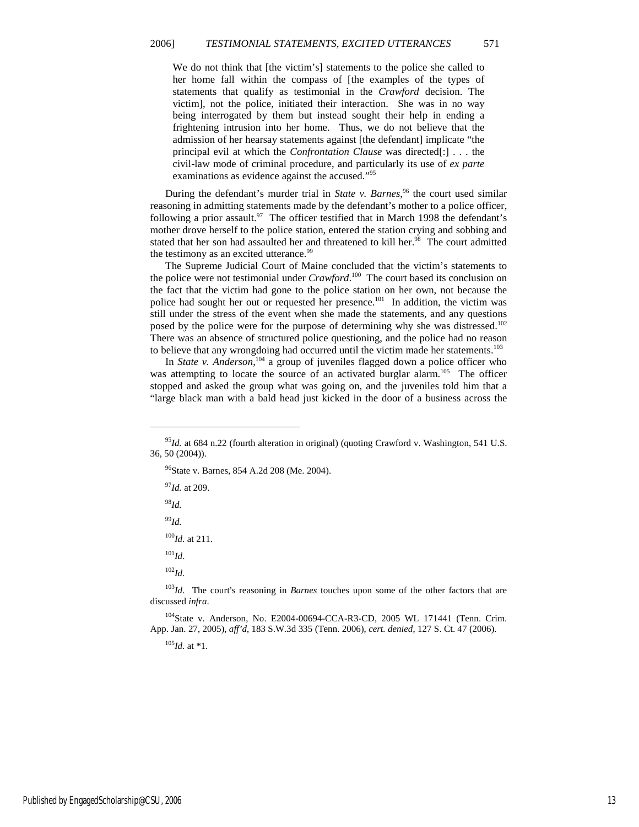We do not think that [the victim's] statements to the police she called to her home fall within the compass of [the examples of the types of statements that qualify as testimonial in the *Crawford* decision. The victim], not the police, initiated their interaction. She was in no way being interrogated by them but instead sought their help in ending a frightening intrusion into her home. Thus, we do not believe that the admission of her hearsay statements against [the defendant] implicate "the principal evil at which the *Confrontation Clause* was directed[:] . . . the civil-law mode of criminal procedure, and particularly its use of *ex parte* examinations as evidence against the accused."<sup>95</sup>

During the defendant's murder trial in *State v. Barnes*,<sup>96</sup> the court used similar reasoning in admitting statements made by the defendant's mother to a police officer, following a prior assault.<sup>97</sup> The officer testified that in March 1998 the defendant's mother drove herself to the police station, entered the station crying and sobbing and stated that her son had assaulted her and threatened to kill her.<sup>98</sup> The court admitted the testimony as an excited utterance.<sup>99</sup>

The Supreme Judicial Court of Maine concluded that the victim's statements to the police were not testimonial under *Crawford*. <sup>100</sup> The court based its conclusion on the fact that the victim had gone to the police station on her own, not because the police had sought her out or requested her presence.<sup>101</sup> In addition, the victim was still under the stress of the event when she made the statements, and any questions posed by the police were for the purpose of determining why she was distressed.<sup>102</sup> There was an absence of structured police questioning, and the police had no reason to believe that any wrongdoing had occurred until the victim made her statements.<sup>103</sup>

In *State v. Anderson*, <sup>104</sup> a group of juveniles flagged down a police officer who was attempting to locate the source of an activated burglar alarm.<sup>105</sup> The officer stopped and asked the group what was going on, and the juveniles told him that a "large black man with a bald head just kicked in the door of a business across the

<sup>96</sup>State v. Barnes, 854 A.2d 208 (Me. 2004).

<sup>97</sup>*Id.* at 209.

-

<sup>98</sup>*Id.*

<sup>99</sup>*Id.*

<sup>100</sup>*Id.* at 211.

<sup>101</sup>*Id*.

<sup>102</sup>*Id.*

<sup>103</sup>*Id.* The court's reasoning in *Barnes* touches upon some of the other factors that are discussed *infra*.

<sup>104</sup>State v. Anderson, No. E2004-00694-CCA-R3-CD, 2005 WL 171441 (Tenn. Crim. App. Jan. 27, 2005), *aff'd*, 183 S.W.3d 335 (Tenn. 2006), *cert. denied*, 127 S. Ct. 47 (2006).

 $^{105}$ *Id.* at \*1.

<sup>95</sup>*Id.* at 684 n.22 (fourth alteration in original) (quoting Crawford v. Washington, 541 U.S. 36, 50 (2004)).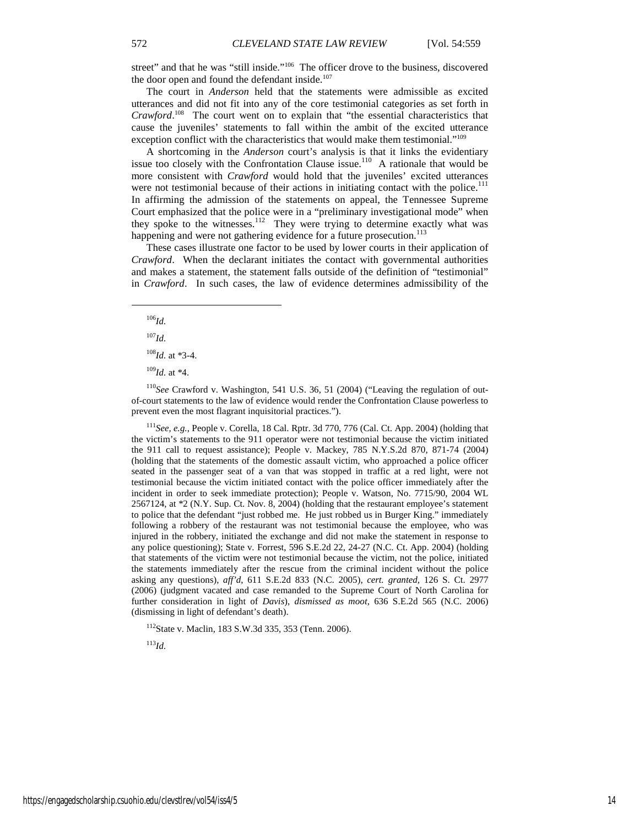street" and that he was "still inside."<sup>106</sup> The officer drove to the business, discovered the door open and found the defendant inside.<sup>107</sup>

The court in *Anderson* held that the statements were admissible as excited utterances and did not fit into any of the core testimonial categories as set forth in *Crawford*. <sup>108</sup> The court went on to explain that "the essential characteristics that cause the juveniles' statements to fall within the ambit of the excited utterance exception conflict with the characteristics that would make them testimonial."<sup>109</sup>

A shortcoming in the *Anderson* court's analysis is that it links the evidentiary issue too closely with the Confrontation Clause issue.<sup>110</sup> A rationale that would be more consistent with *Crawford* would hold that the juveniles' excited utterances were not testimonial because of their actions in initiating contact with the police.<sup>111</sup> In affirming the admission of the statements on appeal, the Tennessee Supreme Court emphasized that the police were in a "preliminary investigational mode" when they spoke to the witnesses.<sup>112</sup> They were trying to determine exactly what was happening and were not gathering evidence for a future prosecution.<sup>113</sup>

These cases illustrate one factor to be used by lower courts in their application of *Crawford*. When the declarant initiates the contact with governmental authorities and makes a statement, the statement falls outside of the definition of "testimonial" in *Crawford*. In such cases, the law of evidence determines admissibility of the

<sup>106</sup>*Id.*

1

<sup>107</sup>*Id.*

<sup>108</sup>*Id.* at \*3-4.

<sup>109</sup>*Id.* at \*4.

<sup>110</sup>*See* Crawford v. Washington, 541 U.S. 36, 51 (2004) ("Leaving the regulation of outof-court statements to the law of evidence would render the Confrontation Clause powerless to prevent even the most flagrant inquisitorial practices.").

<sup>111</sup>*See, e.g.*, People v. Corella, 18 Cal. Rptr. 3d 770, 776 (Cal. Ct. App. 2004) (holding that the victim's statements to the 911 operator were not testimonial because the victim initiated the 911 call to request assistance); People v. Mackey, 785 N.Y.S.2d 870, 871-74 (2004) (holding that the statements of the domestic assault victim, who approached a police officer seated in the passenger seat of a van that was stopped in traffic at a red light, were not testimonial because the victim initiated contact with the police officer immediately after the incident in order to seek immediate protection); People v. Watson, No. 7715/90, 2004 WL 2567124, at \*2 (N.Y. Sup. Ct. Nov. 8, 2004) (holding that the restaurant employee's statement to police that the defendant "just robbed me. He just robbed us in Burger King." immediately following a robbery of the restaurant was not testimonial because the employee, who was injured in the robbery, initiated the exchange and did not make the statement in response to any police questioning); State v. Forrest, 596 S.E.2d 22, 24-27 (N.C. Ct. App. 2004) (holding that statements of the victim were not testimonial because the victim, not the police, initiated the statements immediately after the rescue from the criminal incident without the police asking any questions), *aff'd*, 611 S.E.2d 833 (N.C. 2005), *cert. granted*, 126 S. Ct. 2977 (2006) (judgment vacated and case remanded to the Supreme Court of North Carolina for further consideration in light of *Davis*), *dismissed as moot*, 636 S.E.2d 565 (N.C. 2006) (dismissing in light of defendant's death).

<sup>112</sup>State v. Maclin, 183 S.W.3d 335, 353 (Tenn. 2006).

<sup>113</sup>*Id.*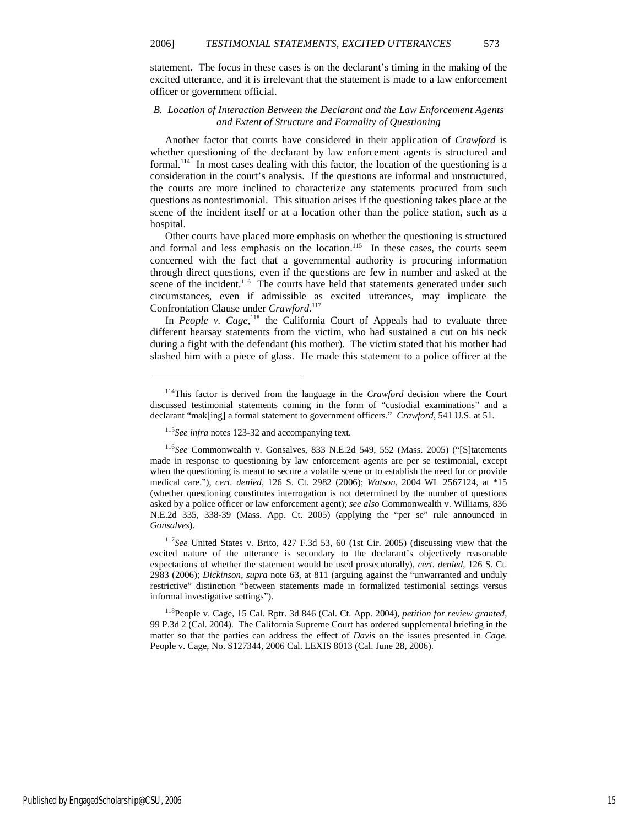statement. The focus in these cases is on the declarant's timing in the making of the excited utterance, and it is irrelevant that the statement is made to a law enforcement officer or government official.

#### *B. Location of Interaction Between the Declarant and the Law Enforcement Agents and Extent of Structure and Formality of Questioning*

Another factor that courts have considered in their application of *Crawford* is whether questioning of the declarant by law enforcement agents is structured and formal.<sup>114</sup> In most cases dealing with this factor, the location of the questioning is a consideration in the court's analysis. If the questions are informal and unstructured, the courts are more inclined to characterize any statements procured from such questions as nontestimonial. This situation arises if the questioning takes place at the scene of the incident itself or at a location other than the police station, such as a hospital.

Other courts have placed more emphasis on whether the questioning is structured and formal and less emphasis on the location. $115$  In these cases, the courts seem concerned with the fact that a governmental authority is procuring information through direct questions, even if the questions are few in number and asked at the scene of the incident.<sup>116</sup> The courts have held that statements generated under such circumstances, even if admissible as excited utterances, may implicate the Confrontation Clause under *Crawford*. 117

In *People v. Cage*,<sup>118</sup> the California Court of Appeals had to evaluate three different hearsay statements from the victim, who had sustained a cut on his neck during a fight with the defendant (his mother). The victim stated that his mother had slashed him with a piece of glass. He made this statement to a police officer at the

<sup>&</sup>lt;sup>114</sup>This factor is derived from the language in the *Crawford* decision where the Court discussed testimonial statements coming in the form of "custodial examinations" and a declarant "mak[ing] a formal statement to government officers." *Crawford*, 541 U.S. at 51.

<sup>115</sup>*See infra* notes 123-32 and accompanying text.

<sup>116</sup>*See* Commonwealth v. Gonsalves, 833 N.E.2d 549, 552 (Mass. 2005) ("[S]tatements made in response to questioning by law enforcement agents are per se testimonial, except when the questioning is meant to secure a volatile scene or to establish the need for or provide medical care."), *cert. denied*, 126 S. Ct. 2982 (2006); *Watson*, 2004 WL 2567124, at \*15 (whether questioning constitutes interrogation is not determined by the number of questions asked by a police officer or law enforcement agent); *see also* Commonwealth v. Williams, 836 N.E.2d 335, 338-39 (Mass. App. Ct. 2005) (applying the "per se" rule announced in *Gonsalves*).

<sup>117</sup>*See* United States v. Brito, 427 F.3d 53, 60 (1st Cir. 2005) (discussing view that the excited nature of the utterance is secondary to the declarant's objectively reasonable expectations of whether the statement would be used prosecutorally), *cert. denied*, 126 S. Ct. 2983 (2006); *Dickinson*, *supra* note 63, at 811 (arguing against the "unwarranted and unduly restrictive" distinction "between statements made in formalized testimonial settings versus informal investigative settings").

<sup>118</sup>People v. Cage, 15 Cal. Rptr. 3d 846 (Cal. Ct. App. 2004), *petition for review granted*, 99 P.3d 2 (Cal. 2004). The California Supreme Court has ordered supplemental briefing in the matter so that the parties can address the effect of *Davis* on the issues presented in *Cage*. People v. Cage, No. S127344, 2006 Cal. LEXIS 8013 (Cal. June 28, 2006).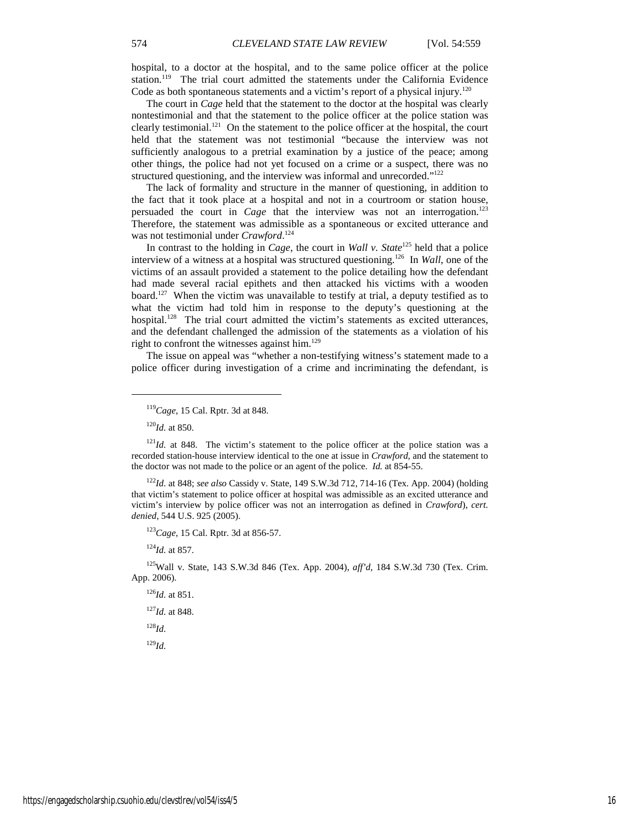hospital, to a doctor at the hospital, and to the same police officer at the police station.<sup>119</sup> The trial court admitted the statements under the California Evidence Code as both spontaneous statements and a victim's report of a physical injury.<sup>120</sup>

The court in *Cage* held that the statement to the doctor at the hospital was clearly nontestimonial and that the statement to the police officer at the police station was clearly testimonial.<sup>121</sup> On the statement to the police officer at the hospital, the court held that the statement was not testimonial "because the interview was not sufficiently analogous to a pretrial examination by a justice of the peace; among other things, the police had not yet focused on a crime or a suspect, there was no structured questioning, and the interview was informal and unrecorded."<sup>122</sup>

The lack of formality and structure in the manner of questioning, in addition to the fact that it took place at a hospital and not in a courtroom or station house, persuaded the court in *Cage* that the interview was not an interrogation.<sup>123</sup> Therefore, the statement was admissible as a spontaneous or excited utterance and was not testimonial under *Crawford*. 124

In contrast to the holding in *Cage*, the court in *Wall v. State*<sup>125</sup> held that a police interview of a witness at a hospital was structured questioning.<sup>126</sup> In *Wall*, one of the victims of an assault provided a statement to the police detailing how the defendant had made several racial epithets and then attacked his victims with a wooden board.<sup>127</sup> When the victim was unavailable to testify at trial, a deputy testified as to what the victim had told him in response to the deputy's questioning at the hospital.<sup>128</sup> The trial court admitted the victim's statements as excited utterances, and the defendant challenged the admission of the statements as a violation of his right to confront the witnesses against him.<sup>129</sup>

The issue on appeal was "whether a non-testifying witness's statement made to a police officer during investigation of a crime and incriminating the defendant, is

<sup>120</sup>*Id.* at 850.

1

<sup>122</sup>*Id.* at 848; *see also* Cassidy v. State, 149 S.W.3d 712, 714-16 (Tex. App. 2004) (holding that victim's statement to police officer at hospital was admissible as an excited utterance and victim's interview by police officer was not an interrogation as defined in *Crawford*), *cert. denied*, 544 U.S. 925 (2005).

<sup>123</sup>*Cage*, 15 Cal. Rptr. 3d at 856-57.

<sup>124</sup>*Id.* at 857.

<sup>125</sup>Wall v. State, 143 S.W.3d 846 (Tex. App. 2004), *aff'd*, 184 S.W.3d 730 (Tex. Crim. App. 2006).

<sup>126</sup>*Id.* at 851. <sup>127</sup>*Id.* at 848. <sup>128</sup>*Id.*

<sup>129</sup>*Id.*

<sup>119</sup>*Cage*, 15 Cal. Rptr. 3d at 848.

 $121/d$ . at 848. The victim's statement to the police officer at the police station was a recorded station-house interview identical to the one at issue in *Crawford*, and the statement to the doctor was not made to the police or an agent of the police. *Id.* at 854-55.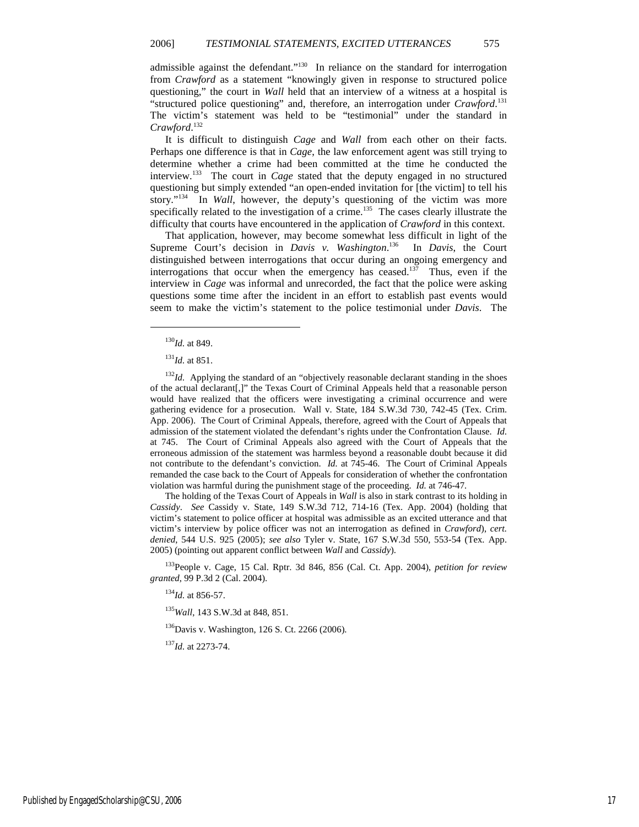admissible against the defendant."<sup>130</sup> In reliance on the standard for interrogation from *Crawford* as a statement "knowingly given in response to structured police questioning," the court in *Wall* held that an interview of a witness at a hospital is "structured police questioning" and, therefore, an interrogation under *Crawford*. 131 The victim's statement was held to be "testimonial" under the standard in *Crawford*. 132

It is difficult to distinguish *Cage* and *Wall* from each other on their facts. Perhaps one difference is that in *Cage*, the law enforcement agent was still trying to determine whether a crime had been committed at the time he conducted the interview.<sup>133</sup> The court in *Cage* stated that the deputy engaged in no structured questioning but simply extended "an open-ended invitation for [the victim] to tell his story."<sup>134</sup> In *Wall*, however, the deputy's questioning of the victim was more specifically related to the investigation of a crime.<sup>135</sup> The cases clearly illustrate the difficulty that courts have encountered in the application of *Crawford* in this context.

That application, however, may become somewhat less difficult in light of the Supreme Court's decision in *Davis v. Washington*. <sup>136</sup> In *Davis*, the Court distinguished between interrogations that occur during an ongoing emergency and interrogations that occur when the emergency has ceased.<sup>137</sup> Thus, even if the interview in *Cage* was informal and unrecorded, the fact that the police were asking questions some time after the incident in an effort to establish past events would seem to make the victim's statement to the police testimonial under *Davis*. The

1

<sup>132</sup>*Id.* Applying the standard of an "objectively reasonable declarant standing in the shoes of the actual declarant[,]" the Texas Court of Criminal Appeals held that a reasonable person would have realized that the officers were investigating a criminal occurrence and were gathering evidence for a prosecution. Wall v. State, 184 S.W.3d 730, 742-45 (Tex. Crim. App. 2006). The Court of Criminal Appeals, therefore, agreed with the Court of Appeals that admission of the statement violated the defendant's rights under the Confrontation Clause. *Id.* at 745. The Court of Criminal Appeals also agreed with the Court of Appeals that the erroneous admission of the statement was harmless beyond a reasonable doubt because it did not contribute to the defendant's conviction. *Id.* at 745-46. The Court of Criminal Appeals remanded the case back to the Court of Appeals for consideration of whether the confrontation violation was harmful during the punishment stage of the proceeding. *Id.* at 746-47.

The holding of the Texas Court of Appeals in *Wall* is also in stark contrast to its holding in *Cassidy*. *See* Cassidy v. State, 149 S.W.3d 712, 714-16 (Tex. App. 2004) (holding that victim's statement to police officer at hospital was admissible as an excited utterance and that victim's interview by police officer was not an interrogation as defined in *Crawford*), *cert. denied*, 544 U.S. 925 (2005); *see also* Tyler v. State, 167 S.W.3d 550, 553-54 (Tex. App. 2005) (pointing out apparent conflict between *Wall* and *Cassidy*).

<sup>133</sup>People v. Cage, 15 Cal. Rptr. 3d 846, 856 (Cal. Ct. App. 2004), *petition for review granted*, 99 P.3d 2 (Cal. 2004).

<sup>134</sup>*Id.* at 856-57.

<sup>135</sup>*Wall*, 143 S.W.3d at 848, 851.

<sup>136</sup>Davis v. Washington, 126 S. Ct. 2266 (2006).

<sup>137</sup>*Id.* at 2273-74.

<sup>130</sup>*Id.* at 849.

<sup>131</sup>*Id.* at 851.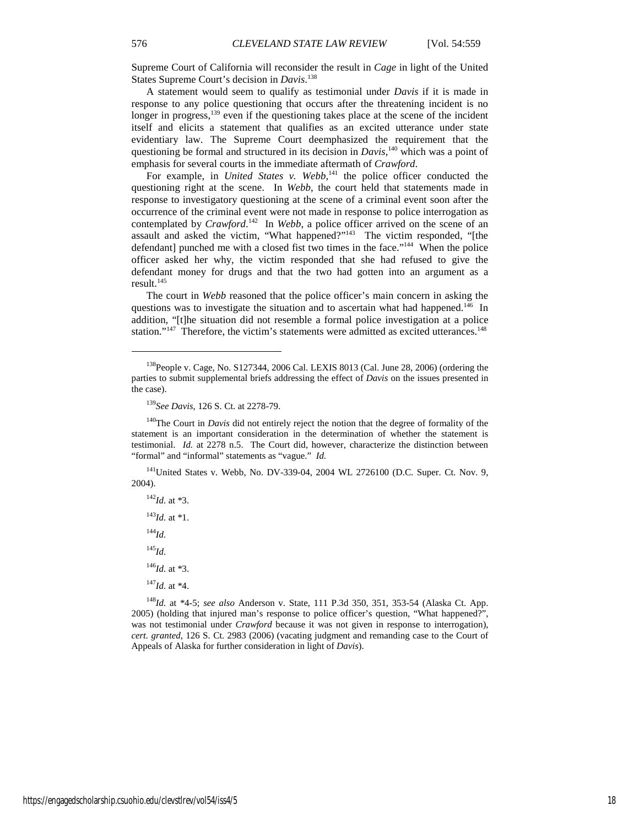Supreme Court of California will reconsider the result in *Cage* in light of the United States Supreme Court's decision in *Davis*. 138

A statement would seem to qualify as testimonial under *Davis* if it is made in response to any police questioning that occurs after the threatening incident is no longer in progress,<sup>139</sup> even if the questioning takes place at the scene of the incident itself and elicits a statement that qualifies as an excited utterance under state evidentiary law. The Supreme Court deemphasized the requirement that the questioning be formal and structured in its decision in *Davis*,<sup>140</sup> which was a point of emphasis for several courts in the immediate aftermath of *Crawford*.

For example, in *United States v. Webb*,<sup>141</sup> the police officer conducted the questioning right at the scene. In *Webb*, the court held that statements made in response to investigatory questioning at the scene of a criminal event soon after the occurrence of the criminal event were not made in response to police interrogation as contemplated by *Crawford*.<sup>142</sup> In *Webb*, a police officer arrived on the scene of an assault and asked the victim, "What happened?"<sup>143</sup> The victim responded, "[the defendant] punched me with a closed fist two times in the face."<sup>144</sup> When the police officer asked her why, the victim responded that she had refused to give the defendant money for drugs and that the two had gotten into an argument as a result. $145$ 

The court in *Webb* reasoned that the police officer's main concern in asking the questions was to investigate the situation and to ascertain what had happened.<sup>146</sup> In addition, "[t]he situation did not resemble a formal police investigation at a police station."<sup>147</sup> Therefore, the victim's statements were admitted as excited utterances.<sup>148</sup>

<sup>141</sup>United States v. Webb, No. DV-339-04, 2004 WL 2726100 (D.C. Super. Ct. Nov. 9, 2004).

*Id.* at \*3. *Id.* at \*1. <sup>144</sup>*Id.* <sup>145</sup>*Id. Id.* at \*3. *Id.* at \*4.

<sup>148</sup>*Id.* at \*4-5; *see also* Anderson v. State, 111 P.3d 350, 351, 353-54 (Alaska Ct. App. 2005) (holding that injured man's response to police officer's question, "What happened?", was not testimonial under *Crawford* because it was not given in response to interrogation), *cert. granted*, 126 S. Ct. 2983 (2006) (vacating judgment and remanding case to the Court of Appeals of Alaska for further consideration in light of *Davis*).

<sup>138</sup>People v. Cage, No. S127344, 2006 Cal. LEXIS 8013 (Cal. June 28, 2006) (ordering the parties to submit supplemental briefs addressing the effect of *Davis* on the issues presented in the case).

<sup>139</sup>*See Davis*, 126 S. Ct. at 2278-79.

<sup>&</sup>lt;sup>140</sup>The Court in *Davis* did not entirely reject the notion that the degree of formality of the statement is an important consideration in the determination of whether the statement is testimonial. *Id.* at 2278 n.5. The Court did, however, characterize the distinction between "formal" and "informal" statements as "vague." *Id.*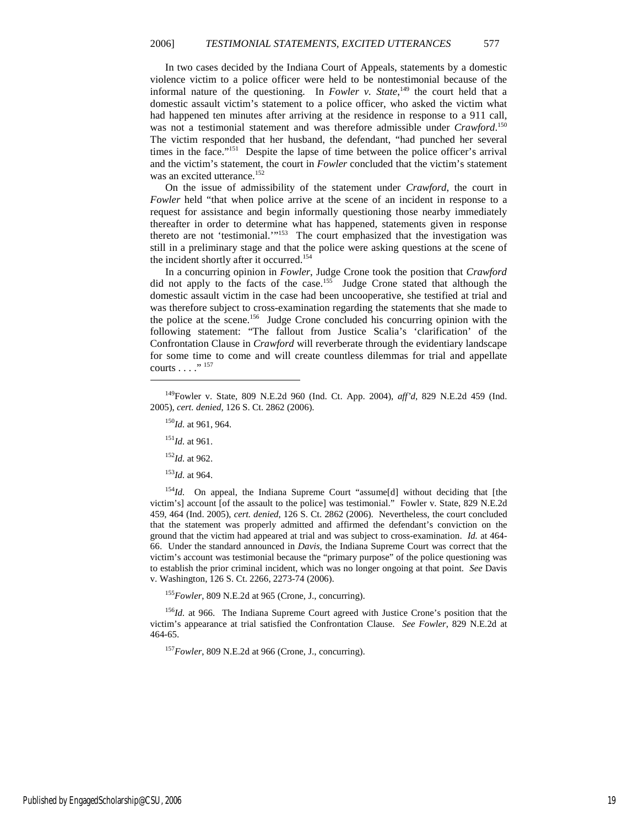In two cases decided by the Indiana Court of Appeals, statements by a domestic violence victim to a police officer were held to be nontestimonial because of the informal nature of the questioning. In *Fowler v. State*,<sup>149</sup> the court held that a domestic assault victim's statement to a police officer, who asked the victim what had happened ten minutes after arriving at the residence in response to a 911 call, was not a testimonial statement and was therefore admissible under *Crawford*. 150 The victim responded that her husband, the defendant, "had punched her several times in the face."<sup>151</sup> Despite the lapse of time between the police officer's arrival and the victim's statement, the court in *Fowler* concluded that the victim's statement was an excited utterance.<sup>152</sup>

On the issue of admissibility of the statement under *Crawford*, the court in *Fowler* held "that when police arrive at the scene of an incident in response to a request for assistance and begin informally questioning those nearby immediately thereafter in order to determine what has happened, statements given in response thereto are not 'testimonial.'"<sup>153</sup> The court emphasized that the investigation was still in a preliminary stage and that the police were asking questions at the scene of the incident shortly after it occurred.<sup>154</sup>

In a concurring opinion in *Fowler*, Judge Crone took the position that *Crawford* did not apply to the facts of the case.<sup>155</sup> Judge Crone stated that although the domestic assault victim in the case had been uncooperative, she testified at trial and was therefore subject to cross-examination regarding the statements that she made to the police at the scene.<sup>156</sup> Judge Crone concluded his concurring opinion with the following statement: "The fallout from Justice Scalia's 'clarification' of the Confrontation Clause in *Crawford* will reverberate through the evidentiary landscape for some time to come and will create countless dilemmas for trial and appellate courts  $\ldots$ ." <sup>157</sup>

<sup>151</sup>*Id.* at 961.

1

- <sup>152</sup>*Id.* at 962.
- <sup>153</sup>*Id.* at 964.

<sup>154</sup>*Id.* On appeal, the Indiana Supreme Court "assume[d] without deciding that [the victim's] account [of the assault to the police] was testimonial." Fowler v. State, 829 N.E.2d 459, 464 (Ind. 2005), *cert. denied*, 126 S. Ct. 2862 (2006). Nevertheless, the court concluded that the statement was properly admitted and affirmed the defendant's conviction on the ground that the victim had appeared at trial and was subject to cross-examination. *Id.* at 464- 66. Under the standard announced in *Davis*, the Indiana Supreme Court was correct that the victim's account was testimonial because the "primary purpose" of the police questioning was to establish the prior criminal incident, which was no longer ongoing at that point. *See* Davis v. Washington, 126 S. Ct. 2266, 2273-74 (2006).

<sup>155</sup>*Fowler*, 809 N.E.2d at 965 (Crone, J., concurring).

<sup>156</sup>*Id.* at 966. The Indiana Supreme Court agreed with Justice Crone's position that the victim's appearance at trial satisfied the Confrontation Clause. *See Fowler*, 829 N.E.2d at 464-65.

<sup>157</sup>*Fowler*, 809 N.E.2d at 966 (Crone, J., concurring).

<sup>149</sup>Fowler v. State, 809 N.E.2d 960 (Ind. Ct. App. 2004), *aff'd*, 829 N.E.2d 459 (Ind. 2005), *cert. denied*, 126 S. Ct. 2862 (2006).

<sup>150</sup>*Id.* at 961, 964.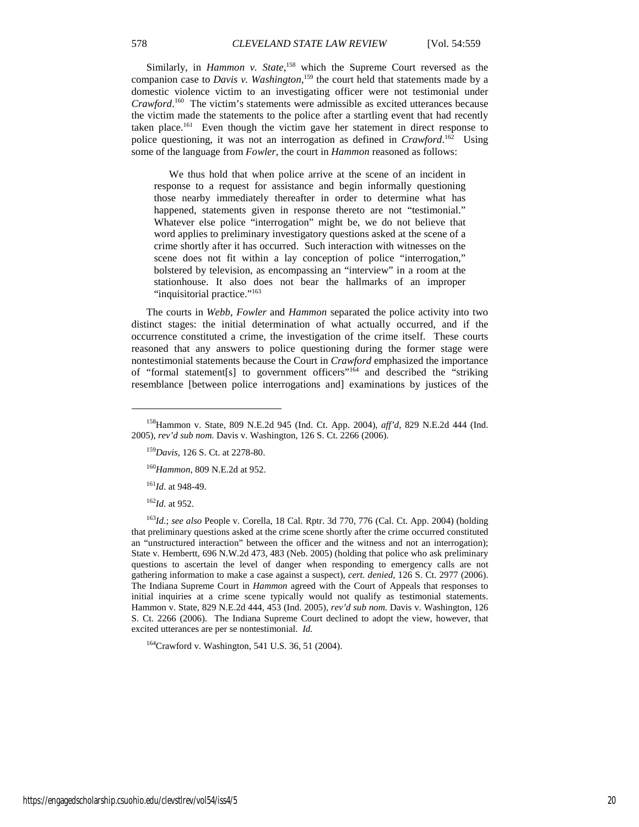Similarly, in *Hammon v. State*, <sup>158</sup> which the Supreme Court reversed as the companion case to *Davis v. Washington*, <sup>159</sup> the court held that statements made by a domestic violence victim to an investigating officer were not testimonial under *Crawford*. <sup>160</sup> The victim's statements were admissible as excited utterances because the victim made the statements to the police after a startling event that had recently taken place.<sup>161</sup> Even though the victim gave her statement in direct response to police questioning, it was not an interrogation as defined in *Crawford*. <sup>162</sup> Using some of the language from *Fowler*, the court in *Hammon* reasoned as follows:

 We thus hold that when police arrive at the scene of an incident in response to a request for assistance and begin informally questioning those nearby immediately thereafter in order to determine what has happened, statements given in response thereto are not "testimonial." Whatever else police "interrogation" might be, we do not believe that word applies to preliminary investigatory questions asked at the scene of a crime shortly after it has occurred. Such interaction with witnesses on the scene does not fit within a lay conception of police "interrogation," bolstered by television, as encompassing an "interview" in a room at the stationhouse. It also does not bear the hallmarks of an improper "inquisitorial practice."<sup>163</sup>

The courts in *Webb*, *Fowler* and *Hammon* separated the police activity into two distinct stages: the initial determination of what actually occurred, and if the occurrence constituted a crime, the investigation of the crime itself. These courts reasoned that any answers to police questioning during the former stage were nontestimonial statements because the Court in *Crawford* emphasized the importance of "formal statement[s] to government officers"<sup>164</sup> and described the "striking resemblance [between police interrogations and] examinations by justices of the

<sup>160</sup>*Hammon*, 809 N.E.2d at 952.

<sup>161</sup>*Id.* at 948-49.

<sup>162</sup>*Id.* at 952.

1

<sup>163</sup>*Id.*; *see also* People v. Corella, 18 Cal. Rptr. 3d 770, 776 (Cal. Ct. App. 2004) (holding that preliminary questions asked at the crime scene shortly after the crime occurred constituted an "unstructured interaction" between the officer and the witness and not an interrogation); State v. Hembertt, 696 N.W.2d 473, 483 (Neb. 2005) (holding that police who ask preliminary questions to ascertain the level of danger when responding to emergency calls are not gathering information to make a case against a suspect), *cert. denied*, 126 S. Ct. 2977 (2006). The Indiana Supreme Court in *Hammon* agreed with the Court of Appeals that responses to initial inquiries at a crime scene typically would not qualify as testimonial statements. Hammon v. State, 829 N.E.2d 444, 453 (Ind. 2005), *rev'd sub nom.* Davis v. Washington, 126 S. Ct. 2266 (2006). The Indiana Supreme Court declined to adopt the view, however, that excited utterances are per se nontestimonial. *Id.*

<sup>164</sup>Crawford v. Washington, 541 U.S. 36, 51 (2004).

<sup>158</sup>Hammon v. State, 809 N.E.2d 945 (Ind. Ct. App. 2004), *aff'd*, 829 N.E.2d 444 (Ind. 2005), *rev'd sub nom.* Davis v. Washington, 126 S. Ct. 2266 (2006).

<sup>159</sup>*Davis*, 126 S. Ct. at 2278-80.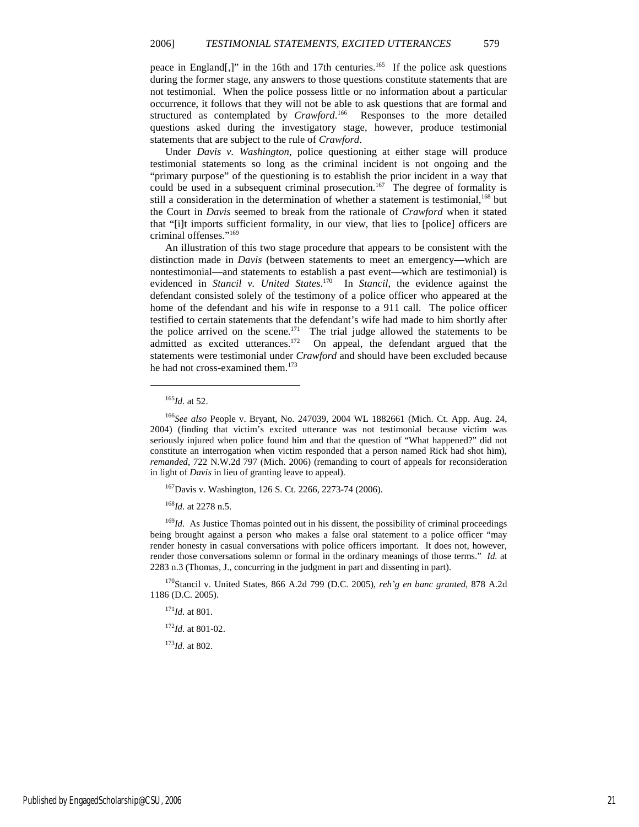peace in England[,]" in the 16th and 17th centuries.<sup>165</sup> If the police ask questions during the former stage, any answers to those questions constitute statements that are not testimonial. When the police possess little or no information about a particular occurrence, it follows that they will not be able to ask questions that are formal and structured as contemplated by *Crawford*.<sup>166</sup> Responses to the more detailed questions asked during the investigatory stage, however, produce testimonial statements that are subject to the rule of *Crawford*.

Under *Davis v. Washington*, police questioning at either stage will produce testimonial statements so long as the criminal incident is not ongoing and the "primary purpose" of the questioning is to establish the prior incident in a way that could be used in a subsequent criminal prosecution.<sup>167</sup> The degree of formality is still a consideration in the determination of whether a statement is testimonial,<sup>168</sup> but the Court in *Davis* seemed to break from the rationale of *Crawford* when it stated that "[i]t imports sufficient formality, in our view, that lies to [police] officers are criminal offenses."<sup>169</sup>

An illustration of this two stage procedure that appears to be consistent with the distinction made in *Davis* (between statements to meet an emergency—which are nontestimonial—and statements to establish a past event—which are testimonial) is evidenced in *Stancil v. United States*. <sup>170</sup> In *Stancil*, the evidence against the defendant consisted solely of the testimony of a police officer who appeared at the home of the defendant and his wife in response to a 911 call. The police officer testified to certain statements that the defendant's wife had made to him shortly after the police arrived on the scene.<sup>171</sup> The trial judge allowed the statements to be admitted as excited utterances.<sup>172</sup> On appeal, the defendant argued that the statements were testimonial under *Crawford* and should have been excluded because he had not cross-examined them.<sup>173</sup>

1

<sup>167</sup>Davis v. Washington, 126 S. Ct. 2266, 2273-74 (2006).

<sup>168</sup>*Id.* at 2278 n.5.

<sup>169</sup>*Id.* As Justice Thomas pointed out in his dissent, the possibility of criminal proceedings being brought against a person who makes a false oral statement to a police officer "may render honesty in casual conversations with police officers important. It does not, however, render those conversations solemn or formal in the ordinary meanings of those terms." *Id.* at 2283 n.3 (Thomas, J., concurring in the judgment in part and dissenting in part).

<sup>170</sup>Stancil v. United States, 866 A.2d 799 (D.C. 2005), *reh'g en banc granted*, 878 A.2d 1186 (D.C. 2005).

<sup>171</sup>*Id.* at 801.

 $172$ *Id.* at 801-02.

<sup>173</sup>*Id.* at 802.

<sup>165</sup>*Id.* at 52.

<sup>166</sup>*See also* People v. Bryant, No. 247039, 2004 WL 1882661 (Mich. Ct. App. Aug. 24, 2004) (finding that victim's excited utterance was not testimonial because victim was seriously injured when police found him and that the question of "What happened?" did not constitute an interrogation when victim responded that a person named Rick had shot him), *remanded*, 722 N.W.2d 797 (Mich. 2006) (remanding to court of appeals for reconsideration in light of *Davis* in lieu of granting leave to appeal).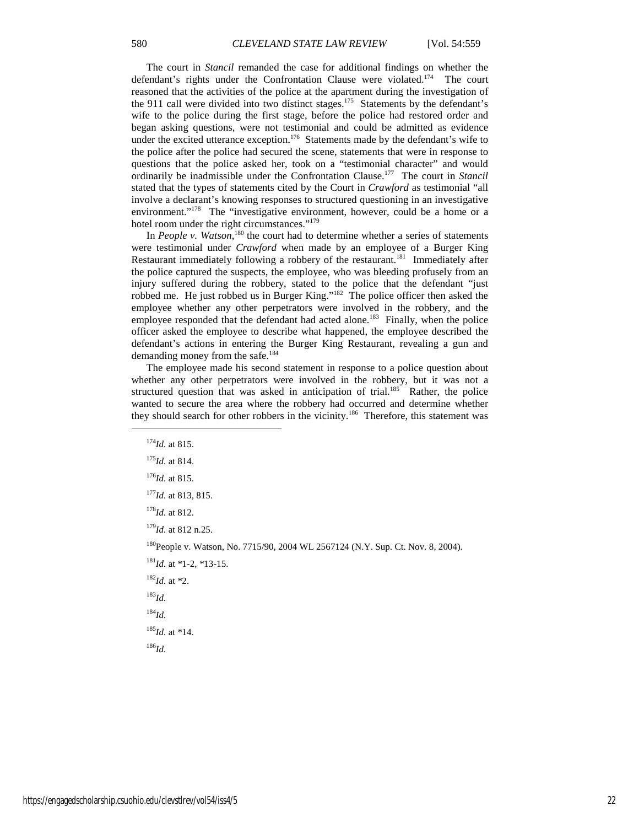The court in *Stancil* remanded the case for additional findings on whether the defendant's rights under the Confrontation Clause were violated.<sup>174</sup> The court reasoned that the activities of the police at the apartment during the investigation of the 911 call were divided into two distinct stages.<sup>175</sup> Statements by the defendant's wife to the police during the first stage, before the police had restored order and began asking questions, were not testimonial and could be admitted as evidence under the excited utterance exception.<sup>176</sup> Statements made by the defendant's wife to the police after the police had secured the scene, statements that were in response to questions that the police asked her, took on a "testimonial character" and would ordinarily be inadmissible under the Confrontation Clause.<sup>177</sup> The court in *Stancil* stated that the types of statements cited by the Court in *Crawford* as testimonial "all involve a declarant's knowing responses to structured questioning in an investigative environment."<sup>178</sup> The "investigative environment, however, could be a home or a hotel room under the right circumstances."<sup>179</sup>

In *People v. Watson*,<sup>180</sup> the court had to determine whether a series of statements were testimonial under *Crawford* when made by an employee of a Burger King Restaurant immediately following a robbery of the restaurant.<sup>181</sup> Immediately after the police captured the suspects, the employee, who was bleeding profusely from an injury suffered during the robbery, stated to the police that the defendant "just robbed me. He just robbed us in Burger King."<sup>182</sup> The police officer then asked the employee whether any other perpetrators were involved in the robbery, and the employee responded that the defendant had acted alone.<sup>183</sup> Finally, when the police officer asked the employee to describe what happened, the employee described the defendant's actions in entering the Burger King Restaurant, revealing a gun and demanding money from the safe.<sup>184</sup>

The employee made his second statement in response to a police question about whether any other perpetrators were involved in the robbery, but it was not a structured question that was asked in anticipation of trial.<sup>185</sup> Rather, the police wanted to secure the area where the robbery had occurred and determine whether they should search for other robbers in the vicinity.<sup>186</sup> Therefore, this statement was

1

<sup>175</sup>*Id.* at 814.

<sup>176</sup>*Id.* at 815.

<sup>177</sup>*Id.* at 813, 815.

<sup>178</sup>*Id.* at 812.

<sup>179</sup>*Id.* at 812 n.25.

<sup>180</sup>People v. Watson, No. 7715/90, 2004 WL 2567124 (N.Y. Sup. Ct. Nov. 8, 2004).

<sup>181</sup>*Id.* at \*1-2, \*13-15.

<sup>182</sup>*Id.* at \*2. <sup>183</sup>*Id.*

<sup>184</sup>*Id.*

<sup>185</sup>*Id.* at \*14.

<sup>186</sup>*Id.*

<sup>174</sup>*Id.* at 815.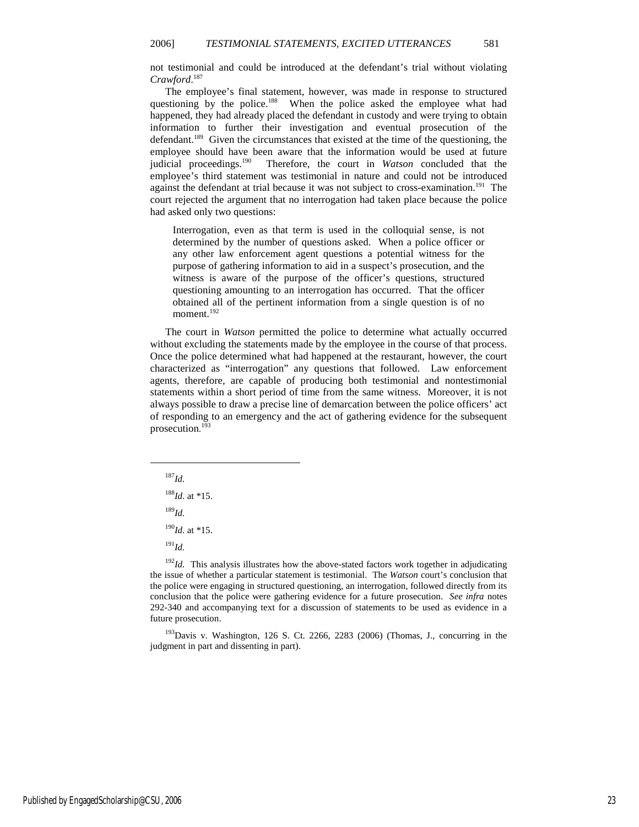not testimonial and could be introduced at the defendant's trial without violating *Crawford*. 187

The employee's final statement, however, was made in response to structured questioning by the police.<sup>188</sup> When the police asked the employee what had happened, they had already placed the defendant in custody and were trying to obtain information to further their investigation and eventual prosecution of the defendant.<sup>189</sup> Given the circumstances that existed at the time of the questioning, the employee should have been aware that the information would be used at future judicial proceedings.<sup>190</sup> Therefore, the court in *Watson* concluded that the employee's third statement was testimonial in nature and could not be introduced against the defendant at trial because it was not subject to cross-examination.<sup>191</sup> The court rejected the argument that no interrogation had taken place because the police had asked only two questions:

Interrogation, even as that term is used in the colloquial sense, is not determined by the number of questions asked. When a police officer or any other law enforcement agent questions a potential witness for the purpose of gathering information to aid in a suspect's prosecution, and the witness is aware of the purpose of the officer's questions, structured questioning amounting to an interrogation has occurred. That the officer obtained all of the pertinent information from a single question is of no moment.<sup>192</sup>

The court in *Watson* permitted the police to determine what actually occurred without excluding the statements made by the employee in the course of that process. Once the police determined what had happened at the restaurant, however, the court characterized as "interrogation" any questions that followed. Law enforcement agents, therefore, are capable of producing both testimonial and nontestimonial statements within a short period of time from the same witness. Moreover, it is not always possible to draw a precise line of demarcation between the police officers' act of responding to an emergency and the act of gathering evidence for the subsequent prosecution. 193

<sup>187</sup>*Id.*

1

<sup>188</sup>*Id.* at \*15.

<sup>189</sup>*Id.*

 $190$ *Id.* at \*15.

<sup>191</sup>*Id.*

 $192$ *Id.* This analysis illustrates how the above-stated factors work together in adjudicating the issue of whether a particular statement is testimonial. The *Watson* court's conclusion that the police were engaging in structured questioning, an interrogation, followed directly from its conclusion that the police were gathering evidence for a future prosecution. *See infra* notes 292-340 and accompanying text for a discussion of statements to be used as evidence in a future prosecution.

<sup>193</sup>Davis v. Washington, 126 S. Ct. 2266, 2283 (2006) (Thomas, J., concurring in the judgment in part and dissenting in part).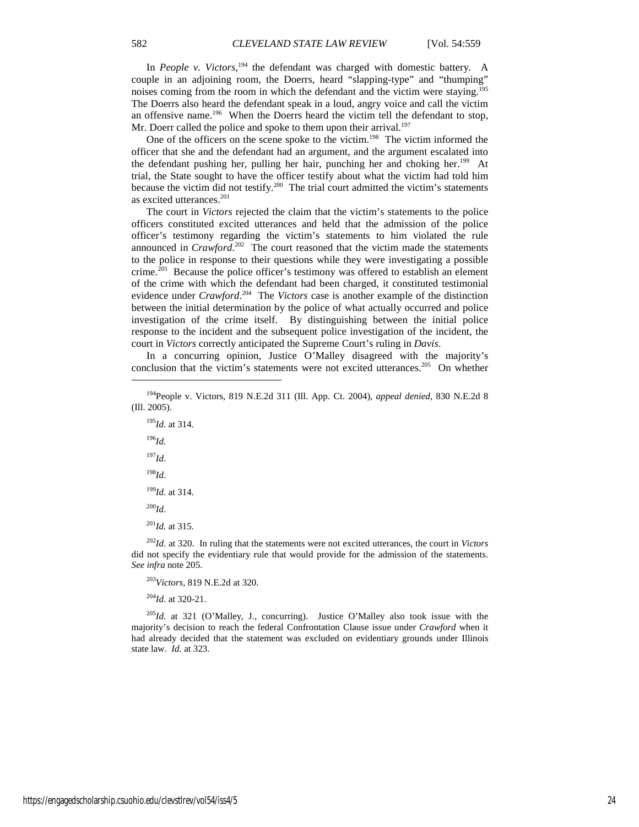In *People v. Victors*,<sup>194</sup> the defendant was charged with domestic battery. A couple in an adjoining room, the Doerrs, heard "slapping-type" and "thumping" noises coming from the room in which the defendant and the victim were staying.<sup>195</sup> The Doerrs also heard the defendant speak in a loud, angry voice and call the victim an offensive name.<sup>196</sup> When the Doerrs heard the victim tell the defendant to stop, Mr. Doerr called the police and spoke to them upon their arrival.<sup>197</sup>

One of the officers on the scene spoke to the victim.<sup>198</sup> The victim informed the officer that she and the defendant had an argument, and the argument escalated into the defendant pushing her, pulling her hair, punching her and choking her.<sup>199</sup> At trial, the State sought to have the officer testify about what the victim had told him because the victim did not testify.<sup>200</sup> The trial court admitted the victim's statements as excited utterances.<sup>201</sup>

The court in *Victors* rejected the claim that the victim's statements to the police officers constituted excited utterances and held that the admission of the police officer's testimony regarding the victim's statements to him violated the rule announced in *Crawford*. <sup>202</sup> The court reasoned that the victim made the statements to the police in response to their questions while they were investigating a possible crime.<sup>203</sup> Because the police officer's testimony was offered to establish an element of the crime with which the defendant had been charged, it constituted testimonial evidence under *Crawford*.<sup>204</sup> The *Victors* case is another example of the distinction between the initial determination by the police of what actually occurred and police investigation of the crime itself. By distinguishing between the initial police response to the incident and the subsequent police investigation of the incident, the court in *Victors* correctly anticipated the Supreme Court's ruling in *Davis*.

In a concurring opinion, Justice O'Malley disagreed with the majority's conclusion that the victim's statements were not excited utterances.<sup>205</sup> On whether

<sup>195</sup>*Id.* at 314. <sup>196</sup>*Id.* <sup>197</sup>*Id.* <sup>198</sup>*Id.* <sup>199</sup>*Id.* at 314. <sup>200</sup>*Id.* <sup>201</sup>*Id.* at 315.

1

<sup>202</sup>*Id.* at 320. In ruling that the statements were not excited utterances, the court in *Victors* did not specify the evidentiary rule that would provide for the admission of the statements. *See infra* note 205.

<sup>203</sup>*Victors*, 819 N.E.2d at 320.

<sup>204</sup>*Id.* at 320-21.

<sup>205</sup>*Id.* at 321 (O'Malley, J., concurring). Justice O'Malley also took issue with the majority's decision to reach the federal Confrontation Clause issue under *Crawford* when it had already decided that the statement was excluded on evidentiary grounds under Illinois state law. *Id.* at 323.

<sup>194</sup>People v. Victors, 819 N.E.2d 311 (Ill. App. Ct. 2004), *appeal denied*, 830 N.E.2d 8 (Ill. 2005).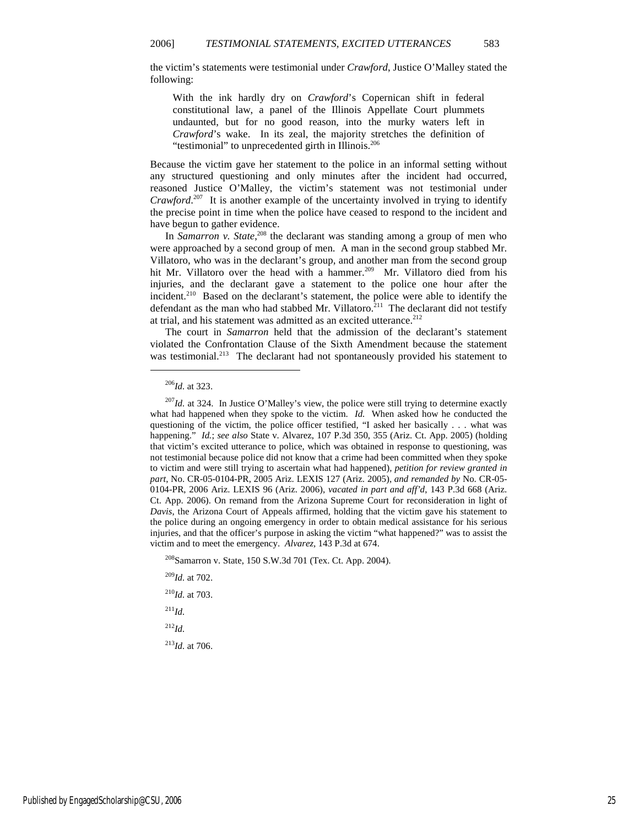the victim's statements were testimonial under *Crawford*, Justice O'Malley stated the following:

With the ink hardly dry on *Crawford*'s Copernican shift in federal constitutional law, a panel of the Illinois Appellate Court plummets undaunted, but for no good reason, into the murky waters left in *Crawford*'s wake. In its zeal, the majority stretches the definition of "testimonial" to unprecedented girth in Illinois.<sup>206</sup>

Because the victim gave her statement to the police in an informal setting without any structured questioning and only minutes after the incident had occurred, reasoned Justice O'Malley, the victim's statement was not testimonial under *Crawford*.<sup>207</sup> It is another example of the uncertainty involved in trying to identify the precise point in time when the police have ceased to respond to the incident and have begun to gather evidence.

In *Samarron v. State*, <sup>208</sup> the declarant was standing among a group of men who were approached by a second group of men. A man in the second group stabbed Mr. Villatoro, who was in the declarant's group, and another man from the second group hit Mr. Villatoro over the head with a hammer.<sup>209</sup> Mr. Villatoro died from his injuries, and the declarant gave a statement to the police one hour after the incident.<sup>210</sup> Based on the declarant's statement, the police were able to identify the defendant as the man who had stabbed Mr. Villatoro.<sup>211</sup> The declarant did not testify at trial, and his statement was admitted as an excited utterance.<sup>212</sup>

The court in *Samarron* held that the admission of the declarant's statement violated the Confrontation Clause of the Sixth Amendment because the statement was testimonial.<sup>213</sup> The declarant had not spontaneously provided his statement to

1

<sup>208</sup>Samarron v. State, 150 S.W.3d 701 (Tex. Ct. App. 2004).

<sup>209</sup>*Id.* at 702.

<sup>210</sup>*Id.* at 703. <sup>211</sup>*Id.*

<sup>212</sup>*Id.*

<sup>213</sup>*Id.* at 706.

<sup>206</sup>*Id.* at 323.

 $^{207}$ *Id.* at 324. In Justice O'Malley's view, the police were still trying to determine exactly what had happened when they spoke to the victim. *Id.* When asked how he conducted the questioning of the victim, the police officer testified, "I asked her basically . . . what was happening." *Id.*; *see also* State v. Alvarez, 107 P.3d 350, 355 (Ariz. Ct. App. 2005) (holding that victim's excited utterance to police, which was obtained in response to questioning, was not testimonial because police did not know that a crime had been committed when they spoke to victim and were still trying to ascertain what had happened), *petition for review granted in part*, No. CR-05-0104-PR, 2005 Ariz. LEXIS 127 (Ariz. 2005), *and remanded by* No. CR-05- 0104-PR, 2006 Ariz. LEXIS 96 (Ariz. 2006), *vacated in part and aff'd*, 143 P.3d 668 (Ariz. Ct. App. 2006). On remand from the Arizona Supreme Court for reconsideration in light of *Davis*, the Arizona Court of Appeals affirmed, holding that the victim gave his statement to the police during an ongoing emergency in order to obtain medical assistance for his serious injuries, and that the officer's purpose in asking the victim "what happened?" was to assist the victim and to meet the emergency. *Alvarez,* 143 P.3d at 674.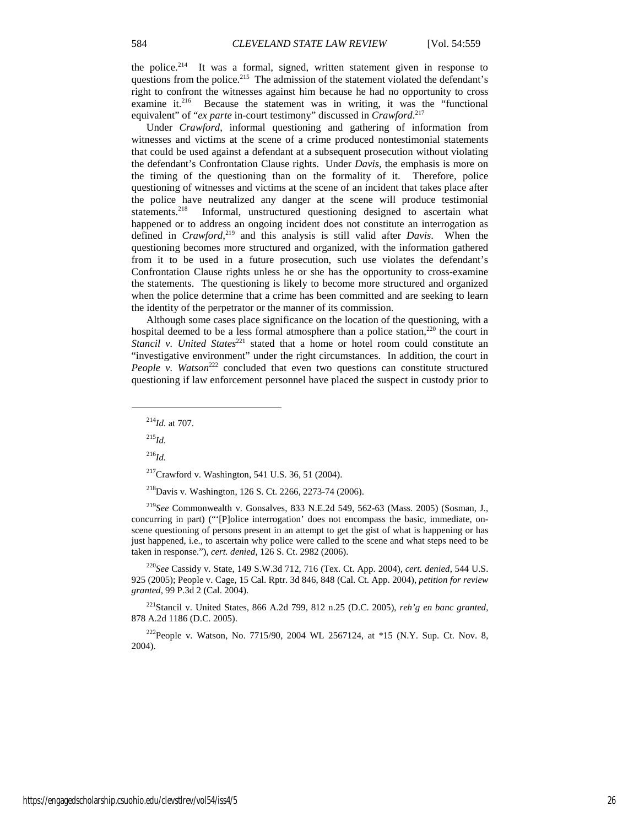the police.<sup>214</sup> It was a formal, signed, written statement given in response to questions from the police.<sup>215</sup> The admission of the statement violated the defendant's right to confront the witnesses against him because he had no opportunity to cross examine it.<sup>216</sup> Because the statement was in writing, it was the "functional equivalent" of "*ex parte* in-court testimony" discussed in *Crawford*. 217

Under *Crawford*, informal questioning and gathering of information from witnesses and victims at the scene of a crime produced nontestimonial statements that could be used against a defendant at a subsequent prosecution without violating the defendant's Confrontation Clause rights. Under *Davis*, the emphasis is more on the timing of the questioning than on the formality of it. Therefore, police questioning of witnesses and victims at the scene of an incident that takes place after the police have neutralized any danger at the scene will produce testimonial statements.<sup>218</sup> Informal, unstructured questioning designed to ascertain what happened or to address an ongoing incident does not constitute an interrogation as defined in *Crawford*, <sup>219</sup> and this analysis is still valid after *Davis*. When the questioning becomes more structured and organized, with the information gathered from it to be used in a future prosecution, such use violates the defendant's Confrontation Clause rights unless he or she has the opportunity to cross-examine the statements. The questioning is likely to become more structured and organized when the police determine that a crime has been committed and are seeking to learn the identity of the perpetrator or the manner of its commission.

Although some cases place significance on the location of the questioning, with a hospital deemed to be a less formal atmosphere than a police station, $220$  the court in *Stancil v. United States*<sup>221</sup> stated that a home or hotel room could constitute an "investigative environment" under the right circumstances. In addition, the court in *People v. Watson*<sup>222</sup> concluded that even two questions can constitute structured questioning if law enforcement personnel have placed the suspect in custody prior to

<sup>215</sup>*Id.*

1

<sup>216</sup>*Id.*

<sup>218</sup>Davis v. Washington, 126 S. Ct. 2266, 2273-74 (2006).

<sup>219</sup>*See* Commonwealth v. Gonsalves, 833 N.E.2d 549, 562-63 (Mass. 2005) (Sosman, J., concurring in part) ("'[P]olice interrogation' does not encompass the basic, immediate, onscene questioning of persons present in an attempt to get the gist of what is happening or has just happened, i.e., to ascertain why police were called to the scene and what steps need to be taken in response."), *cert. denied*, 126 S. Ct. 2982 (2006).

<sup>220</sup>*See* Cassidy v. State, 149 S.W.3d 712, 716 (Tex. Ct. App. 2004), *cert. denied*, 544 U.S. 925 (2005); People v. Cage, 15 Cal. Rptr. 3d 846, 848 (Cal. Ct. App. 2004), *petition for review granted*, 99 P.3d 2 (Cal. 2004).

<sup>221</sup>Stancil v. United States, 866 A.2d 799, 812 n.25 (D.C. 2005), *reh'g en banc granted*, 878 A.2d 1186 (D.C. 2005).

<sup>222</sup>People v. Watson, No. 7715/90, 2004 WL 2567124, at \*15 (N.Y. Sup. Ct. Nov. 8, 2004).

<sup>214</sup>*Id.* at 707.

 $217$ Crawford v. Washington, 541 U.S. 36, 51 (2004).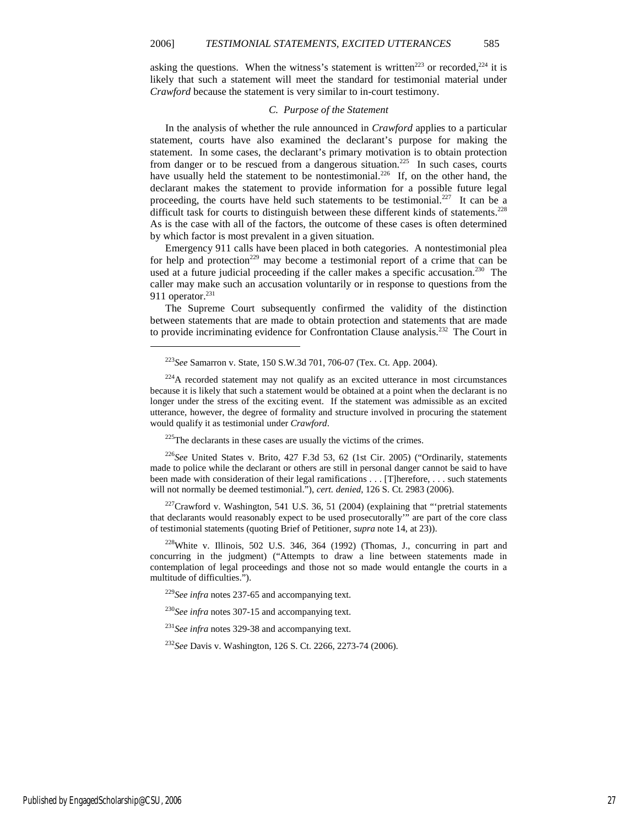asking the questions. When the witness's statement is written<sup>223</sup> or recorded,<sup>224</sup> it is likely that such a statement will meet the standard for testimonial material under *Crawford* because the statement is very similar to in-court testimony.

#### *C. Purpose of the Statement*

In the analysis of whether the rule announced in *Crawford* applies to a particular statement, courts have also examined the declarant's purpose for making the statement. In some cases, the declarant's primary motivation is to obtain protection from danger or to be rescued from a dangerous situation.<sup>225</sup> In such cases, courts have usually held the statement to be nontestimonial.<sup>226</sup> If, on the other hand, the declarant makes the statement to provide information for a possible future legal proceeding, the courts have held such statements to be testimonial.<sup>227</sup> It can be a difficult task for courts to distinguish between these different kinds of statements.<sup>228</sup> As is the case with all of the factors, the outcome of these cases is often determined by which factor is most prevalent in a given situation.

Emergency 911 calls have been placed in both categories. A nontestimonial plea for help and protection<sup>229</sup> may become a testimonial report of a crime that can be used at a future judicial proceeding if the caller makes a specific accusation.<sup>230</sup> The caller may make such an accusation voluntarily or in response to questions from the 911 operator.<sup>231</sup>

The Supreme Court subsequently confirmed the validity of the distinction between statements that are made to obtain protection and statements that are made to provide incriminating evidence for Confrontation Clause analysis.<sup>232</sup> The Court in

 $225$ The declarants in these cases are usually the victims of the crimes.

<sup>226</sup>*See* United States v. Brito, 427 F.3d 53, 62 (1st Cir. 2005) ("Ordinarily, statements made to police while the declarant or others are still in personal danger cannot be said to have been made with consideration of their legal ramifications . . . [T]herefore, . . . such statements will not normally be deemed testimonial."), *cert. denied*, 126 S. Ct. 2983 (2006).

 $227$ Crawford v. Washington, 541 U.S. 36, 51 (2004) (explaining that "'pretrial statements that declarants would reasonably expect to be used prosecutorally'" are part of the core class of testimonial statements (quoting Brief of Petitioner, *supra* note 14, at 23)).

<sup>228</sup>White v. Illinois, 502 U.S. 346, 364 (1992) (Thomas, J., concurring in part and concurring in the judgment) ("Attempts to draw a line between statements made in contemplation of legal proceedings and those not so made would entangle the courts in a multitude of difficulties.").

<sup>229</sup>*See infra* notes 237-65 and accompanying text.

<sup>230</sup>See infra notes 307-15 and accompanying text.

<sup>231</sup>See infra notes 329-38 and accompanying text.

<sup>232</sup>*See* Davis v. Washington, 126 S. Ct. 2266, 2273-74 (2006).

<sup>223</sup>*See* Samarron v. State, 150 S.W.3d 701, 706-07 (Tex. Ct. App. 2004).

<sup>&</sup>lt;sup>224</sup>A recorded statement may not qualify as an excited utterance in most circumstances because it is likely that such a statement would be obtained at a point when the declarant is no longer under the stress of the exciting event. If the statement was admissible as an excited utterance, however, the degree of formality and structure involved in procuring the statement would qualify it as testimonial under *Crawford*.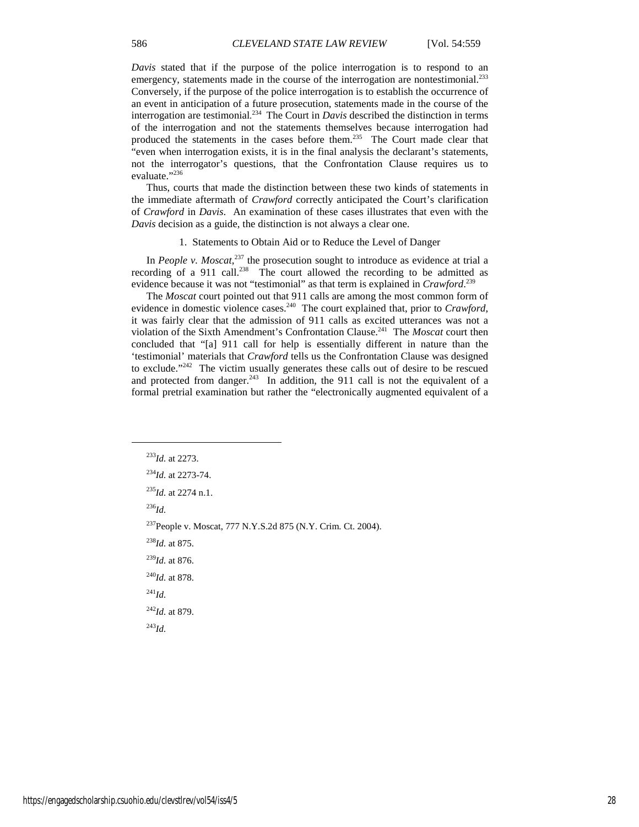*Davis* stated that if the purpose of the police interrogation is to respond to an emergency, statements made in the course of the interrogation are nontestimonial.<sup>233</sup> Conversely, if the purpose of the police interrogation is to establish the occurrence of an event in anticipation of a future prosecution, statements made in the course of the interrogation are testimonial. 234 The Court in *Davis* described the distinction in terms of the interrogation and not the statements themselves because interrogation had produced the statements in the cases before them.<sup>235</sup> The Court made clear that "even when interrogation exists, it is in the final analysis the declarant's statements, not the interrogator's questions, that the Confrontation Clause requires us to evaluate."<sup>236</sup>

Thus, courts that made the distinction between these two kinds of statements in the immediate aftermath of *Crawford* correctly anticipated the Court's clarification of *Crawford* in *Davis*. An examination of these cases illustrates that even with the *Davis* decision as a guide, the distinction is not always a clear one.

#### 1. Statements to Obtain Aid or to Reduce the Level of Danger

In *People v. Moscat*, <sup>237</sup> the prosecution sought to introduce as evidence at trial a recording of a 911 call.<sup>238</sup> The court allowed the recording to be admitted as evidence because it was not "testimonial" as that term is explained in *Crawford*. 239

The *Moscat* court pointed out that 911 calls are among the most common form of evidence in domestic violence cases.<sup>240</sup> The court explained that, prior to *Crawford*, it was fairly clear that the admission of 911 calls as excited utterances was not a violation of the Sixth Amendment's Confrontation Clause.<sup>241</sup> The *Moscat* court then concluded that "[a] 911 call for help is essentially different in nature than the 'testimonial' materials that *Crawford* tells us the Confrontation Clause was designed to exclude."<sup>242</sup> The victim usually generates these calls out of desire to be rescued and protected from danger.<sup>243</sup> In addition, the 911 call is not the equivalent of a formal pretrial examination but rather the "electronically augmented equivalent of a

<sup>236</sup>*Id.*

1

<sup>238</sup>*Id.* at 875.

<sup>239</sup>*Id.* at 876.

<sup>240</sup>*Id.* at 878.

<sup>241</sup>*Id.*

<sup>242</sup>*Id.* at 879.

<sup>243</sup>*Id.*

<sup>233</sup>*Id.* at 2273.

<sup>234</sup>*Id.* at 2273-74.

<sup>235</sup>*Id.* at 2274 n.1.

<sup>237</sup>People v. Moscat, 777 N.Y.S.2d 875 (N.Y. Crim. Ct. 2004).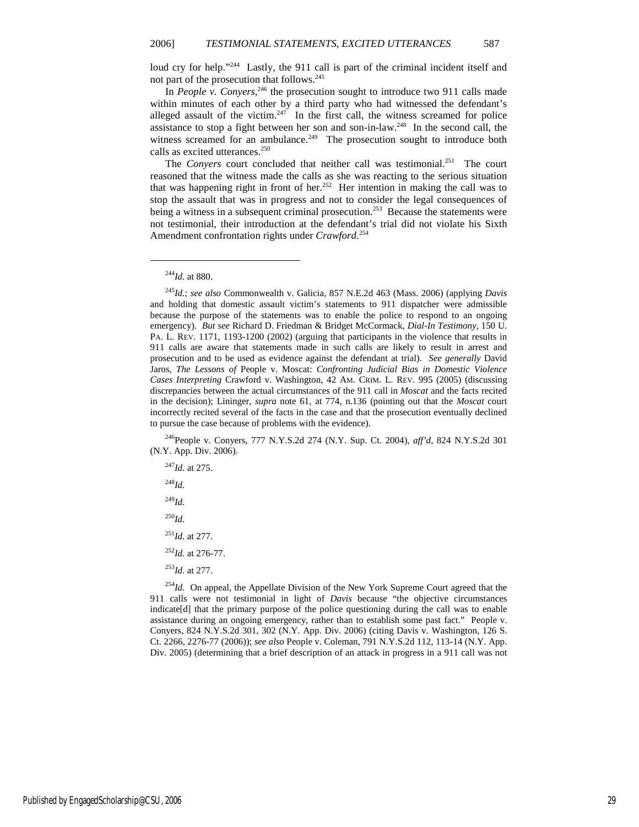loud cry for help."<sup>244</sup> Lastly, the 911 call is part of the criminal incident itself and not part of the prosecution that follows.<sup>245</sup>

In *People v. Conyers*,<sup>246</sup> the prosecution sought to introduce two 911 calls made within minutes of each other by a third party who had witnessed the defendant's alleged assault of the victim. $247$  In the first call, the witness screamed for police assistance to stop a fight between her son and son-in-law.<sup>248</sup> In the second call, the witness screamed for an ambulance.<sup>249</sup> The prosecution sought to introduce both calls as excited utterances.<sup>250</sup>

The *Conyers* court concluded that neither call was testimonial.<sup>251</sup> The court reasoned that the witness made the calls as she was reacting to the serious situation that was happening right in front of her.<sup>252</sup> Her intention in making the call was to stop the assault that was in progress and not to consider the legal consequences of being a witness in a subsequent criminal prosecution.<sup>253</sup> Because the statements were not testimonial, their introduction at the defendant's trial did not violate his Sixth Amendment confrontation rights under *Crawford*. 254

1

<sup>246</sup>People v. Conyers, 777 N.Y.S.2d 274 (N.Y. Sup. Ct. 2004), *aff'd*, 824 N.Y.S.2d 301 (N.Y. App. Div. 2006).

 $^{254}$ *Id.* On appeal, the Appellate Division of the New York Supreme Court agreed that the 911 calls were not testimonial in light of *Davis* because "the objective circumstances indicate[d] that the primary purpose of the police questioning during the call was to enable assistance during an ongoing emergency, rather than to establish some past fact." People v. Conyers, 824 N.Y.S.2d 301, 302 (N.Y. App. Div. 2006) (citing Davis v. Washington, 126 S. Ct. 2266, 2276-77 (2006)); *see also* People v. Coleman, 791 N.Y.S.2d 112, 113-14 (N.Y. App. Div. 2005) (determining that a brief description of an attack in progress in a 911 call was not

<sup>244</sup>*Id.* at 880.

<sup>245</sup>*Id.*; *see also* Commonwealth v. Galicia, 857 N.E.2d 463 (Mass. 2006) (applying *Davis* and holding that domestic assault victim's statements to 911 dispatcher were admissible because the purpose of the statements was to enable the police to respond to an ongoing emergency). *But see* Richard D. Friedman & Bridget McCormack, *Dial-In Testimony*, 150 U. PA. L. REV. 1171, 1193-1200 (2002) (arguing that participants in the violence that results in 911 calls are aware that statements made in such calls are likely to result in arrest and prosecution and to be used as evidence against the defendant at trial). *See generally* David Jaros, *The Lessons of* People v. Moscat: *Confronting Judicial Bias in Domestic Violence Cases Interpreting* Crawford v. Washington, 42 AM. CRIM. L. REV. 995 (2005) (discussing discrepancies between the actual circumstances of the 911 call in *Moscat* and the facts recited in the decision); Lininger, *supra* note 61, at 774, n.136 (pointing out that the *Moscat* court incorrectly recited several of the facts in the case and that the prosecution eventually declined to pursue the case because of problems with the evidence).

<sup>247</sup>*Id.* at 275. <sup>248</sup>*Id.* <sup>249</sup>*Id.* <sup>250</sup>*Id.* <sup>251</sup>*Id.* at 277. <sup>252</sup>*Id.* at 276-77. <sup>253</sup>*Id.* at 277.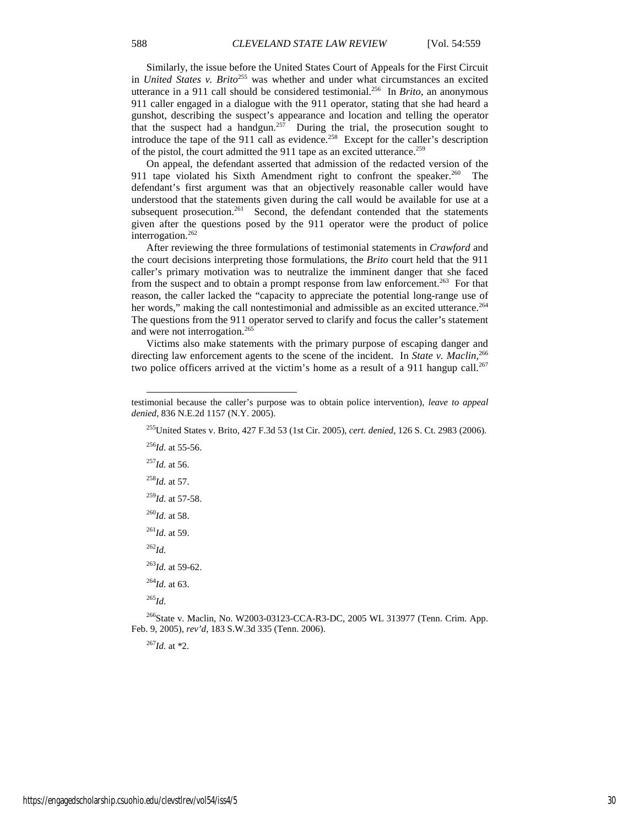Similarly, the issue before the United States Court of Appeals for the First Circuit in *United States v. Brito*<sup>255</sup> was whether and under what circumstances an excited utterance in a 911 call should be considered testimonial.<sup>256</sup> In *Brito*, an anonymous 911 caller engaged in a dialogue with the 911 operator, stating that she had heard a gunshot, describing the suspect's appearance and location and telling the operator that the suspect had a handgun.<sup>257</sup> During the trial, the prosecution sought to introduce the tape of the 911 call as evidence.<sup>258</sup> Except for the caller's description of the pistol, the court admitted the 911 tape as an excited utterance.<sup>259</sup>

On appeal, the defendant asserted that admission of the redacted version of the 911 tape violated his Sixth Amendment right to confront the speaker. $260$  The defendant's first argument was that an objectively reasonable caller would have understood that the statements given during the call would be available for use at a subsequent prosecution.<sup>261</sup> Second, the defendant contended that the statements given after the questions posed by the 911 operator were the product of police interrogation.<sup>262</sup>

After reviewing the three formulations of testimonial statements in *Crawford* and the court decisions interpreting those formulations, the *Brito* court held that the 911 caller's primary motivation was to neutralize the imminent danger that she faced from the suspect and to obtain a prompt response from law enforcement.<sup>263</sup> For that reason, the caller lacked the "capacity to appreciate the potential long-range use of her words," making the call nontestimonial and admissible as an excited utterance.<sup>264</sup> The questions from the 911 operator served to clarify and focus the caller's statement and were not interrogation.<sup>265</sup>

Victims also make statements with the primary purpose of escaping danger and directing law enforcement agents to the scene of the incident. In *State v. Maclin*, 266 two police officers arrived at the victim's home as a result of a 911 hangup call.<sup>267</sup>

<sup>256</sup>*Id.* at 55-56.  $^{257}$ *Id.* at 56. <sup>258</sup>*Id.* at 57. <sup>259</sup>*Id.* at 57-58. <sup>260</sup>*Id.* at 58.  $^{261}$ *Id.* at 59. <sup>262</sup>*Id.* <sup>263</sup>*Id.* at 59-62. <sup>264</sup>*Id.* at 63. <sup>265</sup>*Id.*

l

<sup>266</sup>State v. Maclin, No. W2003-03123-CCA-R3-DC, 2005 WL 313977 (Tenn. Crim. App. Feb. 9, 2005), *rev'd*, 183 S.W.3d 335 (Tenn. 2006).

 $^{267}$ *Id.* at  $^{*2}$ .

testimonial because the caller's purpose was to obtain police intervention), *leave to appeal denied*, 836 N.E.2d 1157 (N.Y. 2005).

<sup>255</sup>United States v. Brito, 427 F.3d 53 (1st Cir. 2005), *cert. denied*, 126 S. Ct. 2983 (2006).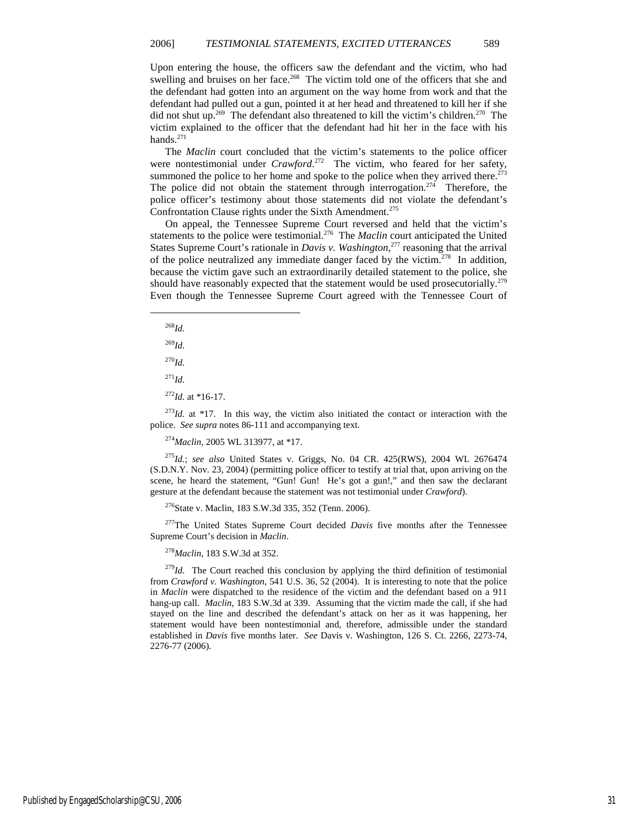Upon entering the house, the officers saw the defendant and the victim, who had swelling and bruises on her face.<sup>268</sup> The victim told one of the officers that she and the defendant had gotten into an argument on the way home from work and that the defendant had pulled out a gun, pointed it at her head and threatened to kill her if she did not shut up.<sup>269</sup> The defendant also threatened to kill the victim's children.<sup>270</sup> The victim explained to the officer that the defendant had hit her in the face with his hands.<sup>271</sup>

The *Maclin* court concluded that the victim's statements to the police officer were nontestimonial under *Crawford*.<sup>272</sup> The victim, who feared for her safety, summoned the police to her home and spoke to the police when they arrived there.<sup>273</sup> The police did not obtain the statement through interrogation.<sup>274</sup> Therefore, the police officer's testimony about those statements did not violate the defendant's Confrontation Clause rights under the Sixth Amendment.<sup>275</sup>

On appeal, the Tennessee Supreme Court reversed and held that the victim's statements to the police were testimonial.<sup>276</sup> The *Maclin* court anticipated the United States Supreme Court's rationale in *Davis v. Washington*, <sup>277</sup> reasoning that the arrival of the police neutralized any immediate danger faced by the victim.<sup>278</sup> In addition, because the victim gave such an extraordinarily detailed statement to the police, she should have reasonably expected that the statement would be used prosecutorially.<sup>279</sup> Even though the Tennessee Supreme Court agreed with the Tennessee Court of

<sup>268</sup>*Id.*

1

<sup>269</sup>*Id.*

<sup>270</sup>*Id.*

<sup>271</sup>*Id.*

 $^{272}$ *Id.* at \*16-17.

 $273$ *Id.* at \*17. In this way, the victim also initiated the contact or interaction with the police. *See supra* notes 86-111 and accompanying text.

<sup>274</sup>*Maclin,* 2005 WL 313977, at \*17.

<sup>275</sup>*Id.*; *see also* United States v. Griggs, No. 04 CR. 425(RWS), 2004 WL 2676474 (S.D.N.Y. Nov. 23, 2004) (permitting police officer to testify at trial that, upon arriving on the scene, he heard the statement, "Gun! Gun! He's got a gun!," and then saw the declarant gesture at the defendant because the statement was not testimonial under *Crawford*).

<sup>276</sup>State v. Maclin, 183 S.W.3d 335, 352 (Tenn. 2006).

<sup>277</sup>The United States Supreme Court decided *Davis* five months after the Tennessee Supreme Court's decision in *Maclin*.

<sup>278</sup>*Maclin*, 183 S.W.3d at 352.

<sup>279</sup>Id. The Court reached this conclusion by applying the third definition of testimonial from *Crawford v. Washington*, 541 U.S. 36, 52 (2004). It is interesting to note that the police in *Maclin* were dispatched to the residence of the victim and the defendant based on a 911 hang-up call. *Maclin*, 183 S.W.3d at 339. Assuming that the victim made the call, if she had stayed on the line and described the defendant's attack on her as it was happening, her statement would have been nontestimonial and, therefore, admissible under the standard established in *Davis* five months later. *See* Davis v. Washington, 126 S. Ct. 2266, 2273-74, 2276-77 (2006).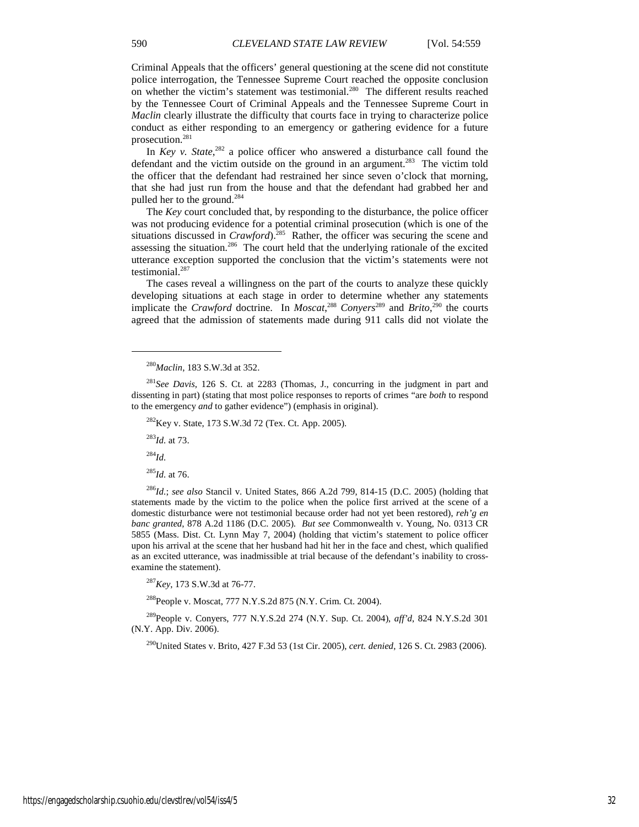Criminal Appeals that the officers' general questioning at the scene did not constitute police interrogation, the Tennessee Supreme Court reached the opposite conclusion on whether the victim's statement was testimonial.<sup>280</sup> The different results reached by the Tennessee Court of Criminal Appeals and the Tennessee Supreme Court in *Maclin* clearly illustrate the difficulty that courts face in trying to characterize police conduct as either responding to an emergency or gathering evidence for a future prosecution.<sup>281</sup>

In *Key v. State*,<sup>282</sup> a police officer who answered a disturbance call found the defendant and the victim outside on the ground in an argument.<sup>283</sup> The victim told the officer that the defendant had restrained her since seven o'clock that morning, that she had just run from the house and that the defendant had grabbed her and pulled her to the ground.<sup>284</sup>

The *Key* court concluded that, by responding to the disturbance, the police officer was not producing evidence for a potential criminal prosecution (which is one of the situations discussed in *Crawford*).<sup>285</sup> Rather, the officer was securing the scene and assessing the situation.<sup>286</sup> The court held that the underlying rationale of the excited utterance exception supported the conclusion that the victim's statements were not testimonial.<sup>287</sup>

The cases reveal a willingness on the part of the courts to analyze these quickly developing situations at each stage in order to determine whether any statements implicate the *Crawford* doctrine. In *Moscat*,<sup>288</sup> *Conyers*<sup>289</sup> and *Brito*,<sup>290</sup> the courts agreed that the admission of statements made during 911 calls did not violate the

<sup>283</sup>*Id.* at 73.

<sup>284</sup>*Id.*

1

<sup>285</sup>*Id.* at 76.

<sup>286</sup>*Id.*; *see also* Stancil v. United States, 866 A.2d 799, 814-15 (D.C. 2005) (holding that statements made by the victim to the police when the police first arrived at the scene of a domestic disturbance were not testimonial because order had not yet been restored), *reh'g en banc granted*, 878 A.2d 1186 (D.C. 2005). *But see* Commonwealth v. Young, No. 0313 CR 5855 (Mass. Dist. Ct. Lynn May 7, 2004) (holding that victim's statement to police officer upon his arrival at the scene that her husband had hit her in the face and chest, which qualified as an excited utterance, was inadmissible at trial because of the defendant's inability to crossexamine the statement).

<sup>287</sup>*Key*, 173 S.W.3d at 76-77.

<sup>288</sup>People v. Moscat, 777 N.Y.S.2d 875 (N.Y. Crim. Ct. 2004).

<sup>289</sup>People v. Conyers, 777 N.Y.S.2d 274 (N.Y. Sup. Ct. 2004), *aff'd*, 824 N.Y.S.2d 301 (N.Y. App. Div. 2006).

<sup>290</sup>United States v. Brito, 427 F.3d 53 (1st Cir. 2005), *cert. denied*, 126 S. Ct. 2983 (2006).

<sup>280</sup>*Maclin*, 183 S.W.3d at 352.

<sup>281</sup>*See Davis*, 126 S. Ct. at 2283 (Thomas, J., concurring in the judgment in part and dissenting in part) (stating that most police responses to reports of crimes "are *both* to respond to the emergency *and* to gather evidence") (emphasis in original).

<sup>&</sup>lt;sup>282</sup>Key v. State, 173 S.W.3d 72 (Tex. Ct. App. 2005).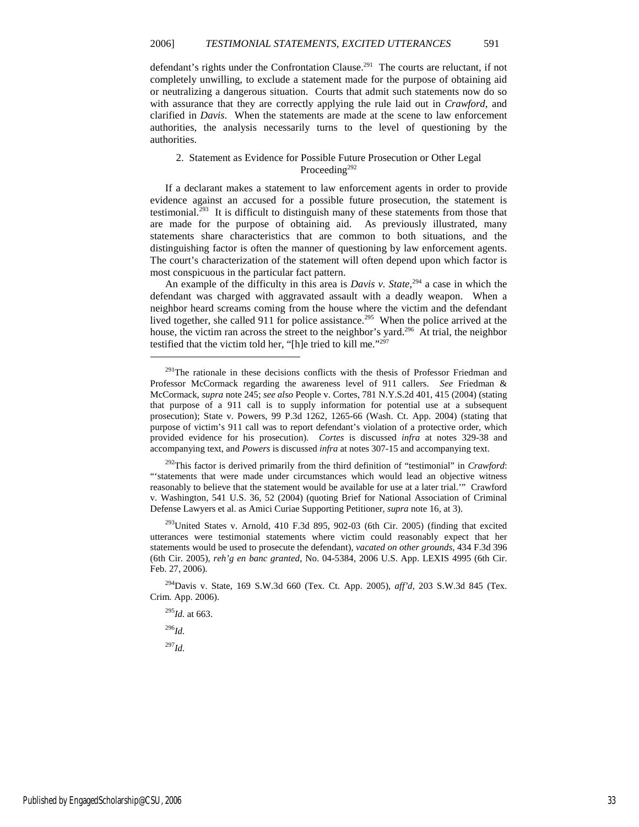defendant's rights under the Confrontation Clause.<sup>291</sup> The courts are reluctant, if not completely unwilling, to exclude a statement made for the purpose of obtaining aid or neutralizing a dangerous situation. Courts that admit such statements now do so with assurance that they are correctly applying the rule laid out in *Crawford*, and clarified in *Davis*. When the statements are made at the scene to law enforcement authorities, the analysis necessarily turns to the level of questioning by the authorities.

#### 2. Statement as Evidence for Possible Future Prosecution or Other Legal Proceeding<sup>292</sup>

If a declarant makes a statement to law enforcement agents in order to provide evidence against an accused for a possible future prosecution, the statement is testimonial.<sup>293</sup> It is difficult to distinguish many of these statements from those that are made for the purpose of obtaining aid. As previously illustrated, many statements share characteristics that are common to both situations, and the distinguishing factor is often the manner of questioning by law enforcement agents. The court's characterization of the statement will often depend upon which factor is most conspicuous in the particular fact pattern.

An example of the difficulty in this area is *Davis v. State*,<sup>294</sup> a case in which the defendant was charged with aggravated assault with a deadly weapon. When a neighbor heard screams coming from the house where the victim and the defendant lived together, she called 911 for police assistance.<sup>295</sup> When the police arrived at the house, the victim ran across the street to the neighbor's yard.<sup>296</sup> At trial, the neighbor testified that the victim told her, "[h]e tried to kill me."<sup>297</sup>

<sup>292</sup>This factor is derived primarily from the third definition of "testimonial" in *Crawford*: "'statements that were made under circumstances which would lead an objective witness reasonably to believe that the statement would be available for use at a later trial.'" Crawford v. Washington, 541 U.S. 36, 52 (2004) (quoting Brief for National Association of Criminal Defense Lawyers et al. as Amici Curiae Supporting Petitioner, *supra* note 16, at 3).

 $293$ United States v. Arnold, 410 F.3d 895, 902-03 (6th Cir. 2005) (finding that excited utterances were testimonial statements where victim could reasonably expect that her statements would be used to prosecute the defendant), *vacated on other grounds*, 434 F.3d 396 (6th Cir. 2005), *reh'g en banc granted*, No. 04-5384, 2006 U.S. App. LEXIS 4995 (6th Cir. Feb. 27, 2006).

<sup>294</sup>Davis v. State, 169 S.W.3d 660 (Tex. Ct. App. 2005), *aff'd*, 203 S.W.3d 845 (Tex. Crim. App. 2006).

<sup>295</sup>*Id.* at 663.

<sup>296</sup>*Id.*

1

<sup>297</sup>*Id.*

<sup>&</sup>lt;sup>291</sup>The rationale in these decisions conflicts with the thesis of Professor Friedman and Professor McCormack regarding the awareness level of 911 callers. *See* Friedman & McCormack, *supra* note 245; *see also* People v. Cortes, 781 N.Y.S.2d 401, 415 (2004) (stating that purpose of a 911 call is to supply information for potential use at a subsequent prosecution); State v. Powers, 99 P.3d 1262, 1265-66 (Wash. Ct. App. 2004) (stating that purpose of victim's 911 call was to report defendant's violation of a protective order, which provided evidence for his prosecution). *Cortes* is discussed *infra* at notes 329-38 and accompanying text, and *Powers* is discussed *infra* at notes 307-15 and accompanying text.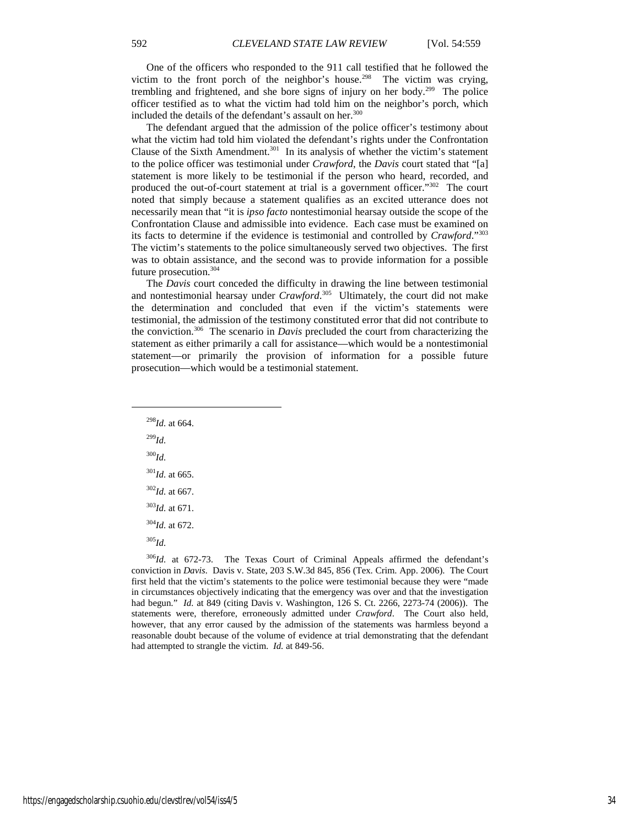One of the officers who responded to the 911 call testified that he followed the victim to the front porch of the neighbor's house.<sup>298</sup> The victim was crying, trembling and frightened, and she bore signs of injury on her body.<sup>299</sup> The police officer testified as to what the victim had told him on the neighbor's porch, which included the details of the defendant's assault on her.<sup>300</sup>

The defendant argued that the admission of the police officer's testimony about what the victim had told him violated the defendant's rights under the Confrontation Clause of the Sixth Amendment.<sup>301</sup> In its analysis of whether the victim's statement to the police officer was testimonial under *Crawford*, the *Davis* court stated that "[a] statement is more likely to be testimonial if the person who heard, recorded, and produced the out-of-court statement at trial is a government officer."<sup>302</sup> The court noted that simply because a statement qualifies as an excited utterance does not necessarily mean that "it is *ipso facto* nontestimonial hearsay outside the scope of the Confrontation Clause and admissible into evidence. Each case must be examined on its facts to determine if the evidence is testimonial and controlled by *Crawford*."<sup>303</sup> The victim's statements to the police simultaneously served two objectives. The first was to obtain assistance, and the second was to provide information for a possible future prosecution.<sup>304</sup>

The *Davis* court conceded the difficulty in drawing the line between testimonial and nontestimonial hearsay under *Crawford*. <sup>305</sup> Ultimately, the court did not make the determination and concluded that even if the victim's statements were testimonial, the admission of the testimony constituted error that did not contribute to the conviction.<sup>306</sup> The scenario in *Davis* precluded the court from characterizing the statement as either primarily a call for assistance—which would be a nontestimonial statement—or primarily the provision of information for a possible future prosecution—which would be a testimonial statement.

*Id.* at 664. <sup>299</sup>*Id.* <sup>300</sup>*Id. Id.* at 665. *Id.* at 667. *Id.* at 671. *Id.* at 672. <sup>305</sup>*Id.*

1

<sup>306</sup>*Id.* at 672-73. The Texas Court of Criminal Appeals affirmed the defendant's conviction in *Davis*. Davis v. State, 203 S.W.3d 845, 856 (Tex. Crim. App. 2006). The Court first held that the victim's statements to the police were testimonial because they were "made in circumstances objectively indicating that the emergency was over and that the investigation had begun." *Id.* at 849 (citing Davis v. Washington, 126 S. Ct. 2266, 2273-74 (2006)). The statements were, therefore, erroneously admitted under *Crawford*. The Court also held, however, that any error caused by the admission of the statements was harmless beyond a reasonable doubt because of the volume of evidence at trial demonstrating that the defendant had attempted to strangle the victim. *Id.* at 849-56.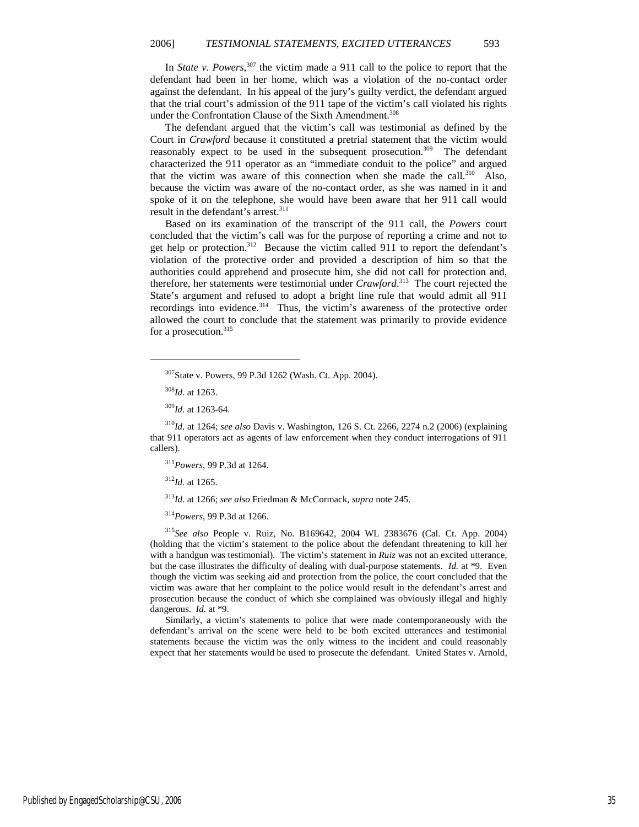In *State v. Powers*, <sup>307</sup> the victim made a 911 call to the police to report that the defendant had been in her home, which was a violation of the no-contact order against the defendant. In his appeal of the jury's guilty verdict, the defendant argued that the trial court's admission of the 911 tape of the victim's call violated his rights under the Confrontation Clause of the Sixth Amendment.<sup>308</sup>

The defendant argued that the victim's call was testimonial as defined by the Court in *Crawford* because it constituted a pretrial statement that the victim would reasonably expect to be used in the subsequent prosecution.<sup>309</sup> The defendant characterized the 911 operator as an "immediate conduit to the police" and argued that the victim was aware of this connection when she made the call.<sup>310</sup> Also, because the victim was aware of the no-contact order, as she was named in it and spoke of it on the telephone, she would have been aware that her 911 call would result in the defendant's arrest.<sup>311</sup>

Based on its examination of the transcript of the 911 call, the *Powers* court concluded that the victim's call was for the purpose of reporting a crime and not to get help or protection.<sup>312</sup> Because the victim called 911 to report the defendant's violation of the protective order and provided a description of him so that the authorities could apprehend and prosecute him, she did not call for protection and, therefore, her statements were testimonial under *Crawford*. <sup>313</sup> The court rejected the State's argument and refused to adopt a bright line rule that would admit all 911 recordings into evidence.<sup>314</sup> Thus, the victim's awareness of the protective order allowed the court to conclude that the statement was primarily to provide evidence for a prosecution.<sup>315</sup>

1

<sup>310</sup>*Id.* at 1264; *see also* Davis v. Washington, 126 S. Ct. 2266, 2274 n.2 (2006) (explaining that 911 operators act as agents of law enforcement when they conduct interrogations of 911 callers).

<sup>311</sup>*Powers*, 99 P.3d at 1264.

<sup>312</sup>*Id.* at 1265.

<sup>313</sup>*Id.* at 1266; *see also* Friedman & McCormack, *supra* note 245.

<sup>314</sup>*Powers*, 99 P.3d at 1266.

<sup>315</sup>*See also* People v. Ruiz, No. B169642, 2004 WL 2383676 (Cal. Ct. App. 2004) (holding that the victim's statement to the police about the defendant threatening to kill her with a handgun was testimonial). The victim's statement in *Ruiz* was not an excited utterance, but the case illustrates the difficulty of dealing with dual-purpose statements. *Id.* at \*9. Even though the victim was seeking aid and protection from the police, the court concluded that the victim was aware that her complaint to the police would result in the defendant's arrest and prosecution because the conduct of which she complained was obviously illegal and highly dangerous. *Id.* at \*9.

Similarly, a victim's statements to police that were made contemporaneously with the defendant's arrival on the scene were held to be both excited utterances and testimonial statements because the victim was the only witness to the incident and could reasonably expect that her statements would be used to prosecute the defendant. United States v. Arnold,

<sup>307</sup>State v. Powers, 99 P.3d 1262 (Wash. Ct. App. 2004).

<sup>308</sup>*Id.* at 1263.

<sup>309</sup>*Id.* at 1263-64.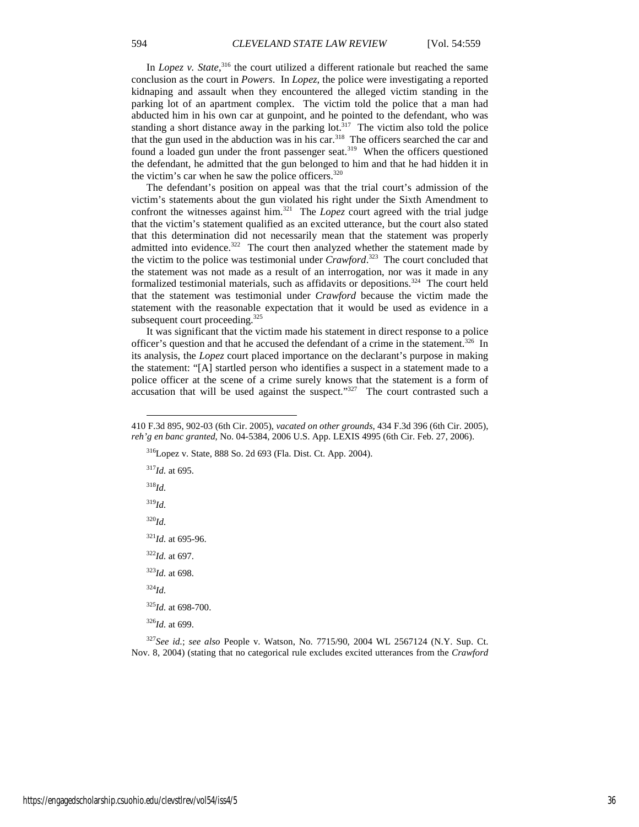In *Lopez v. State*,<sup>316</sup> the court utilized a different rationale but reached the same conclusion as the court in *Powers*. In *Lopez*, the police were investigating a reported kidnaping and assault when they encountered the alleged victim standing in the parking lot of an apartment complex. The victim told the police that a man had abducted him in his own car at gunpoint, and he pointed to the defendant, who was standing a short distance away in the parking lot.<sup>317</sup> The victim also told the police that the gun used in the abduction was in his car.<sup>318</sup> The officers searched the car and found a loaded gun under the front passenger seat.<sup>319</sup> When the officers questioned the defendant, he admitted that the gun belonged to him and that he had hidden it in the victim's car when he saw the police officers. $320$ 

The defendant's position on appeal was that the trial court's admission of the victim's statements about the gun violated his right under the Sixth Amendment to confront the witnesses against him.<sup>321</sup> The *Lopez* court agreed with the trial judge that the victim's statement qualified as an excited utterance, but the court also stated that this determination did not necessarily mean that the statement was properly admitted into evidence.<sup>322</sup> The court then analyzed whether the statement made by the victim to the police was testimonial under *Crawford*. <sup>323</sup> The court concluded that the statement was not made as a result of an interrogation, nor was it made in any formalized testimonial materials, such as affidavits or depositions.<sup>324</sup> The court held that the statement was testimonial under *Crawford* because the victim made the statement with the reasonable expectation that it would be used as evidence in a subsequent court proceeding.<sup>325</sup>

It was significant that the victim made his statement in direct response to a police officer's question and that he accused the defendant of a crime in the statement.<sup>326</sup> In its analysis, the *Lopez* court placed importance on the declarant's purpose in making the statement: "[A] startled person who identifies a suspect in a statement made to a police officer at the scene of a crime surely knows that the statement is a form of  $\alpha$  accusation that will be used against the suspect."<sup>327</sup> The court contrasted such a

<sup>316</sup>Lopez v. State, 888 So. 2d 693 (Fla. Dist. Ct. App. 2004).

<sup>317</sup>*Id.* at 695. <sup>318</sup>*Id.* <sup>319</sup>*Id.*

-

<sup>320</sup>*Id.*

 $321$ *Id.* at 695-96.

<sup>322</sup>*Id.* at 697.

<sup>323</sup>*Id.* at 698.

<sup>324</sup>*Id.*

<sup>325</sup>*Id.* at 698-700.

<sup>326</sup>*Id.* at 699.

<sup>327</sup>*See id.*; *see also* People v. Watson, No. 7715/90, 2004 WL 2567124 (N.Y. Sup. Ct. Nov. 8, 2004) (stating that no categorical rule excludes excited utterances from the *Crawford*

<sup>410</sup> F.3d 895, 902-03 (6th Cir. 2005), *vacated on other grounds*, 434 F.3d 396 (6th Cir. 2005), *reh'g en banc granted*, No. 04-5384, 2006 U.S. App. LEXIS 4995 (6th Cir. Feb. 27, 2006).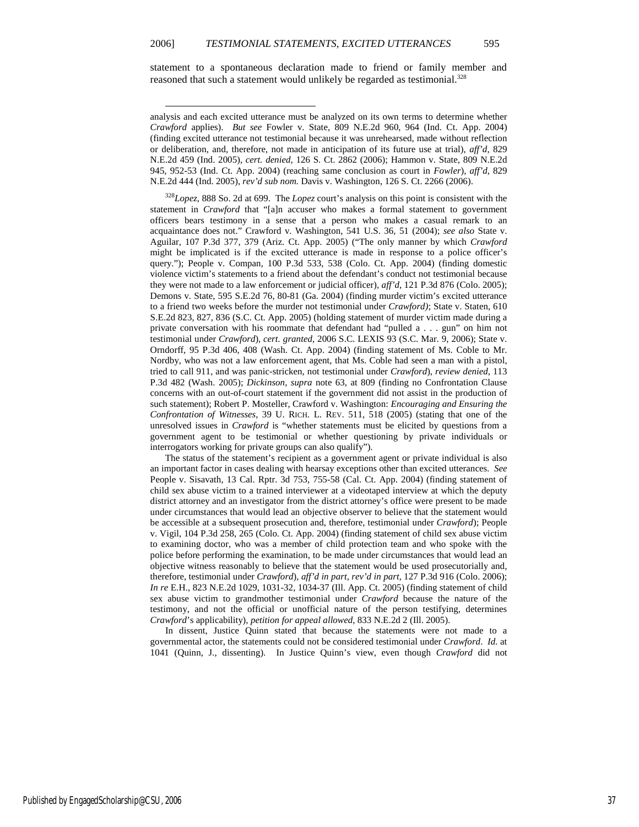statement to a spontaneous declaration made to friend or family member and reasoned that such a statement would unlikely be regarded as testimonial.<sup>328</sup>

-

<sup>328</sup>*Lopez*, 888 So. 2d at 699. The *Lopez* court's analysis on this point is consistent with the statement in *Crawford* that "[a]n accuser who makes a formal statement to government officers bears testimony in a sense that a person who makes a casual remark to an acquaintance does not." Crawford v. Washington, 541 U.S. 36, 51 (2004); *see also* State v. Aguilar, 107 P.3d 377, 379 (Ariz. Ct. App. 2005) ("The only manner by which *Crawford* might be implicated is if the excited utterance is made in response to a police officer's query."); People v. Compan, 100 P.3d 533, 538 (Colo. Ct. App. 2004) (finding domestic violence victim's statements to a friend about the defendant's conduct not testimonial because they were not made to a law enforcement or judicial officer), *aff'd*, 121 P.3d 876 (Colo. 2005); Demons v. State, 595 S.E.2d 76, 80-81 (Ga. 2004) (finding murder victim's excited utterance to a friend two weeks before the murder not testimonial under *Crawford)*; State v. Staten, 610 S.E.2d 823, 827, 836 (S.C. Ct. App. 2005) (holding statement of murder victim made during a private conversation with his roommate that defendant had "pulled a . . . gun" on him not testimonial under *Crawford*), *cert. granted*, 2006 S.C. LEXIS 93 (S.C. Mar. 9, 2006); State v. Orndorff, 95 P.3d 406, 408 (Wash. Ct. App. 2004) (finding statement of Ms. Coble to Mr. Nordby, who was not a law enforcement agent, that Ms. Coble had seen a man with a pistol, tried to call 911, and was panic-stricken, not testimonial under *Crawford*), *review denied*, 113 P.3d 482 (Wash. 2005); *Dickinson*, *supra* note 63, at 809 (finding no Confrontation Clause concerns with an out-of-court statement if the government did not assist in the production of such statement); Robert P. Mosteller, Crawford v. Washington: *Encouraging and Ensuring the Confrontation of Witnesses*, 39 U. RICH. L. REV. 511, 518 (2005) (stating that one of the unresolved issues in *Crawford* is "whether statements must be elicited by questions from a government agent to be testimonial or whether questioning by private individuals or interrogators working for private groups can also qualify").

The status of the statement's recipient as a government agent or private individual is also an important factor in cases dealing with hearsay exceptions other than excited utterances. *See*  People v. Sisavath, 13 Cal. Rptr. 3d 753, 755-58 (Cal. Ct. App. 2004) (finding statement of child sex abuse victim to a trained interviewer at a videotaped interview at which the deputy district attorney and an investigator from the district attorney's office were present to be made under circumstances that would lead an objective observer to believe that the statement would be accessible at a subsequent prosecution and, therefore, testimonial under *Crawford*); People v. Vigil, 104 P.3d 258, 265 (Colo. Ct. App. 2004) (finding statement of child sex abuse victim to examining doctor, who was a member of child protection team and who spoke with the police before performing the examination, to be made under circumstances that would lead an objective witness reasonably to believe that the statement would be used prosecutorially and, therefore, testimonial under *Crawford*), *aff'd in part, rev'd in part*, 127 P.3d 916 (Colo. 2006); *In re* E.H., 823 N.E.2d 1029, 1031-32, 1034-37 (Ill. App. Ct. 2005) (finding statement of child sex abuse victim to grandmother testimonial under *Crawford* because the nature of the testimony, and not the official or unofficial nature of the person testifying, determines *Crawford*'s applicability), *petition for appeal allowed*, 833 N.E.2d 2 (Ill. 2005).

In dissent, Justice Quinn stated that because the statements were not made to a governmental actor, the statements could not be considered testimonial under *Crawford*. *Id.* at 1041 (Quinn, J., dissenting). In Justice Quinn's view, even though *Crawford* did not

analysis and each excited utterance must be analyzed on its own terms to determine whether *Crawford* applies). *But see* Fowler v. State, 809 N.E.2d 960, 964 (Ind. Ct. App. 2004) (finding excited utterance not testimonial because it was unrehearsed, made without reflection or deliberation, and, therefore, not made in anticipation of its future use at trial), *aff'd*, 829 N.E.2d 459 (Ind. 2005), *cert. denied*, 126 S. Ct. 2862 (2006); Hammon v. State, 809 N.E.2d 945, 952-53 (Ind. Ct. App. 2004) (reaching same conclusion as court in *Fowler*), *aff'd*, 829 N.E.2d 444 (Ind. 2005), *rev'd sub nom.* Davis v. Washington, 126 S. Ct. 2266 (2006).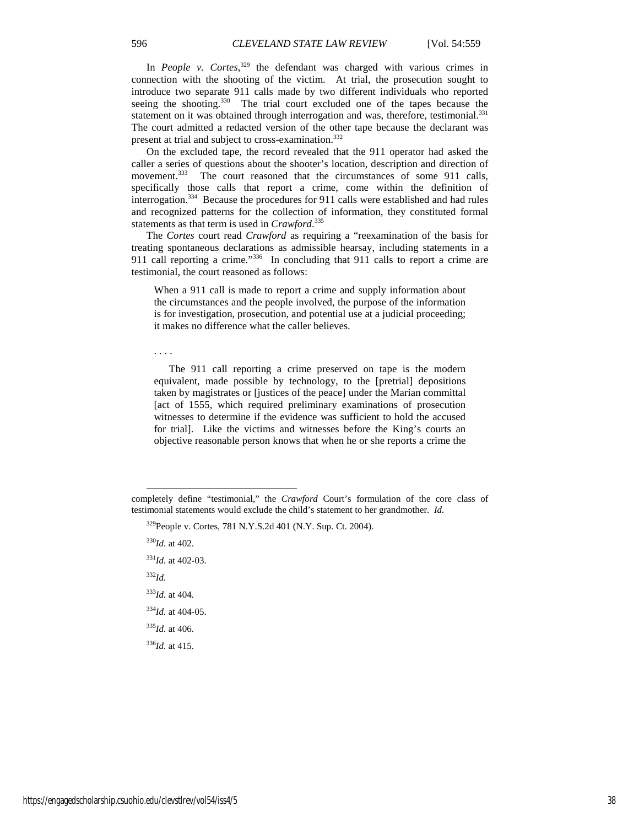In *People v. Cortes*,<sup>329</sup> the defendant was charged with various crimes in connection with the shooting of the victim. At trial, the prosecution sought to introduce two separate 911 calls made by two different individuals who reported seeing the shooting.<sup>330</sup> The trial court excluded one of the tapes because the statement on it was obtained through interrogation and was, therefore, testimonial.<sup>331</sup> The court admitted a redacted version of the other tape because the declarant was present at trial and subject to cross-examination.<sup>332</sup>

On the excluded tape, the record revealed that the 911 operator had asked the caller a series of questions about the shooter's location, description and direction of movement.<sup>333</sup> The court reasoned that the circumstances of some 911 calls, specifically those calls that report a crime, come within the definition of interrogation.<sup>334</sup> Because the procedures for 911 calls were established and had rules and recognized patterns for the collection of information, they constituted formal statements as that term is used in *Crawford*. 335

The *Cortes* court read *Crawford* as requiring a "reexamination of the basis for treating spontaneous declarations as admissible hearsay, including statements in a 911 call reporting a crime."<sup>336</sup> In concluding that 911 calls to report a crime are testimonial, the court reasoned as follows:

When a 911 call is made to report a crime and supply information about the circumstances and the people involved, the purpose of the information is for investigation, prosecution, and potential use at a judicial proceeding; it makes no difference what the caller believes.

. . . .

The 911 call reporting a crime preserved on tape is the modern equivalent, made possible by technology, to the [pretrial] depositions taken by magistrates or [justices of the peace] under the Marian committal [act of 1555, which required preliminary examinations of prosecution witnesses to determine if the evidence was sufficient to hold the accused for trial]. Like the victims and witnesses before the King's courts an objective reasonable person knows that when he or she reports a crime the

<sup>330</sup>*Id.* at 402.

-

*Id.* at 402-03. <sup>332</sup>*Id. Id.* at 404. *Id.* at 404-05. *Id.* at 406. *Id.* at 415.

completely define "testimonial," the *Crawford* Court's formulation of the core class of testimonial statements would exclude the child's statement to her grandmother. *Id.*

<sup>329</sup>People v. Cortes, 781 N.Y.S.2d 401 (N.Y. Sup. Ct. 2004).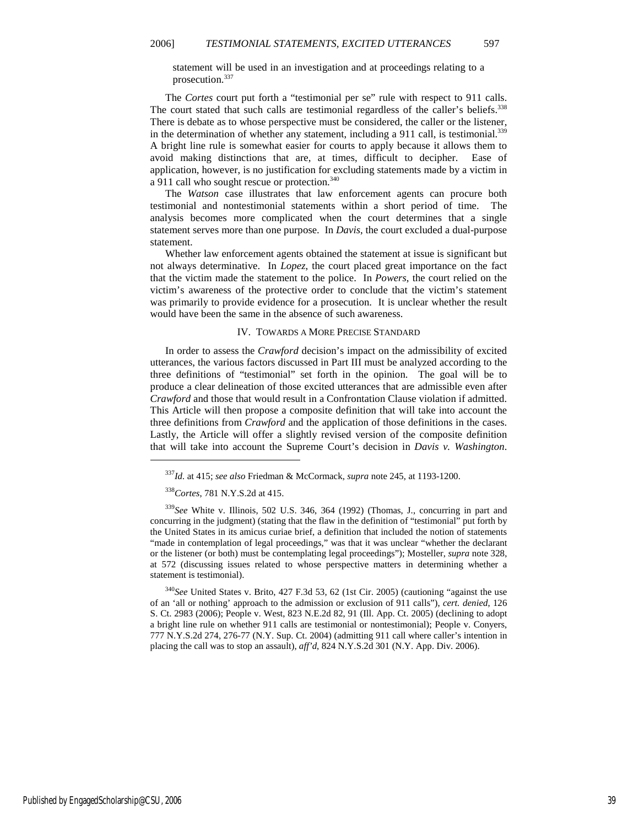statement will be used in an investigation and at proceedings relating to a prosecution.<sup>337</sup>

The *Cortes* court put forth a "testimonial per se" rule with respect to 911 calls. The court stated that such calls are testimonial regardless of the caller's beliefs.<sup>338</sup> There is debate as to whose perspective must be considered, the caller or the listener, in the determination of whether any statement, including a 911 call, is testimonial.<sup>339</sup> A bright line rule is somewhat easier for courts to apply because it allows them to avoid making distinctions that are, at times, difficult to decipher. Ease of application, however, is no justification for excluding statements made by a victim in a 911 call who sought rescue or protection.<sup>340</sup>

The *Watson* case illustrates that law enforcement agents can procure both testimonial and nontestimonial statements within a short period of time. The analysis becomes more complicated when the court determines that a single statement serves more than one purpose. In *Davis*, the court excluded a dual-purpose statement.

Whether law enforcement agents obtained the statement at issue is significant but not always determinative. In *Lopez*, the court placed great importance on the fact that the victim made the statement to the police. In *Powers*, the court relied on the victim's awareness of the protective order to conclude that the victim's statement was primarily to provide evidence for a prosecution. It is unclear whether the result would have been the same in the absence of such awareness.

#### IV. TOWARDS A MORE PRECISE STANDARD

In order to assess the *Crawford* decision's impact on the admissibility of excited utterances, the various factors discussed in Part III must be analyzed according to the three definitions of "testimonial" set forth in the opinion. The goal will be to produce a clear delineation of those excited utterances that are admissible even after *Crawford* and those that would result in a Confrontation Clause violation if admitted. This Article will then propose a composite definition that will take into account the three definitions from *Crawford* and the application of those definitions in the cases. Lastly, the Article will offer a slightly revised version of the composite definition that will take into account the Supreme Court's decision in *Davis v. Washington*.

<sup>338</sup>*Cortes*, 781 N.Y.S.2d at 415.

1

<sup>340</sup>*See* United States v. Brito, 427 F.3d 53, 62 (1st Cir. 2005) (cautioning "against the use of an 'all or nothing' approach to the admission or exclusion of 911 calls"), *cert. denied*, 126 S. Ct. 2983 (2006); People v. West, 823 N.E.2d 82, 91 (Ill. App. Ct. 2005) (declining to adopt a bright line rule on whether 911 calls are testimonial or nontestimonial); People v. Conyers, 777 N.Y.S.2d 274, 276-77 (N.Y. Sup. Ct. 2004) (admitting 911 call where caller's intention in placing the call was to stop an assault), *aff'd*, 824 N.Y.S.2d 301 (N.Y. App. Div. 2006).

<sup>337</sup>*Id.* at 415; *see also* Friedman & McCormack, *supra* note 245, at 1193-1200.

<sup>339</sup>*See* White v. Illinois, 502 U.S. 346, 364 (1992) (Thomas, J., concurring in part and concurring in the judgment) (stating that the flaw in the definition of "testimonial" put forth by the United States in its amicus curiae brief, a definition that included the notion of statements "made in contemplation of legal proceedings," was that it was unclear "whether the declarant or the listener (or both) must be contemplating legal proceedings"); Mosteller, *supra* note 328, at 572 (discussing issues related to whose perspective matters in determining whether a statement is testimonial).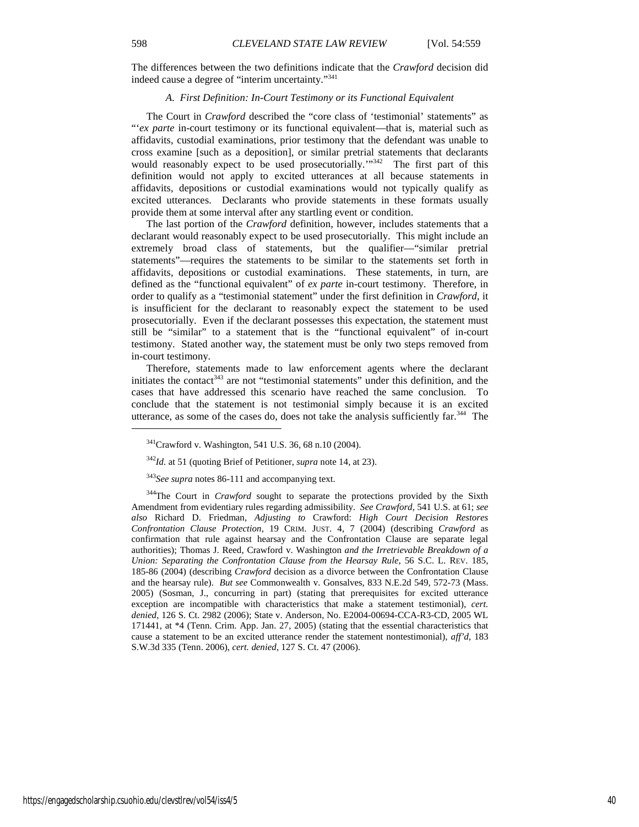The differences between the two definitions indicate that the *Crawford* decision did indeed cause a degree of "interim uncertainty."<sup>341</sup>

#### *A. First Definition: In-Court Testimony or its Functional Equivalent*

The Court in *Crawford* described the "core class of 'testimonial' statements" as "'*ex parte* in-court testimony or its functional equivalent—that is, material such as affidavits, custodial examinations, prior testimony that the defendant was unable to cross examine [such as a deposition], or similar pretrial statements that declarants would reasonably expect to be used prosecutorially."<sup>342</sup> The first part of this definition would not apply to excited utterances at all because statements in affidavits, depositions or custodial examinations would not typically qualify as excited utterances. Declarants who provide statements in these formats usually provide them at some interval after any startling event or condition.

The last portion of the *Crawford* definition, however, includes statements that a declarant would reasonably expect to be used prosecutorially. This might include an extremely broad class of statements, but the qualifier—"similar pretrial statements"—requires the statements to be similar to the statements set forth in affidavits, depositions or custodial examinations. These statements, in turn, are defined as the "functional equivalent" of *ex parte* in-court testimony. Therefore, in order to qualify as a "testimonial statement" under the first definition in *Crawford*, it is insufficient for the declarant to reasonably expect the statement to be used prosecutorially. Even if the declarant possesses this expectation, the statement must still be "similar" to a statement that is the "functional equivalent" of in-court testimony. Stated another way, the statement must be only two steps removed from in-court testimony.

Therefore, statements made to law enforcement agents where the declarant initiates the contact<sup>343</sup> are not "testimonial statements" under this definition, and the cases that have addressed this scenario have reached the same conclusion. To conclude that the statement is not testimonial simply because it is an excited utterance, as some of the cases do, does not take the analysis sufficiently  $\text{far}^{344}$ . The

<sup>343</sup>*See supra* notes 86-111 and accompanying text.

<sup>344</sup>The Court in *Crawford* sought to separate the protections provided by the Sixth Amendment from evidentiary rules regarding admissibility. *See Crawford*, 541 U.S. at 61; *see also* Richard D. Friedman, *Adjusting to* Crawford: *High Court Decision Restores Confrontation Clause Protection*, 19 CRIM. JUST. 4, 7 (2004) (describing *Crawford* as confirmation that rule against hearsay and the Confrontation Clause are separate legal authorities); Thomas J. Reed, Crawford v. Washington *and the Irretrievable Breakdown of a Union: Separating the Confrontation Clause from the Hearsay Rule*, 56 S.C. L. REV. 185, 185-86 (2004) (describing *Crawford* decision as a divorce between the Confrontation Clause and the hearsay rule). *But see* Commonwealth v. Gonsalves, 833 N.E.2d 549, 572-73 (Mass. 2005) (Sosman, J., concurring in part) (stating that prerequisites for excited utterance exception are incompatible with characteristics that make a statement testimonial), *cert. denied*, 126 S. Ct. 2982 (2006); State v. Anderson, No. E2004-00694-CCA-R3-CD, 2005 WL 171441, at \*4 (Tenn. Crim. App. Jan. 27, 2005) (stating that the essential characteristics that cause a statement to be an excited utterance render the statement nontestimonial), *aff'd*, 183 S.W.3d 335 (Tenn. 2006), *cert. denied*, 127 S. Ct. 47 (2006).

<sup>341</sup>Crawford v. Washington, 541 U.S. 36, 68 n.10 (2004).

<sup>342</sup>*Id.* at 51 (quoting Brief of Petitioner, *supra* note 14, at 23).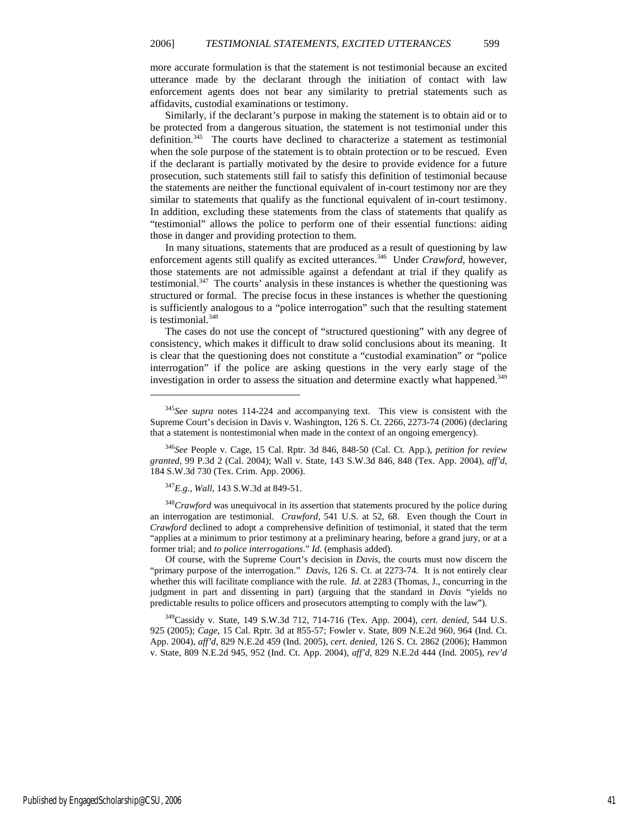more accurate formulation is that the statement is not testimonial because an excited utterance made by the declarant through the initiation of contact with law enforcement agents does not bear any similarity to pretrial statements such as affidavits, custodial examinations or testimony.

Similarly, if the declarant's purpose in making the statement is to obtain aid or to be protected from a dangerous situation, the statement is not testimonial under this definition.<sup>345</sup> The courts have declined to characterize a statement as testimonial when the sole purpose of the statement is to obtain protection or to be rescued. Even if the declarant is partially motivated by the desire to provide evidence for a future prosecution, such statements still fail to satisfy this definition of testimonial because the statements are neither the functional equivalent of in-court testimony nor are they similar to statements that qualify as the functional equivalent of in-court testimony. In addition, excluding these statements from the class of statements that qualify as "testimonial" allows the police to perform one of their essential functions: aiding those in danger and providing protection to them.

In many situations, statements that are produced as a result of questioning by law enforcement agents still qualify as excited utterances.<sup>346</sup> Under *Crawford*, however, those statements are not admissible against a defendant at trial if they qualify as testimonial.<sup>347</sup> The courts' analysis in these instances is whether the questioning was structured or formal. The precise focus in these instances is whether the questioning is sufficiently analogous to a "police interrogation" such that the resulting statement is testimonial.<sup>348</sup>

The cases do not use the concept of "structured questioning" with any degree of consistency, which makes it difficult to draw solid conclusions about its meaning. It is clear that the questioning does not constitute a "custodial examination" or "police interrogation" if the police are asking questions in the very early stage of the investigation in order to assess the situation and determine exactly what happened.<sup>349</sup>

<sup>346</sup>*See* People v. Cage, 15 Cal. Rptr. 3d 846, 848-50 (Cal. Ct. App.), *petition for review granted*, 99 P.3d 2 (Cal. 2004); Wall v. State, 143 S.W.3d 846, 848 (Tex. App. 2004), *aff'd*, 184 S.W.3d 730 (Tex. Crim. App. 2006).

<sup>347</sup>*E.g.*, *Wall*, 143 S.W.3d at 849-51.

1

<sup>348</sup>Crawford was unequivocal in its assertion that statements procured by the police during an interrogation are testimonial. *Crawford*, 541 U.S. at 52, 68. Even though the Court in *Crawford* declined to adopt a comprehensive definition of testimonial, it stated that the term "applies at a minimum to prior testimony at a preliminary hearing, before a grand jury, or at a former trial; and *to police interrogations*." *Id.* (emphasis added).

Of course, with the Supreme Court's decision in *Davis*, the courts must now discern the "primary purpose of the interrogation." *Davis*, 126 S. Ct. at 2273-74. It is not entirely clear whether this will facilitate compliance with the rule. *Id.* at 2283 (Thomas, J., concurring in the judgment in part and dissenting in part) (arguing that the standard in *Davis* "yields no predictable results to police officers and prosecutors attempting to comply with the law").

<sup>349</sup>Cassidy v. State, 149 S.W.3d 712, 714-716 (Tex. App. 2004), *cert. denied*, 544 U.S. 925 (2005); *Cage*, 15 Cal. Rptr. 3d at 855-57; Fowler v. State, 809 N.E.2d 960, 964 (Ind. Ct. App. 2004), *aff'd*, 829 N.E.2d 459 (Ind. 2005), *cert. denied*, 126 S. Ct. 2862 (2006); Hammon v. State, 809 N.E.2d 945, 952 (Ind. Ct. App. 2004), *aff'd*, 829 N.E.2d 444 (Ind. 2005), *rev'd* 

<sup>345</sup>*See supra* notes 114-224 and accompanying text. This view is consistent with the Supreme Court's decision in Davis v. Washington, 126 S. Ct. 2266, 2273-74 (2006) (declaring that a statement is nontestimonial when made in the context of an ongoing emergency).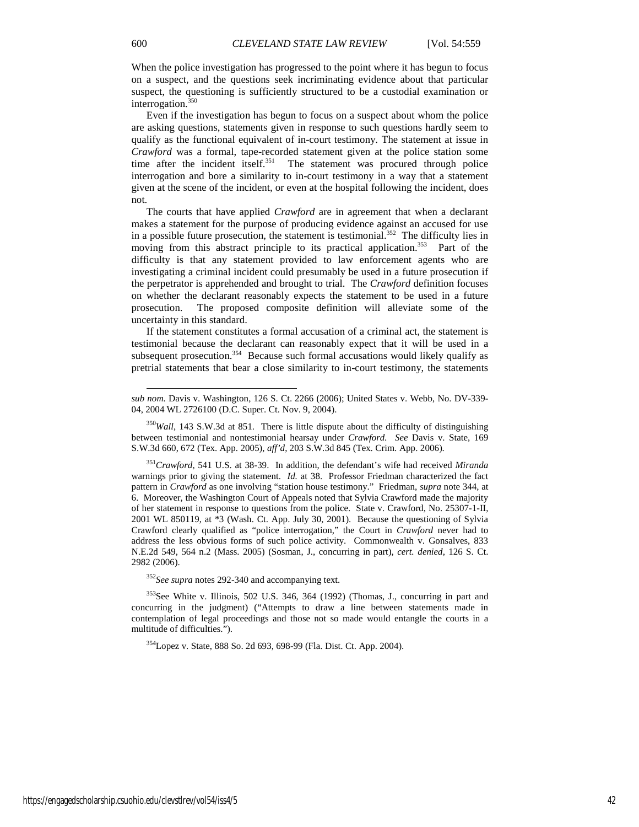When the police investigation has progressed to the point where it has begun to focus on a suspect, and the questions seek incriminating evidence about that particular suspect, the questioning is sufficiently structured to be a custodial examination or interrogation.<sup>350</sup>

Even if the investigation has begun to focus on a suspect about whom the police are asking questions, statements given in response to such questions hardly seem to qualify as the functional equivalent of in-court testimony. The statement at issue in *Crawford* was a formal, tape-recorded statement given at the police station some time after the incident itself.<sup>351</sup> The statement was procured through police interrogation and bore a similarity to in-court testimony in a way that a statement given at the scene of the incident, or even at the hospital following the incident, does not.

The courts that have applied *Crawford* are in agreement that when a declarant makes a statement for the purpose of producing evidence against an accused for use in a possible future prosecution, the statement is testimonial.<sup>352</sup> The difficulty lies in moving from this abstract principle to its practical application.<sup>353</sup> Part of the difficulty is that any statement provided to law enforcement agents who are investigating a criminal incident could presumably be used in a future prosecution if the perpetrator is apprehended and brought to trial. The *Crawford* definition focuses on whether the declarant reasonably expects the statement to be used in a future prosecution. The proposed composite definition will alleviate some of the uncertainty in this standard.

If the statement constitutes a formal accusation of a criminal act, the statement is testimonial because the declarant can reasonably expect that it will be used in a subsequent prosecution.<sup>354</sup> Because such formal accusations would likely qualify as pretrial statements that bear a close similarity to in-court testimony, the statements

<sup>351</sup>*Crawford*, 541 U.S. at 38-39. In addition, the defendant's wife had received *Miranda* warnings prior to giving the statement. *Id.* at 38. Professor Friedman characterized the fact pattern in *Crawford* as one involving "station house testimony." Friedman, *supra* note 344, at 6. Moreover, the Washington Court of Appeals noted that Sylvia Crawford made the majority of her statement in response to questions from the police. State v. Crawford, No. 25307-1-II, 2001 WL 850119, at \*3 (Wash. Ct. App. July 30, 2001). Because the questioning of Sylvia Crawford clearly qualified as "police interrogation," the Court in *Crawford* never had to address the less obvious forms of such police activity. Commonwealth v. Gonsalves, 833 N.E.2d 549, 564 n.2 (Mass. 2005) (Sosman, J., concurring in part), *cert. denied*, 126 S. Ct. 2982 (2006).

<sup>352</sup>*See supra* notes 292-340 and accompanying text.

<sup>353</sup>See White v. Illinois, 502 U.S. 346, 364 (1992) (Thomas, J., concurring in part and concurring in the judgment) ("Attempts to draw a line between statements made in contemplation of legal proceedings and those not so made would entangle the courts in a multitude of difficulties.").

<sup>354</sup>Lopez v. State, 888 So. 2d 693, 698-99 (Fla. Dist. Ct. App. 2004).

l

*sub nom.* Davis v. Washington, 126 S. Ct. 2266 (2006); United States v. Webb, No. DV-339- 04, 2004 WL 2726100 (D.C. Super. Ct. Nov. 9, 2004).

<sup>350</sup>*Wall*, 143 S.W.3d at 851. There is little dispute about the difficulty of distinguishing between testimonial and nontestimonial hearsay under *Crawford*. *See* Davis v. State, 169 S.W.3d 660, 672 (Tex. App. 2005), *aff'd*, 203 S.W.3d 845 (Tex. Crim. App. 2006).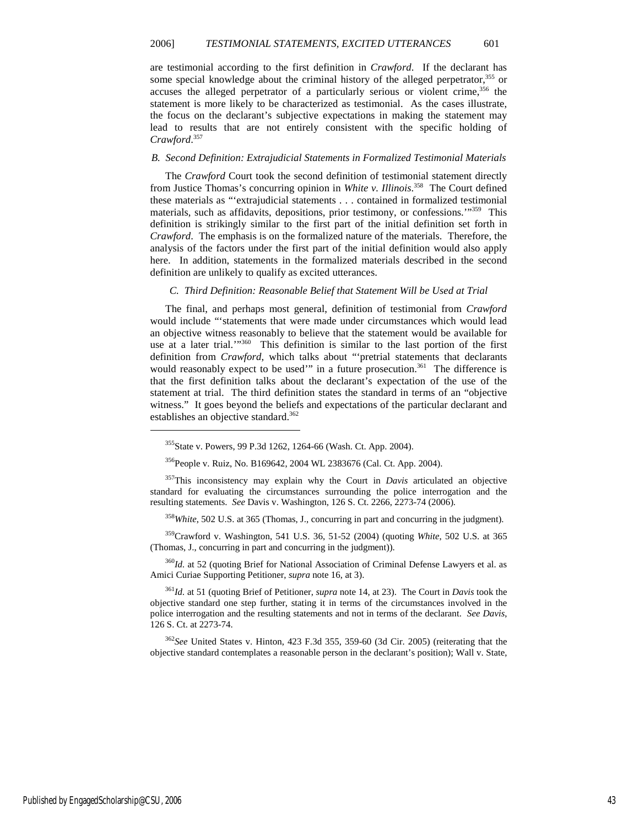are testimonial according to the first definition in *Crawford*. If the declarant has some special knowledge about the criminal history of the alleged perpetrator,<sup>355</sup> or accuses the alleged perpetrator of a particularly serious or violent crime,  $356$  the statement is more likely to be characterized as testimonial. As the cases illustrate, the focus on the declarant's subjective expectations in making the statement may lead to results that are not entirely consistent with the specific holding of *Crawford*. 357

#### *B. Second Definition: Extrajudicial Statements in Formalized Testimonial Materials*

The *Crawford* Court took the second definition of testimonial statement directly from Justice Thomas's concurring opinion in *White v. Illinois*. <sup>358</sup> The Court defined these materials as "'extrajudicial statements . . . contained in formalized testimonial materials, such as affidavits, depositions, prior testimony, or confessions.'"<sup>359</sup> This definition is strikingly similar to the first part of the initial definition set forth in *Crawford*. The emphasis is on the formalized nature of the materials. Therefore, the analysis of the factors under the first part of the initial definition would also apply here. In addition, statements in the formalized materials described in the second definition are unlikely to qualify as excited utterances.

#### *C. Third Definition: Reasonable Belief that Statement Will be Used at Trial*

The final, and perhaps most general, definition of testimonial from *Crawford* would include "'statements that were made under circumstances which would lead an objective witness reasonably to believe that the statement would be available for use at a later trial.'"<sup>360</sup> This definition is similar to the last portion of the first definition from *Crawford*, which talks about "'pretrial statements that declarants would reasonably expect to be used'" in a future prosecution.<sup>361</sup> The difference is that the first definition talks about the declarant's expectation of the use of the statement at trial. The third definition states the standard in terms of an "objective witness." It goes beyond the beliefs and expectations of the particular declarant and establishes an objective standard.<sup>362</sup>

<sup>356</sup>People v. Ruiz, No. B169642, 2004 WL 2383676 (Cal. Ct. App. 2004).

<sup>357</sup>This inconsistency may explain why the Court in *Davis* articulated an objective standard for evaluating the circumstances surrounding the police interrogation and the resulting statements. *See* Davis v. Washington, 126 S. Ct. 2266, 2273-74 (2006).

<sup>358</sup>*White*, 502 U.S. at 365 (Thomas, J., concurring in part and concurring in the judgment).

<sup>359</sup>Crawford v. Washington, 541 U.S. 36, 51-52 (2004) (quoting *White*, 502 U.S. at 365 (Thomas, J., concurring in part and concurring in the judgment)).

<sup>360</sup>*Id.* at 52 (quoting Brief for National Association of Criminal Defense Lawyers et al. as Amici Curiae Supporting Petitioner, *supra* note 16, at 3).

<sup>361</sup>*Id.* at 51 (quoting Brief of Petitioner, *supra* note 14, at 23). The Court in *Davis* took the objective standard one step further, stating it in terms of the circumstances involved in the police interrogation and the resulting statements and not in terms of the declarant. *See Davis*, 126 S. Ct. at 2273-74.

<sup>362</sup>*See* United States v. Hinton, 423 F.3d 355, 359-60 (3d Cir. 2005) (reiterating that the objective standard contemplates a reasonable person in the declarant's position); Wall v. State,

<sup>355</sup>State v. Powers, 99 P.3d 1262, 1264-66 (Wash. Ct. App. 2004).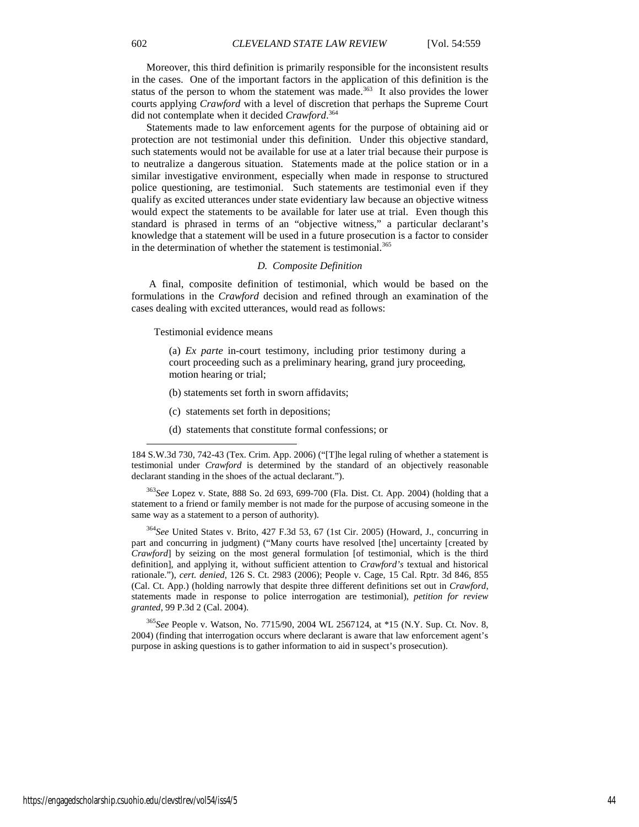Moreover, this third definition is primarily responsible for the inconsistent results in the cases. One of the important factors in the application of this definition is the status of the person to whom the statement was made.<sup>363</sup> It also provides the lower courts applying *Crawford* with a level of discretion that perhaps the Supreme Court did not contemplate when it decided *Crawford*. 364

Statements made to law enforcement agents for the purpose of obtaining aid or protection are not testimonial under this definition. Under this objective standard, such statements would not be available for use at a later trial because their purpose is to neutralize a dangerous situation. Statements made at the police station or in a similar investigative environment, especially when made in response to structured police questioning, are testimonial. Such statements are testimonial even if they qualify as excited utterances under state evidentiary law because an objective witness would expect the statements to be available for later use at trial. Even though this standard is phrased in terms of an "objective witness," a particular declarant's knowledge that a statement will be used in a future prosecution is a factor to consider in the determination of whether the statement is testimonial.<sup>365</sup>

#### *D. Composite Definition*

 A final, composite definition of testimonial, which would be based on the formulations in the *Crawford* decision and refined through an examination of the cases dealing with excited utterances, would read as follows:

Testimonial evidence means

-

(a) *Ex parte* in-court testimony, including prior testimony during a court proceeding such as a preliminary hearing, grand jury proceeding, motion hearing or trial;

- (b) statements set forth in sworn affidavits;
- (c) statements set forth in depositions;
- (d) statements that constitute formal confessions; or

<sup>363</sup>*See* Lopez v. State, 888 So. 2d 693, 699-700 (Fla. Dist. Ct. App. 2004) (holding that a statement to a friend or family member is not made for the purpose of accusing someone in the same way as a statement to a person of authority).

<sup>364</sup>*See* United States v. Brito, 427 F.3d 53, 67 (1st Cir. 2005) (Howard, J., concurring in part and concurring in judgment) ("Many courts have resolved [the] uncertainty [created by *Crawford*] by seizing on the most general formulation [of testimonial, which is the third definition], and applying it, without sufficient attention to *Crawford's* textual and historical rationale."), *cert. denied*, 126 S. Ct. 2983 (2006); People v. Cage, 15 Cal. Rptr. 3d 846, 855 (Cal. Ct. App.) (holding narrowly that despite three different definitions set out in *Crawford*, statements made in response to police interrogation are testimonial), *petition for review granted*, 99 P.3d 2 (Cal. 2004).

<sup>365</sup>*See* People v. Watson, No. 7715/90, 2004 WL 2567124, at \*15 (N.Y. Sup. Ct. Nov. 8, 2004) (finding that interrogation occurs where declarant is aware that law enforcement agent's purpose in asking questions is to gather information to aid in suspect's prosecution).

<sup>184</sup> S.W.3d 730, 742-43 (Tex. Crim. App. 2006) ("[T]he legal ruling of whether a statement is testimonial under *Crawford* is determined by the standard of an objectively reasonable declarant standing in the shoes of the actual declarant.").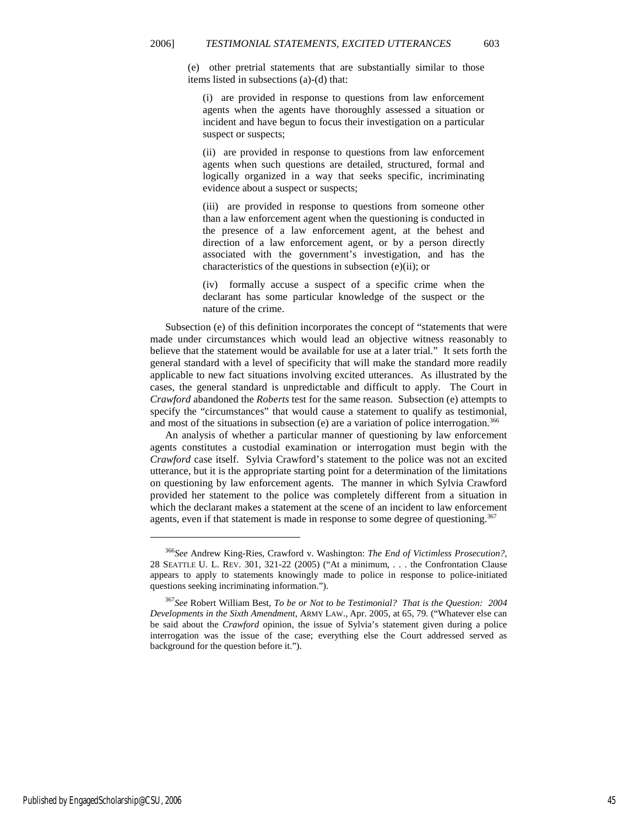(e) other pretrial statements that are substantially similar to those items listed in subsections (a)-(d) that:

(i) are provided in response to questions from law enforcement agents when the agents have thoroughly assessed a situation or incident and have begun to focus their investigation on a particular suspect or suspects;

(ii) are provided in response to questions from law enforcement agents when such questions are detailed, structured, formal and logically organized in a way that seeks specific, incriminating evidence about a suspect or suspects;

(iii) are provided in response to questions from someone other than a law enforcement agent when the questioning is conducted in the presence of a law enforcement agent, at the behest and direction of a law enforcement agent, or by a person directly associated with the government's investigation, and has the characteristics of the questions in subsection (e)(ii); or

(iv) formally accuse a suspect of a specific crime when the declarant has some particular knowledge of the suspect or the nature of the crime.

Subsection (e) of this definition incorporates the concept of "statements that were made under circumstances which would lead an objective witness reasonably to believe that the statement would be available for use at a later trial." It sets forth the general standard with a level of specificity that will make the standard more readily applicable to new fact situations involving excited utterances. As illustrated by the cases, the general standard is unpredictable and difficult to apply. The Court in *Crawford* abandoned the *Roberts* test for the same reason. Subsection (e) attempts to specify the "circumstances" that would cause a statement to qualify as testimonial, and most of the situations in subsection (e) are a variation of police interrogation.<sup>366</sup>

An analysis of whether a particular manner of questioning by law enforcement agents constitutes a custodial examination or interrogation must begin with the *Crawford* case itself. Sylvia Crawford's statement to the police was not an excited utterance, but it is the appropriate starting point for a determination of the limitations on questioning by law enforcement agents. The manner in which Sylvia Crawford provided her statement to the police was completely different from a situation in which the declarant makes a statement at the scene of an incident to law enforcement agents, even if that statement is made in response to some degree of questioning.<sup>367</sup>

<sup>366</sup>*See* Andrew King-Ries, Crawford v. Washington: *The End of Victimless Prosecution?*, 28 SEATTLE U. L. REV. 301, 321-22 (2005) ("At a minimum, . . . the Confrontation Clause appears to apply to statements knowingly made to police in response to police-initiated questions seeking incriminating information.").

<sup>367</sup>*See* Robert William Best, *To be or Not to be Testimonial? That is the Question: 2004 Developments in the Sixth Amendment*, ARMY LAW., Apr. 2005, at 65, 79. ("Whatever else can be said about the *Crawford* opinion, the issue of Sylvia's statement given during a police interrogation was the issue of the case; everything else the Court addressed served as background for the question before it.").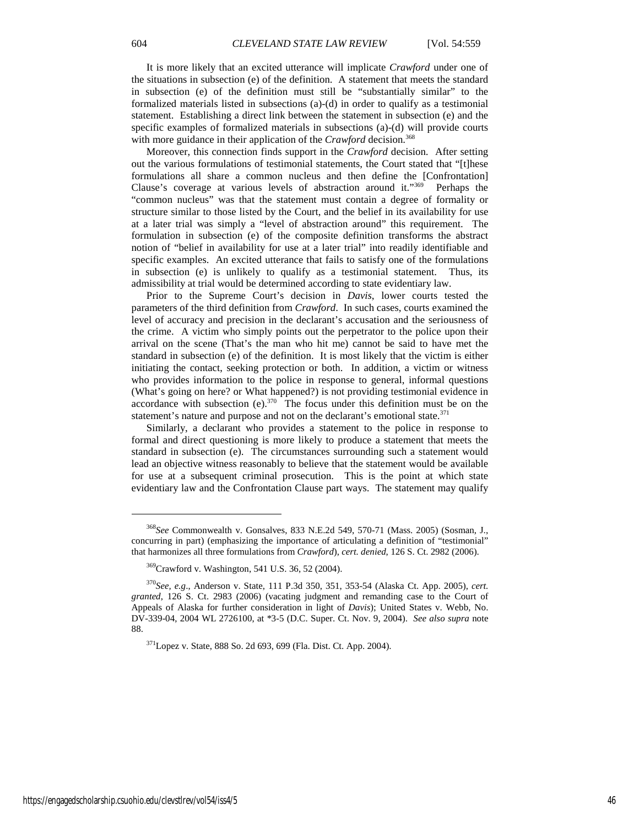It is more likely that an excited utterance will implicate *Crawford* under one of the situations in subsection (e) of the definition. A statement that meets the standard in subsection (e) of the definition must still be "substantially similar" to the formalized materials listed in subsections (a)-(d) in order to qualify as a testimonial statement. Establishing a direct link between the statement in subsection (e) and the specific examples of formalized materials in subsections (a)-(d) will provide courts with more guidance in their application of the *Crawford* decision.<sup>368</sup>

Moreover, this connection finds support in the *Crawford* decision. After setting out the various formulations of testimonial statements, the Court stated that "[t]hese formulations all share a common nucleus and then define the [Confrontation] Clause's coverage at various levels of abstraction around it."<sup>369</sup> Perhaps the "common nucleus" was that the statement must contain a degree of formality or structure similar to those listed by the Court, and the belief in its availability for use at a later trial was simply a "level of abstraction around" this requirement. The formulation in subsection (e) of the composite definition transforms the abstract notion of "belief in availability for use at a later trial" into readily identifiable and specific examples. An excited utterance that fails to satisfy one of the formulations in subsection (e) is unlikely to qualify as a testimonial statement. Thus, its admissibility at trial would be determined according to state evidentiary law.

Prior to the Supreme Court's decision in *Davis*, lower courts tested the parameters of the third definition from *Crawford*. In such cases, courts examined the level of accuracy and precision in the declarant's accusation and the seriousness of the crime. A victim who simply points out the perpetrator to the police upon their arrival on the scene (That's the man who hit me) cannot be said to have met the standard in subsection (e) of the definition. It is most likely that the victim is either initiating the contact, seeking protection or both. In addition, a victim or witness who provides information to the police in response to general, informal questions (What's going on here? or What happened?) is not providing testimonial evidence in accordance with subsection (e). $370$  The focus under this definition must be on the statement's nature and purpose and not on the declarant's emotional state.<sup>371</sup>

Similarly, a declarant who provides a statement to the police in response to formal and direct questioning is more likely to produce a statement that meets the standard in subsection (e). The circumstances surrounding such a statement would lead an objective witness reasonably to believe that the statement would be available for use at a subsequent criminal prosecution. This is the point at which state evidentiary law and the Confrontation Clause part ways. The statement may qualify

<sup>368</sup>*See* Commonwealth v. Gonsalves, 833 N.E.2d 549, 570-71 (Mass. 2005) (Sosman, J., concurring in part) (emphasizing the importance of articulating a definition of "testimonial" that harmonizes all three formulations from *Crawford*), *cert. denied*, 126 S. Ct. 2982 (2006).

<sup>369</sup>Crawford v. Washington, 541 U.S. 36, 52 (2004).

<sup>370</sup>*See, e.g*., Anderson v. State, 111 P.3d 350, 351, 353-54 (Alaska Ct. App. 2005), *cert. granted*, 126 S. Ct. 2983 (2006) (vacating judgment and remanding case to the Court of Appeals of Alaska for further consideration in light of *Davis*); United States v. Webb, No. DV-339-04, 2004 WL 2726100, at \*3-5 (D.C. Super. Ct. Nov. 9, 2004). *See also supra* note 88.

<sup>371</sup>Lopez v. State, 888 So. 2d 693, 699 (Fla. Dist. Ct. App. 2004).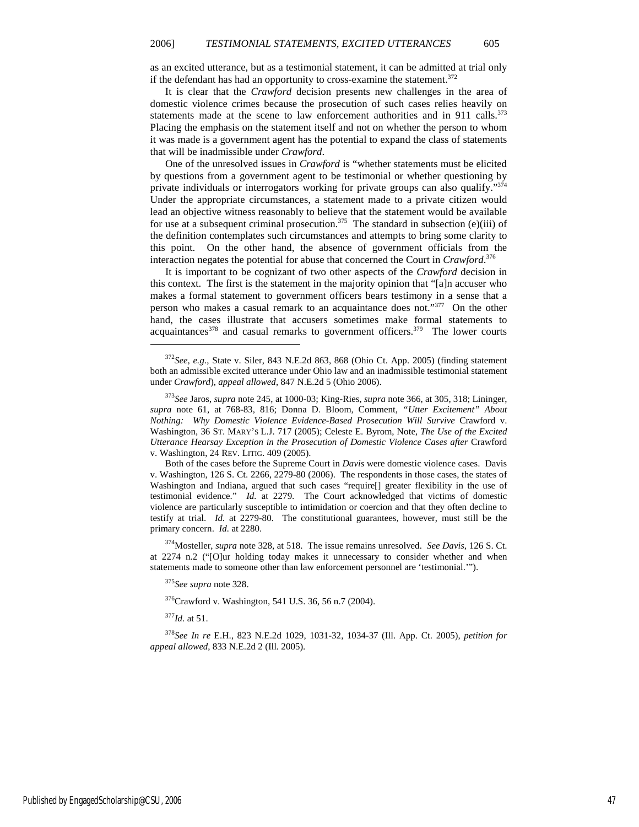as an excited utterance, but as a testimonial statement, it can be admitted at trial only if the defendant has had an opportunity to cross-examine the statement.<sup>372</sup>

It is clear that the *Crawford* decision presents new challenges in the area of domestic violence crimes because the prosecution of such cases relies heavily on statements made at the scene to law enforcement authorities and in 911 calls. $373$ Placing the emphasis on the statement itself and not on whether the person to whom it was made is a government agent has the potential to expand the class of statements that will be inadmissible under *Crawford*.

One of the unresolved issues in *Crawford* is "whether statements must be elicited by questions from a government agent to be testimonial or whether questioning by private individuals or interrogators working for private groups can also qualify."<sup>374</sup> Under the appropriate circumstances, a statement made to a private citizen would lead an objective witness reasonably to believe that the statement would be available for use at a subsequent criminal prosecution.<sup>375</sup> The standard in subsection (e)(iii) of the definition contemplates such circumstances and attempts to bring some clarity to this point. On the other hand, the absence of government officials from the interaction negates the potential for abuse that concerned the Court in *Crawford*. 376

It is important to be cognizant of two other aspects of the *Crawford* decision in this context. The first is the statement in the majority opinion that "[a]n accuser who makes a formal statement to government officers bears testimony in a sense that a person who makes a casual remark to an acquaintance does not."377 On the other hand, the cases illustrate that accusers sometimes make formal statements to acquaintances $378$  and casual remarks to government officers. $379$  The lower courts

Both of the cases before the Supreme Court in *Davis* were domestic violence cases. Davis v. Washington, 126 S. Ct. 2266, 2279-80 (2006). The respondents in those cases, the states of Washington and Indiana, argued that such cases "require[] greater flexibility in the use of testimonial evidence." *Id.* at 2279. The Court acknowledged that victims of domestic violence are particularly susceptible to intimidation or coercion and that they often decline to testify at trial. *Id.* at 2279-80. The constitutional guarantees, however, must still be the primary concern. *Id.* at 2280.

<sup>374</sup>Mosteller, *supra* note 328, at 518. The issue remains unresolved. *See Davis*, 126 S. Ct. at 2274 n.2 ("[O]ur holding today makes it unnecessary to consider whether and when statements made to someone other than law enforcement personnel are 'testimonial.'").

<sup>375</sup>*See supra* note 328.

<sup>376</sup>Crawford v. Washington, 541 U.S. 36, 56 n.7 (2004).

<sup>377</sup>*Id.* at 51.

1

<sup>378</sup>*See In re* E.H., 823 N.E.2d 1029, 1031-32, 1034-37 (Ill. App. Ct. 2005), *petition for appeal allowed*, 833 N.E.2d 2 (Ill. 2005).

<sup>372</sup>*See, e.g*., State v. Siler, 843 N.E.2d 863, 868 (Ohio Ct. App. 2005) (finding statement both an admissible excited utterance under Ohio law and an inadmissible testimonial statement under *Crawford*), *appeal allowed*, 847 N.E.2d 5 (Ohio 2006).

<sup>373</sup>*See* Jaros, *supra* note 245, at 1000-03; King-Ries, *supra* note 366, at 305, 318; Lininger, *supra* note 61, at 768-83, 816; Donna D. Bloom, Comment, *"Utter Excitement" About Nothing: Why Domestic Violence Evidence-Based Prosecution Will Survive* Crawford v. Washington, 36 ST. MARY'S L.J. 717 (2005); Celeste E. Byrom, Note, *The Use of the Excited Utterance Hearsay Exception in the Prosecution of Domestic Violence Cases after* Crawford v. Washington, 24 REV. LITIG. 409 (2005).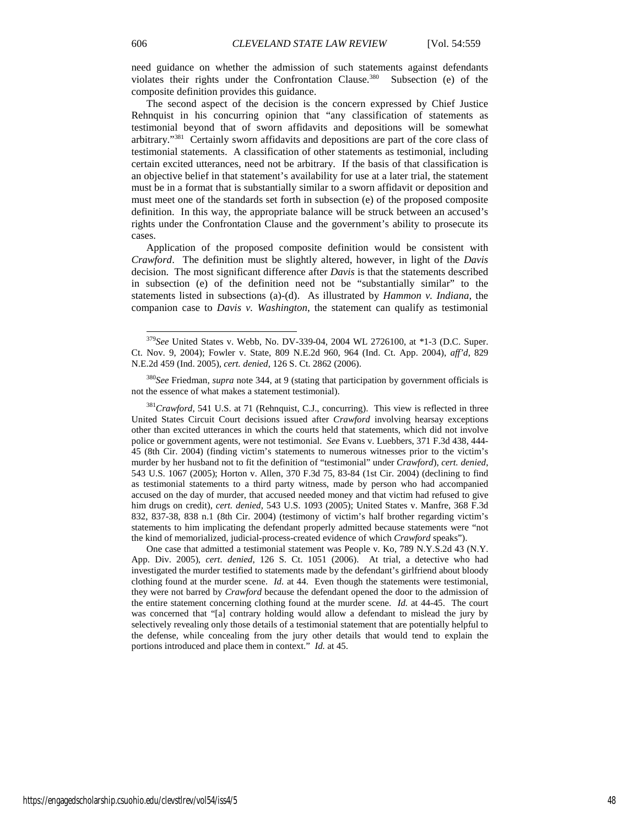need guidance on whether the admission of such statements against defendants violates their rights under the Confrontation Clause.<sup>380</sup> Subsection (e) of the composite definition provides this guidance.

The second aspect of the decision is the concern expressed by Chief Justice Rehnquist in his concurring opinion that "any classification of statements as testimonial beyond that of sworn affidavits and depositions will be somewhat arbitrary."<sup>381</sup> Certainly sworn affidavits and depositions are part of the core class of testimonial statements. A classification of other statements as testimonial, including certain excited utterances, need not be arbitrary. If the basis of that classification is an objective belief in that statement's availability for use at a later trial, the statement must be in a format that is substantially similar to a sworn affidavit or deposition and must meet one of the standards set forth in subsection (e) of the proposed composite definition. In this way, the appropriate balance will be struck between an accused's rights under the Confrontation Clause and the government's ability to prosecute its cases.

Application of the proposed composite definition would be consistent with *Crawford*. The definition must be slightly altered, however, in light of the *Davis*  decision. The most significant difference after *Davis* is that the statements described in subsection (e) of the definition need not be "substantially similar" to the statements listed in subsections (a)-(d). As illustrated by *Hammon v. Indiana*, the companion case to *Davis v. Washington*, the statement can qualify as testimonial

<sup>381</sup>Crawford, 541 U.S. at 71 (Rehnquist, C.J., concurring). This view is reflected in three United States Circuit Court decisions issued after *Crawford* involving hearsay exceptions other than excited utterances in which the courts held that statements, which did not involve police or government agents, were not testimonial. *See* Evans v. Luebbers, 371 F.3d 438, 444- 45 (8th Cir. 2004) (finding victim's statements to numerous witnesses prior to the victim's murder by her husband not to fit the definition of "testimonial" under *Crawford*), *cert. denied*, 543 U.S. 1067 (2005); Horton v. Allen, 370 F.3d 75, 83-84 (1st Cir. 2004) (declining to find as testimonial statements to a third party witness, made by person who had accompanied accused on the day of murder, that accused needed money and that victim had refused to give him drugs on credit), *cert. denied*, 543 U.S. 1093 (2005); United States v. Manfre, 368 F.3d 832, 837-38, 838 n.1 (8th Cir. 2004) (testimony of victim's half brother regarding victim's statements to him implicating the defendant properly admitted because statements were "not the kind of memorialized, judicial-process-created evidence of which *Crawford* speaks").

One case that admitted a testimonial statement was People v. Ko, 789 N.Y.S.2d 43 (N.Y. App. Div. 2005), *cert. denied*, 126 S. Ct. 1051 (2006). At trial, a detective who had investigated the murder testified to statements made by the defendant's girlfriend about bloody clothing found at the murder scene. *Id.* at 44. Even though the statements were testimonial, they were not barred by *Crawford* because the defendant opened the door to the admission of the entire statement concerning clothing found at the murder scene. *Id.* at 44-45. The court was concerned that "[a] contrary holding would allow a defendant to mislead the jury by selectively revealing only those details of a testimonial statement that are potentially helpful to the defense, while concealing from the jury other details that would tend to explain the portions introduced and place them in context." *Id.* at 45.

-

<sup>379</sup>*See* United States v. Webb, No. DV-339-04, 2004 WL 2726100, at \*1-3 (D.C. Super. Ct. Nov. 9, 2004); Fowler v. State, 809 N.E.2d 960, 964 (Ind. Ct. App. 2004), *aff'd*, 829 N.E.2d 459 (Ind. 2005), *cert. denied*, 126 S. Ct. 2862 (2006).

<sup>380</sup>*See* Friedman, *supra* note 344, at 9 (stating that participation by government officials is not the essence of what makes a statement testimonial).